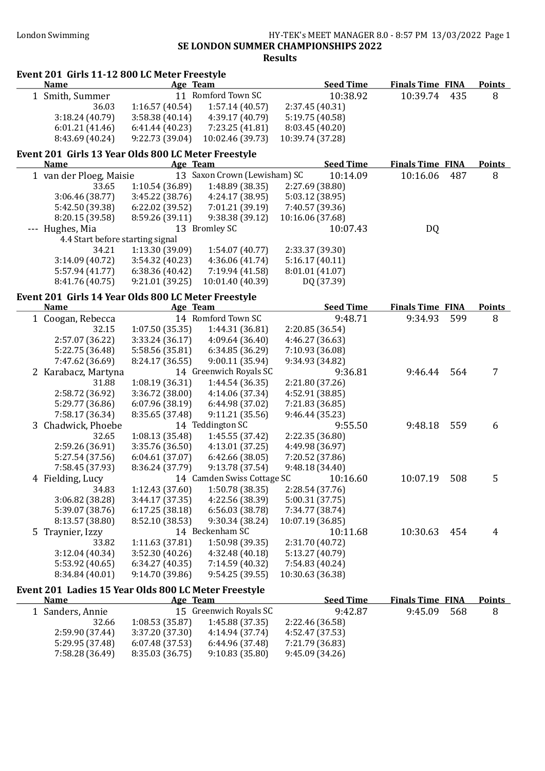Event 201 Girls 11-12 800 LC Meter Freestyle<br>Name Age Team

#### London Swimming HY-TEK's MEET MANAGER 8.0 - 8:57 PM 13/03/2022 Page 1 SE LONDON SUMMER CHAMPIONSHIPS 2022 Results

Seed Time Finals Time FINA Points

| 1 Smith, Summer                                      |                 | 11 Romford Town SC           | 10:38.92         | 10:39.74                | 435 | 8             |
|------------------------------------------------------|-----------------|------------------------------|------------------|-------------------------|-----|---------------|
| 36.03                                                | 1:16.57 (40.54) | 1:57.14(40.57)               | 2:37.45 (40.31)  |                         |     |               |
| 3:18.24 (40.79)                                      | 3:58.38 (40.14) | 4:39.17 (40.79)              | 5:19.75 (40.58)  |                         |     |               |
| 6:01.21(41.46)                                       | 6:41.44(40.23)  | 7:23.25 (41.81)              | 8:03.45 (40.20)  |                         |     |               |
| 8:43.69 (40.24)                                      | 9:22.73 (39.04) | 10:02.46 (39.73)             | 10:39.74 (37.28) |                         |     |               |
| Event 201 Girls 13 Year Olds 800 LC Meter Freestyle  |                 |                              |                  |                         |     |               |
| <b>Name</b>                                          | Age Team        |                              | <b>Seed Time</b> | <b>Finals Time FINA</b> |     | <b>Points</b> |
| 1 van der Ploeg, Maisie                              |                 | 13 Saxon Crown (Lewisham) SC | 10:14.09         | 10:16.06                | 487 | 8             |
| 33.65                                                | 1:10.54 (36.89) | 1:48.89 (38.35)              | 2:27.69 (38.80)  |                         |     |               |
| 3:06.46 (38.77)                                      | 3:45.22 (38.76) | 4:24.17 (38.95)              | 5:03.12 (38.95)  |                         |     |               |
| 5:42.50 (39.38)                                      | 6:22.02 (39.52) | 7:01.21 (39.19)              | 7:40.57 (39.36)  |                         |     |               |
| 8:20.15 (39.58)                                      | 8:59.26 (39.11) | 9:38.38 (39.12)              | 10:16.06 (37.68) |                         |     |               |
|                                                      |                 |                              |                  |                         |     |               |
| --- Hughes, Mia                                      |                 | 13 Bromley SC                | 10:07.43         | DQ                      |     |               |
| 4.4 Start before starting signal                     |                 |                              |                  |                         |     |               |
| 34.21                                                | 1:13.30(39.09)  | 1:54.07 (40.77)              | 2:33.37 (39.30)  |                         |     |               |
| 3:14.09 (40.72)                                      | 3:54.32 (40.23) | 4:36.06 (41.74)              | 5:16.17(40.11)   |                         |     |               |
| 5:57.94 (41.77)                                      | 6:38.36 (40.42) | 7:19.94 (41.58)              | 8:01.01 (41.07)  |                         |     |               |
| 8:41.76 (40.75)                                      | 9:21.01 (39.25) | 10:01.40 (40.39)             | DQ (37.39)       |                         |     |               |
| Event 201 Girls 14 Year Olds 800 LC Meter Freestyle  |                 |                              |                  |                         |     |               |
| <b>Name</b>                                          | Age Team        |                              | <b>Seed Time</b> | <b>Finals Time FINA</b> |     | <b>Points</b> |
| 1 Coogan, Rebecca                                    |                 | 14 Romford Town SC           | 9:48.71          | 9:34.93                 | 599 | 8             |
| 32.15                                                | 1:07.50(35.35)  | 1:44.31 (36.81)              | 2:20.85 (36.54)  |                         |     |               |
| 2:57.07 (36.22)                                      | 3:33.24(36.17)  | 4:09.64 (36.40)              | 4:46.27 (36.63)  |                         |     |               |
| 5:22.75 (36.48)                                      | 5:58.56 (35.81) | 6:34.85 (36.29)              | 7:10.93 (36.08)  |                         |     |               |
| 7:47.62 (36.69)                                      | 8:24.17 (36.55) | 9:00.11 (35.94)              | 9:34.93 (34.82)  |                         |     |               |
| 2 Karabacz, Martyna                                  |                 | 14 Greenwich Royals SC       | 9:36.81          | 9:46.44                 | 564 | 7             |
| 31.88                                                | 1:08.19(36.31)  | 1:44.54 (36.35)              | 2:21.80 (37.26)  |                         |     |               |
| 2:58.72 (36.92)                                      | 3:36.72 (38.00) | 4:14.06 (37.34)              | 4:52.91 (38.85)  |                         |     |               |
| 5:29.77 (36.86)                                      | 6:07.96 (38.19) | 6:44.98 (37.02)              | 7:21.83 (36.85)  |                         |     |               |
| 7:58.17 (36.34)                                      | 8:35.65 (37.48) | 9:11.21(35.56)               | 9:46.44 (35.23)  |                         |     |               |
| 3 Chadwick, Phoebe                                   |                 | 14 Teddington SC             | 9:55.50          | 9:48.18                 | 559 | 6             |
| 32.65                                                | 1:08.13 (35.48) | 1:45.55 (37.42)              | 2:22.35 (36.80)  |                         |     |               |
| 2:59.26 (36.91)                                      | 3:35.76 (36.50) | 4:13.01(37.25)               | 4:49.98 (36.97)  |                         |     |               |
| 5:27.54 (37.56)                                      | 6:04.61(37.07)  | 6:42.66 (38.05)              | 7:20.52 (37.86)  |                         |     |               |
| 7:58.45 (37.93)                                      | 8:36.24 (37.79) | 9:13.78 (37.54)              | 9:48.18 (34.40)  |                         |     |               |
| 4 Fielding, Lucy                                     |                 | 14 Camden Swiss Cottage SC   | 10:16.60         | 10:07.19                | 508 | 5             |
| 34.83                                                | 1:12.43 (37.60) | 1:50.78 (38.35)              | 2:28.54 (37.76)  |                         |     |               |
| 3:06.82 (38.28)                                      | 3:44.17 (37.35) | 4:22.56 (38.39)              | 5:00.31 (37.75)  |                         |     |               |
| 5:39.07 (38.76)                                      | 6:17.25(38.18)  | 6:56.03 (38.78)              | 7:34.77 (38.74)  |                         |     |               |
| 8:13.57 (38.80)                                      | 8:52.10 (38.53) | 9:30.34 (38.24)              | 10:07.19 (36.85) |                         |     |               |
| 5 Traynier, Izzy                                     |                 | 14 Beckenham SC              | 10:11.68         | 10:30.63                | 454 | 4             |
| 33.82                                                | 1:11.63(37.81)  | 1:50.98 (39.35)              | 2:31.70 (40.72)  |                         |     |               |
| 3:12.04 (40.34)                                      | 3:52.30(40.26)  | 4:32.48 (40.18)              | 5:13.27 (40.79)  |                         |     |               |
| 5:53.92 (40.65)                                      | 6:34.27(40.35)  | 7:14.59 (40.32)              | 7:54.83 (40.24)  |                         |     |               |
| 8:34.84 (40.01)                                      | 9:14.70 (39.86) | 9:54.25(39.55)               | 10:30.63 (36.38) |                         |     |               |
| Event 201 Ladies 15 Year Olds 800 LC Meter Freestyle |                 |                              |                  |                         |     |               |
| <b>Name</b>                                          | Age Team        |                              | <b>Seed Time</b> | <b>Finals Time FINA</b> |     | <b>Points</b> |
| 1 Sanders, Annie                                     |                 | 15 Greenwich Royals SC       | 9:42.87          | 9:45.09                 | 568 | 8             |
| 32.66                                                | 1:08.53(35.87)  | 1:45.88 (37.35)              | 2:22.46 (36.58)  |                         |     |               |
| 2:59.90 (37.44)                                      | 3:37.20 (37.30) | 4:14.94 (37.74)              | 4:52.47 (37.53)  |                         |     |               |
| 5:29.95 (37.48)                                      | 6:07.48 (37.53) | 6:44.96 (37.48)              | 7:21.79 (36.83)  |                         |     |               |
| 7:58.28 (36.49)                                      | 8:35.03 (36.75) | 9:10.83(35.80)               | 9:45.09 (34.26)  |                         |     |               |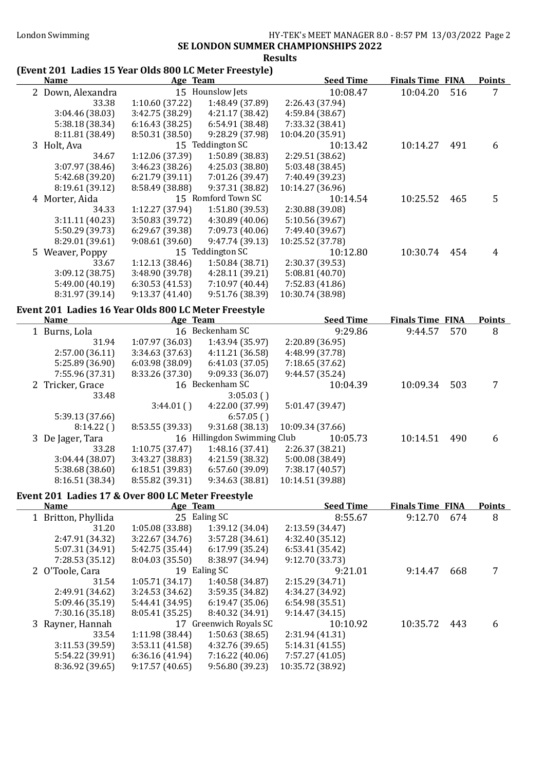## SE LONDON SUMMER CHAMPIONSHIPS 2022

#### Results

# (Event 201 Ladies 15 Year Olds 800 LC Meter Freestyle)

| (Event 201 "Laules 15" real Olds 800 LC Meter Freestyle) |                 |                             |                  |                         |     |               |
|----------------------------------------------------------|-----------------|-----------------------------|------------------|-------------------------|-----|---------------|
| <b>Name</b>                                              | Age Team        |                             | <b>Seed Time</b> | <b>Finals Time FINA</b> |     | <b>Points</b> |
| 2 Down, Alexandra                                        |                 | 15 Hounslow Jets            | 10:08.47         | 10:04.20                | 516 | 7             |
| 33.38                                                    | 1:10.60 (37.22) | 1:48.49 (37.89)             | 2:26.43 (37.94)  |                         |     |               |
| 3:04.46 (38.03)                                          | 3:42.75 (38.29) | 4:21.17 (38.42)             | 4:59.84 (38.67)  |                         |     |               |
| 5:38.18 (38.34)                                          | 6:16.43(38.25)  | 6:54.91 (38.48)             | 7:33.32 (38.41)  |                         |     |               |
| 8:11.81 (38.49)                                          | 8:50.31 (38.50) | 9:28.29 (37.98)             | 10:04.20 (35.91) |                         |     |               |
| 3 Holt, Ava                                              |                 | 15 Teddington SC            | 10:13.42         | 10:14.27                | 491 | 6             |
| 34.67                                                    | 1:12.06 (37.39) | 1:50.89 (38.83)             | 2:29.51 (38.62)  |                         |     |               |
| 3:07.97 (38.46)                                          | 3:46.23 (38.26) | 4:25.03 (38.80)             | 5:03.48 (38.45)  |                         |     |               |
| 5:42.68 (39.20)                                          |                 |                             |                  |                         |     |               |
|                                                          | 6:21.79 (39.11) | 7:01.26 (39.47)             | 7:40.49 (39.23)  |                         |     |               |
| 8:19.61 (39.12)                                          | 8:58.49 (38.88) | 9:37.31 (38.82)             | 10:14.27 (36.96) |                         |     |               |
| 4 Morter, Aida                                           |                 | 15 Romford Town SC          | 10:14.54         | 10:25.52                | 465 | 5             |
| 34.33                                                    | 1:12.27 (37.94) | 1:51.80(39.53)              | 2:30.88 (39.08)  |                         |     |               |
| 3:11.11 (40.23)                                          | 3:50.83 (39.72) | 4:30.89(40.06)              | 5:10.56 (39.67)  |                         |     |               |
| 5:50.29 (39.73)                                          | 6:29.67 (39.38) | 7:09.73 (40.06)             | 7:49.40 (39.67)  |                         |     |               |
| 8:29.01 (39.61)                                          | 9:08.61(39.60)  | 9:47.74 (39.13)             | 10:25.52 (37.78) |                         |     |               |
| 5 Weaver, Poppy                                          |                 | 15 Teddington SC            | 10:12.80         | 10:30.74                | 454 | 4             |
| 33.67                                                    | 1:12.13 (38.46) | 1:50.84 (38.71)             | 2:30.37 (39.53)  |                         |     |               |
| 3:09.12 (38.75)                                          | 3:48.90 (39.78) | 4:28.11 (39.21)             | 5:08.81(40.70)   |                         |     |               |
| 5:49.00 (40.19)                                          | 6:30.53(41.53)  | 7:10.97 (40.44)             | 7:52.83 (41.86)  |                         |     |               |
| 8:31.97 (39.14)                                          | 9:13.37(41.40)  | 9:51.76 (38.39)             | 10:30.74 (38.98) |                         |     |               |
|                                                          |                 |                             |                  |                         |     |               |
| Event 201 Ladies 16 Year Olds 800 LC Meter Freestyle     |                 |                             |                  |                         |     |               |
| <b>Name</b>                                              | Age Team        |                             | <b>Seed Time</b> | <b>Finals Time FINA</b> |     | <b>Points</b> |
| 1 Burns, Lola                                            |                 | 16 Beckenham SC             | 9:29.86          | 9:44.57                 | 570 | 8             |
| 31.94                                                    | 1:07.97 (36.03) | 1:43.94 (35.97)             | 2:20.89 (36.95)  |                         |     |               |
| 2:57.00 (36.11)                                          | 3:34.63 (37.63) | 4:11.21 (36.58)             | 4:48.99 (37.78)  |                         |     |               |
| 5:25.89 (36.90)                                          | 6:03.98(38.09)  | 6:41.03(37.05)              | 7:18.65 (37.62)  |                         |     |               |
| 7:55.96 (37.31)                                          | 8:33.26 (37.30) | 9:09.33 (36.07)             | 9:44.57 (35.24)  |                         |     |               |
|                                                          |                 | 16 Beckenham SC             |                  |                         | 503 |               |
| 2 Tricker, Grace                                         |                 |                             | 10:04.39         | 10:09.34                |     | 7             |
| 33.48                                                    |                 | 3:05.03()                   |                  |                         |     |               |
|                                                          | 3:44.01()       | 4:22.00 (37.99)             | 5:01.47 (39.47)  |                         |     |               |
| 5:39.13 (37.66)                                          |                 | 6:57.05()                   |                  |                         |     |               |
| 8:14.22()                                                | 8:53.55 (39.33) | 9:31.68 (38.13)             | 10:09.34 (37.66) |                         |     |               |
| 3 De Jager, Tara                                         |                 | 16 Hillingdon Swimming Club | 10:05.73         | 10:14.51                | 490 | 6             |
| 33.28                                                    | 1:10.75 (37.47) | 1:48.16 (37.41)             | 2:26.37 (38.21)  |                         |     |               |
| 3:04.44 (38.07)                                          | 3:43.27 (38.83) | 4:21.59 (38.32)             | 5:00.08 (38.49)  |                         |     |               |
| 5:38.68 (38.60)                                          | 6:18.51 (39.83) | 6:57.60 (39.09)             | 7:38.17 (40.57)  |                         |     |               |
| 8:16.51 (38.34)                                          | 8:55.82 (39.31) | 9:34.63 (38.81)             | 10:14.51 (39.88) |                         |     |               |
|                                                          |                 |                             |                  |                         |     |               |
| Event 201 Ladies 17 & Over 800 LC Meter Freestyle        |                 |                             |                  |                         |     |               |
| <b>Name</b>                                              | Age Team        |                             | <b>Seed Time</b> | <b>Finals Time FINA</b> |     | <b>Points</b> |
| 1 Britton, Phyllida                                      |                 | 25 Ealing SC                | 8:55.67          | 9:12.70                 | 674 | 8             |
| 31.20                                                    | 1:05.08 (33.88) | 1:39.12 (34.04)             | 2:13.59 (34.47)  |                         |     |               |
| 2:47.91 (34.32)                                          | 3:22.67 (34.76) | 3:57.28(34.61)              | 4:32.40 (35.12)  |                         |     |               |
| 5:07.31 (34.91)                                          | 5:42.75 (35.44) | 6:17.99(35.24)              | 6:53.41(35.42)   |                         |     |               |
| 7:28.53 (35.12)                                          | 8:04.03 (35.50) | 8:38.97 (34.94)             | 9:12.70 (33.73)  |                         |     |               |
| 2 O'Toole, Cara                                          |                 | 19 Ealing SC                | 9:21.01          | 9:14.47                 | 668 | 7             |
| 31.54                                                    | 1:05.71(34.17)  | 1:40.58 (34.87)             | 2:15.29 (34.71)  |                         |     |               |
| 2:49.91 (34.62)                                          | 3:24.53 (34.62) | 3:59.35 (34.82)             | 4:34.27 (34.92)  |                         |     |               |
| 5:09.46 (35.19)                                          | 5:44.41 (34.95) | 6:19.47(35.06)              | 6:54.98 (35.51)  |                         |     |               |
| 7:30.16 (35.18)                                          | 8:05.41 (35.25) | 8:40.32 (34.91)             | 9:14.47(34.15)   |                         |     |               |
| 3 Rayner, Hannah                                         |                 | 17 Greenwich Royals SC      | 10:10.92         | 10:35.72                | 443 | 6             |
|                                                          |                 |                             |                  |                         |     |               |
| 33.54                                                    | 1:11.98 (38.44) | 1:50.63(38.65)              | 2:31.94 (41.31)  |                         |     |               |
| 3:11.53 (39.59)                                          | 3:53.11 (41.58) | 4:32.76 (39.65)             | 5:14.31 (41.55)  |                         |     |               |
| 5:54.22 (39.91)                                          | 6:36.16(41.94)  | 7:16.22 (40.06)             | 7:57.27 (41.05)  |                         |     |               |
| 8:36.92 (39.65)                                          | 9:17.57(40.65)  | 9:56.80 (39.23)             | 10:35.72 (38.92) |                         |     |               |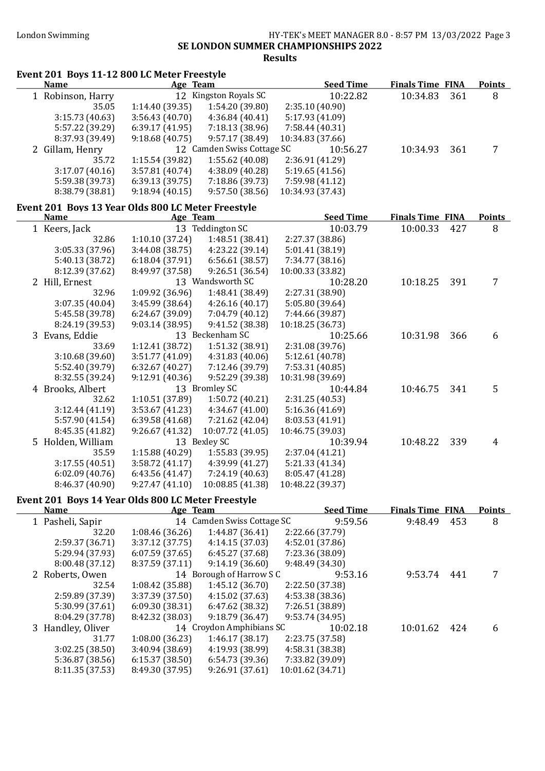Event 201 Boys 11-12 800 LC Meter Freestyle

#### London Swimming HY-TEK's MEET MANAGER 8.0 - 8:57 PM 13/03/2022 Page 3 SE LONDON SUMMER CHAMPIONSHIPS 2022 Results

| <b>Name</b>                                        |                 | Age Team                   | <b>Seed Time</b> | <b>Finals Time FINA</b> |     | <b>Points</b>  |
|----------------------------------------------------|-----------------|----------------------------|------------------|-------------------------|-----|----------------|
| 1 Robinson, Harry                                  |                 | 12 Kingston Royals SC      | 10:22.82         | 10:34.83                | 361 | 8              |
| 35.05                                              | 1:14.40 (39.35) | 1:54.20 (39.80)            | 2:35.10 (40.90)  |                         |     |                |
| 3:15.73 (40.63)                                    | 3:56.43 (40.70) | 4:36.84(40.41)             | 5:17.93 (41.09)  |                         |     |                |
| 5:57.22 (39.29)                                    | 6:39.17(41.95)  | 7:18.13 (38.96)            | 7:58.44 (40.31)  |                         |     |                |
| 8:37.93 (39.49)                                    | 9:18.68(40.75)  | 9:57.17 (38.49)            | 10:34.83 (37.66) |                         |     |                |
| 2 Gillam, Henry                                    |                 | 12 Camden Swiss Cottage SC | 10:56.27         | 10:34.93                | 361 | 7              |
| 35.72                                              | 1:15.54 (39.82) | 1:55.62 (40.08)            | 2:36.91 (41.29)  |                         |     |                |
| 3:17.07(40.16)                                     | 3:57.81 (40.74) | 4:38.09 (40.28)            | 5:19.65(41.56)   |                         |     |                |
| 5:59.38 (39.73)                                    | 6:39.13(39.75)  | 7:18.86 (39.73)            | 7:59.98 (41.12)  |                         |     |                |
| 8:38.79 (38.81)                                    | 9:18.94(40.15)  | 9:57.50(38.56)             | 10:34.93 (37.43) |                         |     |                |
|                                                    |                 |                            |                  |                         |     |                |
| Event 201 Boys 13 Year Olds 800 LC Meter Freestyle |                 |                            |                  |                         |     |                |
| <b>Name</b>                                        |                 | Age Team                   | <b>Seed Time</b> | <b>Finals Time FINA</b> |     | <b>Points</b>  |
| 1 Keers, Jack                                      |                 | 13 Teddington SC           | 10:03.79         | 10:00.33                | 427 | 8              |
| 32.86                                              | 1:10.10(37.24)  | 1:48.51 (38.41)            | 2:27.37 (38.86)  |                         |     |                |
| 3:05.33 (37.96)                                    | 3:44.08 (38.75) | 4:23.22 (39.14)            | 5:01.41 (38.19)  |                         |     |                |
| 5:40.13 (38.72)                                    | 6:18.04 (37.91) | 6:56.61(38.57)             | 7:34.77 (38.16)  |                         |     |                |
| 8:12.39 (37.62)                                    | 8:49.97 (37.58) | 9:26.51(36.54)             | 10:00.33 (33.82) |                         |     |                |
| 2 Hill, Ernest                                     |                 | 13 Wandsworth SC           | 10:28.20         | 10:18.25                | 391 | $\overline{7}$ |
| 32.96                                              | 1:09.92 (36.96) | 1:48.41 (38.49)            | 2:27.31 (38.90)  |                         |     |                |
| 3:07.35 (40.04)                                    | 3:45.99 (38.64) | 4:26.16(40.17)             | 5:05.80 (39.64)  |                         |     |                |
| 5:45.58 (39.78)                                    | 6:24.67 (39.09) | 7:04.79 (40.12)            | 7:44.66 (39.87)  |                         |     |                |
| 8:24.19 (39.53)                                    | 9:03.14(38.95)  | 9:41.52 (38.38)            | 10:18.25 (36.73) |                         |     |                |
|                                                    |                 |                            |                  |                         |     |                |
| 3 Evans, Eddie                                     |                 | 13 Beckenham SC            | 10:25.66         | 10:31.98                | 366 | 6              |
| 33.69                                              | 1:12.41 (38.72) | 1:51.32 (38.91)            | 2:31.08 (39.76)  |                         |     |                |
| 3:10.68 (39.60)                                    | 3:51.77 (41.09) | 4:31.83 (40.06)            | 5:12.61 (40.78)  |                         |     |                |
| 5:52.40 (39.79)                                    | 6:32.67(40.27)  | 7:12.46 (39.79)            | 7:53.31 (40.85)  |                         |     |                |
| 8:32.55 (39.24)                                    | 9:12.91 (40.36) | 9:52.29 (39.38)            | 10:31.98 (39.69) |                         |     |                |
| 4 Brooks, Albert                                   |                 | 13 Bromley SC              | 10:44.84         | 10:46.75                | 341 | 5              |
| 32.62                                              | 1:10.51 (37.89) | 1:50.72 (40.21)            | 2:31.25(40.53)   |                         |     |                |
| 3:12.44(41.19)                                     | 3:53.67 (41.23) | 4:34.67 (41.00)            | 5:16.36(41.69)   |                         |     |                |
| 5:57.90 (41.54)                                    | 6:39.58 (41.68) | 7:21.62 (42.04)            | 8:03.53 (41.91)  |                         |     |                |
| 8:45.35 (41.82)                                    | 9:26.67(41.32)  | 10:07.72 (41.05)           | 10:46.75 (39.03) |                         |     |                |
| 5 Holden, William                                  |                 | 13 Bexley SC               | 10:39.94         | 10:48.22                | 339 | 4              |
| 35.59                                              | 1:15.88 (40.29) | 1:55.83 (39.95)            | 2:37.04 (41.21)  |                         |     |                |
| 3:17.55(40.51)                                     | 3:58.72 (41.17) | 4:39.99 (41.27)            | 5:21.33 (41.34)  |                         |     |                |
| 6:02.09(40.76)                                     | 6:43.56 (41.47) | 7:24.19 (40.63)            | 8:05.47 (41.28)  |                         |     |                |
| 8:46.37 (40.90)                                    | 9:27.47(41.10)  | 10:08.85 (41.38)           | 10:48.22 (39.37) |                         |     |                |
|                                                    |                 |                            |                  |                         |     |                |
| Event 201 Boys 14 Year Olds 800 LC Meter Freestyle |                 |                            |                  |                         |     |                |
| <b>Name</b>                                        |                 | Age Team                   | <b>Seed Time</b> | <b>Finals Time FINA</b> |     | <b>Points</b>  |
| 1 Pasheli, Sapir                                   |                 | 14 Camden Swiss Cottage SC | 9:59.56          | 9:48.49                 | 453 | 8              |
| 32.20                                              | 1:08.46 (36.26) | 1:44.87 (36.41)            | 2:22.66 (37.79)  |                         |     |                |
| 2:59.37 (36.71)                                    | 3:37.12 (37.75) | 4:14.15 (37.03)            | 4:52.01 (37.86)  |                         |     |                |
| 5:29.94 (37.93)                                    | 6:07.59(37.65)  | 6:45.27 (37.68)            | 7:23.36 (38.09)  |                         |     |                |
| 8:00.48 (37.12)                                    | 8:37.59 (37.11) | 9:14.19(36.60)             | 9:48.49 (34.30)  |                         |     |                |
| 2 Roberts, Owen                                    |                 | 14 Borough of Harrow S C   | 9:53.16          | 9:53.74 441             |     | 7              |
| 32.54                                              | 1:08.42 (35.88) | 1:45.12 (36.70)            | 2:22.50 (37.38)  |                         |     |                |
| 2:59.89 (37.39)                                    | 3:37.39 (37.50) | 4:15.02(37.63)             | 4:53.38 (38.36)  |                         |     |                |
| 5:30.99 (37.61)                                    | 6:09.30 (38.31) | 6:47.62 (38.32)            | 7:26.51 (38.89)  |                         |     |                |
| 8:04.29 (37.78)                                    | 8:42.32 (38.03) | 9:18.79 (36.47)            | 9:53.74 (34.95)  |                         |     |                |
| 3 Handley, Oliver                                  |                 | 14 Croydon Amphibians SC   | 10:02.18         | 10:01.62                | 424 | 6              |
| 31.77                                              | 1:08.00(36.23)  | 1:46.17(38.17)             | 2:23.75 (37.58)  |                         |     |                |
| 3:02.25 (38.50)                                    |                 | 4:19.93 (38.99)            |                  |                         |     |                |
|                                                    | 3:40.94 (38.69) |                            | 4:58.31 (38.38)  |                         |     |                |
| 5:36.87 (38.56)                                    | 6:15.37(38.50)  | 6:54.73 (39.36)            | 7:33.82 (39.09)  |                         |     |                |
| 8:11.35 (37.53)                                    | 8:49.30 (37.95) | 9:26.91(37.61)             | 10:01.62 (34.71) |                         |     |                |
|                                                    |                 |                            |                  |                         |     |                |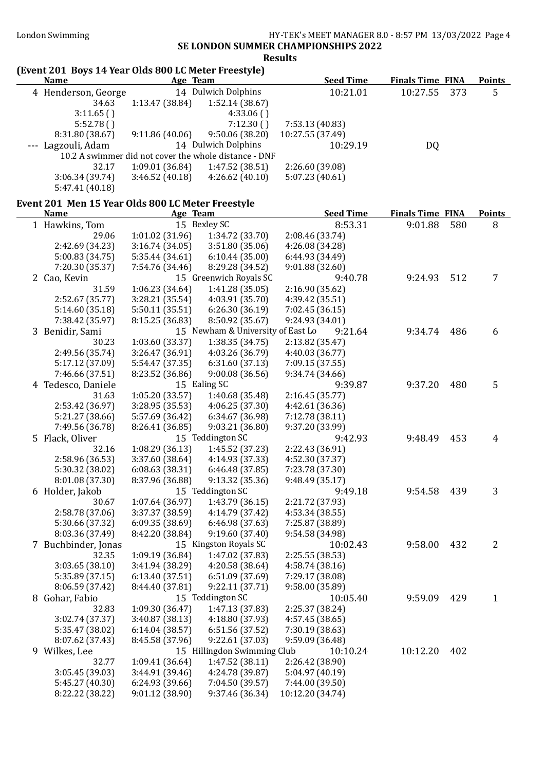### London Swimming HY-TEK's MEET MANAGER 8.0 - 8:57 PM 13/03/2022 Page 4 SE LONDON SUMMER CHAMPIONSHIPS 2022

#### Results

#### (Event 201 Boys 14 Year Olds 800 LC Meter Freestyle) Name Age Team Seed Time Finals Time FINA Points 4 Henderson, George 14 Dulwich Dolphins 10:21.01 10:27.55 373 5 34.63 1:13.47 (38.84) 1:52.14 (38.67) 3:11.65 ( ) 4:33.06 ( ) 5:52.78 ( ) 7:12.30 ( ) 7:53.13 (40.83) 8:31.80 (38.67) 9:11.86 (40.06) 9:50.06 (38.20) 10:27.55 (37.49) --- Lagzouli, Adam 14 Dulwich Dolphins 10:29.19 DQ 10.2 A swimmer did not cover the whole distance - DNF 32.17 1:09.01 (36.84) 1:47.52 (38.51) 2:26.60 (39.08) 3:06.34 (39.74) 3:46.52 (40.18) 4:26.62 (40.10) 5:07.23 (40.61) 5:47.41 (40.18) Event 201 Men 15 Year Olds 800 LC Meter Freestyle Name **Age Team** Seed Time Finals Time FINA Points 1 Hawkins, Tom 15 Bexley SC 8:53.31 9:01.88 580 8 29.06 1:01.02 (31.96) 1:34.72 (33.70) 2:08.46 (33.74) 2:42.69 (34.23) 3:16.74 (34.05) 3:51.80 (35.06) 4:26.08 (34.28) 5:00.83 (34.75) 5:35.44 (34.61) 6:10.44 (35.00) 6:44.93 (34.49) 7:20.30 (35.37) 7:54.76 (34.46) 8:29.28 (34.52) 9:01.88 (32.60) 2 Cao, Kevin 15 Greenwich Royals SC 9:40.78 9:24.93 512 7<br>31.59 1:06.23 (34.64) 1:41.28 (35.05) 2:16.90 (35.62) 31.59 1:06.23 (34.64) 2:52.67 (35.77) 3:28.21 (35.54) 4:03.91 (35.70) 4:39.42 (35.51) 5:14.60 (35.18) 5:50.11 (35.51) 6:26.30 (36.19) 7:02.45 (36.15) 7:38.42 (35.97) 8:15.25 (36.83) 8:50.92 (35.67) 9:24.93 (34.01) 3 Benidir, Sami 15 Newham & University of East Lo 9:21.64 9:34.74 486 6 30.23 1:03.60 (33.37) 1:38.35 (34.75) 2:13.82 (35.47) 2:49.56 (35.74) 3:26.47 (36.91) 4:03.26 (36.79) 4:40.03 (36.77) 5:17.12 (37.09) 5:54.47 (37.35) 6:31.60 (37.13) 7:09.15 (37.55) 7:46.66 (37.51) 8:23.52 (36.86) 9:00.08 (36.56) 9:34.74 (34.66) 4 Tedesco, Daniele 15 Ealing SC 9:39.87 9:37.20 480 5 31.63 1:05.20 (33.57) 1:40.68 (35.48) 2:16.45 (35.77) 2:53.42 (36.97) 3:28.95 (35.53) 4:06.25 (37.30) 4:42.61 (36.36) 5:21.27 (38.66) 5:57.69 (36.42) 6:34.67 (36.98) 7:49.56 (36.78) 8:26.41 (36.85) 9:03.21 (36.80) 9:37.20 (33.99) 5 Flack, Oliver 15 Teddington SC 9:42.93 9:48.49 453 4 32.16 1:08.29 (36.13) 1:45.52 (37.23) 2:22.43 (36.91) 2:58.96 (36.53) 3:37.60 (38.64) 4:14.93 (37.33) 4:52.30 (37.37) 5:30.32 (38.02) 6:08.63 (38.31) 6:46.48 (37.85) 7:23.78 (37.30) 8:01.08 (37.30) 8:37.96 (36.88) 9:13.32 (35.36) 9:48.49 (35.17) 6 Holder, Jakob 15 Teddington SC 9:49.18 9:54.58 439 3 30.67 1:07.64 (36.97) 1:43.79 (36.15) 2:21.72 (37.93) 2:58.78 (37.06) 3:37.37 (38.59) 4:14.79 (37.42) 4:53.34 (38.55) 5:30.66 (37.32) 6:09.35 (38.69) 6:46.98 (37.63) 7:25.87 (38.89) 8:03.36 (37.49) 8:42.20 (38.84) 9:19.60 (37.40) 9:54.58 (34.98) 7 Buchbinder, Jonas 15 Kingston Royals SC 10:02.43 9:58.00 432 2 32.35 1:09.19 (36.84) 3:03.65 (38.10) 3:41.94 (38.29) 4:20.58 (38.64) 4:58.74 (38.16) 5:35.89 (37.15) 6:13.40 (37.51) 6:51.09 (37.69) 7:29.17 (38.08)  $8:06.59(37.42)$   $8:44.40(37.81)$   $9:22.11(37.71)$ 8 Gohar, Fabio 15 Teddington SC 10:05.40 9:59.09 429 1 32.83 1:09.30 (36.47) 1:47.13 (37.83) 2:25.37 (38.24) 3:02.74 (37.37) 3:40.87 (38.13) 4:18.80 (37.93) 4:57.45 (38.65) 5:35.47 (38.02) 6:14.04 (38.57) 6:51.56 (37.52) 7:30.19 (38.63) 8:07.62 (37.43) 8:45.58 (37.96) 9:22.61 (37.03) 9:59.09 (36.48)

9 Wilkes, Lee 15 Hillingdon Swimming Club 10:10.24 10:12.20 402 32.77 1:09.41 (36.64) 1:47.52 (38.11) 2:26.42 (38.90) 3:05.45 (39.03) 3:44.91 (39.46) 4:24.78 (39.87) 5:04.97 (40.19) 5:45.27 (40.30) 6:24.93 (39.66) 7:04.50 (39.57) 7:44.00 (39.50)

8:22.22 (38.22) 9:01.12 (38.90) 9:37.46 (36.34) 10:12.20 (34.74)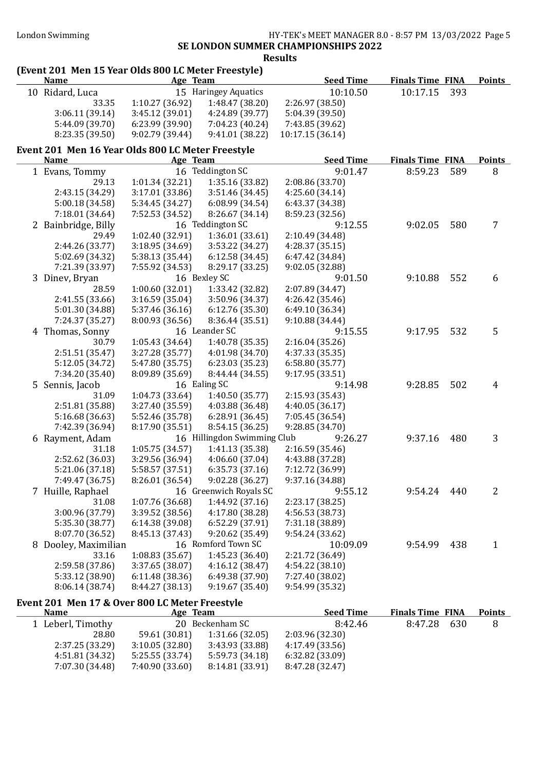#### London Swimming HY-TEK's MEET MANAGER 8.0 - 8:57 PM 13/03/2022 Page 5 SE LONDON SUMMER CHAMPIONSHIPS 2022

Results

## (Event 201 Men 15 Year Olds 800 LC Meter Freestyle)

| <b>Name</b>     | Age Team       |                      | <b>Seed Time</b> | <b>Finals Time FINA</b> | <b>Points</b> |
|-----------------|----------------|----------------------|------------------|-------------------------|---------------|
| 10 Ridard, Luca |                | 15 Haringey Aquatics | 10:10.50         | 10:17.15 393            |               |
| 33.35           | 1:10.27(36.92) | 1:48.47 (38.20)      | 2:26.97(38.50)   |                         |               |
| 3:06.11(39.14)  | 3:45.12(39.01) | 4:24.89(39.77)       | 5:04.39 (39.50)  |                         |               |
| 5:44.09 (39.70) | 6:23.99(39.90) | 7:04.23 (40.24)      | 7:43.85 (39.62)  |                         |               |
| 8:23.35 (39.50) | 9:02.79(39.44) | 9:41.01(38.22)       | 10:17.15 (36.14) |                         |               |

## Event 201 Men 16 Year Olds 800 LC Meter Freestyle

| <b>Name</b>          | Age Team        |                             | <b>Seed Time</b> | <b>Finals Time FINA</b> |     | <b>Points</b> |
|----------------------|-----------------|-----------------------------|------------------|-------------------------|-----|---------------|
| 1 Evans, Tommy       |                 | 16 Teddington SC            | 9:01.47          | 8:59.23                 | 589 | 8             |
| 29.13                | 1:01.34 (32.21) | 1:35.16 (33.82)             | 2:08.86 (33.70)  |                         |     |               |
| 2:43.15 (34.29)      | 3:17.01 (33.86) | 3:51.46 (34.45)             | 4:25.60 (34.14)  |                         |     |               |
| 5:00.18 (34.58)      | 5:34.45 (34.27) | 6:08.99 (34.54)             | 6:43.37 (34.38)  |                         |     |               |
| 7:18.01 (34.64)      | 7:52.53 (34.52) | 8:26.67 (34.14)             | 8:59.23 (32.56)  |                         |     |               |
| 2 Bainbridge, Billy  |                 | 16 Teddington SC            | 9:12.55          | 9:02.05                 | 580 | 7             |
| 29.49                | 1:02.40 (32.91) | 1:36.01(33.61)              | 2:10.49 (34.48)  |                         |     |               |
| 2:44.26 (33.77)      | 3:18.95 (34.69) | 3:53.22 (34.27)             | 4:28.37(35.15)   |                         |     |               |
| 5:02.69 (34.32)      | 5:38.13 (35.44) | 6:12.58(34.45)              | 6:47.42 (34.84)  |                         |     |               |
| 7:21.39 (33.97)      | 7:55.92 (34.53) | 8:29.17 (33.25)             | 9:02.05 (32.88)  |                         |     |               |
| 3 Dinev, Bryan       |                 | 16 Bexley SC                | 9:01.50          | 9:10.88                 | 552 | 6             |
| 28.59                | 1:00.60(32.01)  | 1:33.42 (32.82)             | 2:07.89 (34.47)  |                         |     |               |
| 2:41.55 (33.66)      | 3:16.59(35.04)  | 3:50.96 (34.37)             | 4:26.42 (35.46)  |                         |     |               |
| 5:01.30 (34.88)      | 5:37.46 (36.16) | 6:12.76(35.30)              | 6:49.10 (36.34)  |                         |     |               |
| 7:24.37 (35.27)      | 8:00.93 (36.56) | 8:36.44 (35.51)             | 9:10.88 (34.44)  |                         |     |               |
| 4 Thomas, Sonny      |                 | 16 Leander SC               | 9:15.55          | 9:17.95                 | 532 | 5             |
| 30.79                | 1:05.43(34.64)  | 1:40.78 (35.35)             | 2:16.04 (35.26)  |                         |     |               |
| 2:51.51 (35.47)      | 3:27.28 (35.77) | 4:01.98 (34.70)             | 4:37.33 (35.35)  |                         |     |               |
| 5:12.05 (34.72)      | 5:47.80 (35.75) | 6:23.03 (35.23)             | 6:58.80(35.77)   |                         |     |               |
| 7:34.20 (35.40)      | 8:09.89 (35.69) | 8:44.44 (34.55)             | 9:17.95 (33.51)  |                         |     |               |
| 5 Sennis, Jacob      |                 | 16 Ealing SC                | 9:14.98          | 9:28.85                 | 502 | 4             |
| 31.09                | 1:04.73 (33.64) | 1:40.50(35.77)              | 2:15.93 (35.43)  |                         |     |               |
| 2:51.81 (35.88)      | 3:27.40 (35.59) | 4:03.88 (36.48)             | 4:40.05(36.17)   |                         |     |               |
| 5:16.68 (36.63)      | 5:52.46 (35.78) | 6:28.91 (36.45)             | 7:05.45 (36.54)  |                         |     |               |
| 7:42.39 (36.94)      | 8:17.90 (35.51) | 8:54.15 (36.25)             | 9:28.85 (34.70)  |                         |     |               |
| 6 Rayment, Adam      |                 | 16 Hillingdon Swimming Club | 9:26.27          | 9:37.16                 | 480 | 3             |
| 31.18                | 1:05.75(34.57)  | 1:41.13 (35.38)             | 2:16.59(35.46)   |                         |     |               |
| 2:52.62 (36.03)      | 3:29.56 (36.94) | 4:06.60 (37.04)             | 4:43.88 (37.28)  |                         |     |               |
| 5:21.06 (37.18)      | 5:58.57 (37.51) | 6:35.73(37.16)              | 7:12.72 (36.99)  |                         |     |               |
| 7:49.47 (36.75)      | 8:26.01 (36.54) | 9:02.28(36.27)              | 9:37.16 (34.88)  |                         |     |               |
| 7 Huille, Raphael    |                 | 16 Greenwich Royals SC      | 9:55.12          | 9:54.24                 | 440 | 2             |
| 31.08                | 1:07.76 (36.68) | 1:44.92 (37.16)             | 2:23.17 (38.25)  |                         |     |               |
| 3:00.96 (37.79)      | 3:39.52 (38.56) | 4:17.80 (38.28)             | 4:56.53 (38.73)  |                         |     |               |
| 5:35.30 (38.77)      | 6:14.38(39.08)  | 6:52.29 (37.91)             | 7:31.18 (38.89)  |                         |     |               |
| 8:07.70 (36.52)      | 8:45.13 (37.43) | 9:20.62 (35.49)             | 9:54.24 (33.62)  |                         |     |               |
| 8 Dooley, Maximilian |                 | 16 Romford Town SC          | 10:09.09         | 9:54.99                 | 438 | $\mathbf{1}$  |
| 33.16                | 1:08.83(35.67)  | 1:45.23(36.40)              | 2:21.72 (36.49)  |                         |     |               |
| 2:59.58 (37.86)      | 3:37.65 (38.07) | 4:16.12(38.47)              | 4:54.22 (38.10)  |                         |     |               |
| 5:33.12 (38.90)      | 6:11.48(38.36)  | 6:49.38 (37.90)             | 7:27.40 (38.02)  |                         |     |               |
| 8:06.14 (38.74)      | 8:44.27 (38.13) | 9:19.67 (35.40)             | 9:54.99 (35.32)  |                         |     |               |

# Event 201 Men 17 & Over 800 LC Meter Freestyle

| <b>Name</b>       | Age Team        |                 | <b>Seed Time</b> | <b>Finals Time FINA</b> |      | <b>Points</b> |
|-------------------|-----------------|-----------------|------------------|-------------------------|------|---------------|
| 1 Leberl, Timothy |                 | 20 Beckenham SC | 8:42.46          | 8:47.28                 | -630 | 8             |
| 28.80             | 59.61 (30.81)   | 1:31.66(32.05)  | 2:03.96 (32.30)  |                         |      |               |
| 2:37.25 (33.29)   | 3:10.05(32.80)  | 3:43.93 (33.88) | 4:17.49 (33.56)  |                         |      |               |
| 4:51.81 (34.32)   | 5:25.55 (33.74) | 5:59.73 (34.18) | 6:32.82(33.09)   |                         |      |               |
| 7:07.30 (34.48)   | 7:40.90 (33.60) | 8:14.81(33.91)  | 8:47.28 (32.47)  |                         |      |               |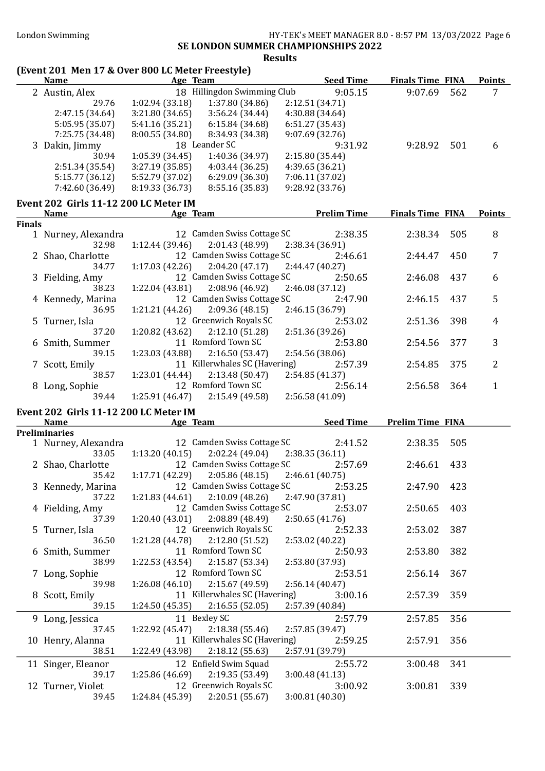#### London Swimming **HY-TEK's MEET MANAGER 8.0 - 8:57 PM 13/03/2022** Page 6 SE LONDON SUMMER CHAMPIONSHIPS 2022 Results

# (Event 201 Men 17 & Over 800 LC Meter Freestyle)

|               |                                       | (Event 201  Men 17 & Over 800 LC Meter Freestyle)                     | <b>Seed Time</b>                  | <b>Finals Time FINA</b> |     |                |
|---------------|---------------------------------------|-----------------------------------------------------------------------|-----------------------------------|-------------------------|-----|----------------|
|               | <b>Name</b>                           | Age Team<br>18 Hillingdon Swimming Club                               | 9:05.15                           | 9:07.69                 | 562 | <u>Points</u>  |
|               | 2 Austin, Alex<br>29.76               |                                                                       |                                   |                         |     | 7              |
|               | 2:47.15 (34.64)                       | 1:02.94(33.18)<br>1:37.80 (34.86)<br>3:56.24(34.44)<br>3:21.80(34.65) | 2:12.51(34.71)<br>4:30.88 (34.64) |                         |     |                |
|               | 5:05.95 (35.07)                       | 5:41.16(35.21)<br>6:15.84 (34.68)                                     | 6:51.27(35.43)                    |                         |     |                |
|               | 7:25.75 (34.48)                       | 8:00.55 (34.80)<br>8:34.93 (34.38)                                    | 9:07.69(32.76)                    |                         |     |                |
|               |                                       | 18 Leander SC                                                         | 9:31.92                           | 9:28.92                 | 501 |                |
|               | 3 Dakin, Jimmy<br>30.94               | 1:05.39(34.45)<br>1:40.36 (34.97)                                     | 2:15.80 (35.44)                   |                         |     | 6              |
|               | 2:51.34 (35.54)                       | 3:27.19(35.85)<br>4:03.44(36.25)                                      | 4:39.65 (36.21)                   |                         |     |                |
|               | 5:15.77 (36.12)                       | 5:52.79 (37.02)<br>6:29.09(36.30)                                     | 7:06.11 (37.02)                   |                         |     |                |
|               | 7:42.60 (36.49)                       | 8:19.33 (36.73)<br>8:55.16 (35.83)                                    | 9:28.92 (33.76)                   |                         |     |                |
|               |                                       |                                                                       |                                   |                         |     |                |
|               | Event 202 Girls 11-12 200 LC Meter IM |                                                                       |                                   |                         |     |                |
|               | <b>Name</b>                           | Age Team                                                              | <b>Prelim Time</b>                | <b>Finals Time FINA</b> |     | <b>Points</b>  |
| <b>Finals</b> | 1 Nurney, Alexandra                   | 12 Camden Swiss Cottage SC                                            | 2:38.35                           | 2:38.34                 | 505 | 8              |
|               | 32.98                                 | 1:12.44(39.46)<br>2:01.43 (48.99)                                     | 2:38.34 (36.91)                   |                         |     |                |
|               | 2 Shao, Charlotte                     | 12 Camden Swiss Cottage SC                                            | 2:46.61                           | 2:44.47                 | 450 | 7              |
|               | 34.77                                 | 1:17.03(42.26)<br>2:04.20 (47.17)                                     | 2:44.47(40.27)                    |                         |     |                |
|               | 3 Fielding, Amy                       | 12 Camden Swiss Cottage SC                                            | 2:50.65                           | 2:46.08                 | 437 | 6              |
|               | 38.23                                 | 1:22.04 (43.81)<br>2:08.96 (46.92)                                    | 2:46.08(37.12)                    |                         |     |                |
|               | 4 Kennedy, Marina                     | 12 Camden Swiss Cottage SC                                            | 2:47.90                           | 2:46.15                 | 437 | 5              |
|               | 36.95                                 | 1:21.21 (44.26)<br>2:09.36(48.15)                                     | 2:46.15 (36.79)                   |                         |     |                |
|               | 5 Turner, Isla                        | 12 Greenwich Royals SC                                                | 2:53.02                           | 2:51.36                 | 398 | 4              |
|               | 37.20                                 | 1:20.82 (43.62)<br>2:12.10 (51.28)                                    | 2:51.36 (39.26)                   |                         |     |                |
|               | 6 Smith, Summer                       | 11 Romford Town SC                                                    | 2:53.80                           | 2:54.56                 | 377 | 3              |
|               | 39.15                                 | 1:23.03 (43.88)<br>2:16.50(53.47)                                     | 2:54.56 (38.06)                   |                         |     |                |
|               | 7 Scott, Emily                        | 11 Killerwhales SC (Havering)                                         | 2:57.39                           | 2:54.85                 | 375 | $\overline{2}$ |
|               | 38.57                                 | 2:13.48(50.47)<br>1:23.01(44.44)                                      | 2:54.85 (41.37)                   |                         |     |                |
|               | 8 Long, Sophie                        | 12 Romford Town SC                                                    | 2:56.14                           | 2:56.58                 | 364 | $\mathbf{1}$   |
|               | 39.44                                 | 2:15.49(49.58)<br>1:25.91(46.47)                                      | 2:56.58(41.09)                    |                         |     |                |
|               |                                       |                                                                       |                                   |                         |     |                |
|               | Event 202 Girls 11-12 200 LC Meter IM |                                                                       | <b>Seed Time</b>                  |                         |     |                |
|               | <b>Name</b><br><b>Preliminaries</b>   | Age Team                                                              |                                   | <b>Prelim Time FINA</b> |     |                |
|               | 1 Nurney, Alexandra                   | 12 Camden Swiss Cottage SC                                            | 2:41.52                           | 2:38.35                 | 505 |                |
|               | 33.05                                 | 2:02.24(49.04)<br>1:13.20(40.15)                                      | 2:38.35(36.11)                    |                         |     |                |
|               | 2 Shao, Charlotte                     | 12 Camden Swiss Cottage SC                                            | 2:57.69                           | 2:46.61                 | 433 |                |
|               | 35.42                                 | 1:17.71 (42.29)<br>2:05.86(48.15)                                     | 2:46.61(40.75)                    |                         |     |                |
|               | 3 Kennedy, Marina                     | 12 Camden Swiss Cottage SC                                            | 2:53.25                           | 2:47.90                 | 423 |                |
|               | 37.22                                 | 2:10.09(48.26)<br>1:21.83(44.61)                                      | 2:47.90 (37.81)                   |                         |     |                |
|               | 4 Fielding, Amy                       | 12 Camden Swiss Cottage SC                                            | 2:53.07                           | 2:50.65                 | 403 |                |
|               | 37.39                                 | 2:08.89 (48.49)<br>1:20.40(43.01)                                     | 2:50.65(41.76)                    |                         |     |                |
|               | 5 Turner, Isla                        | 12 Greenwich Royals SC                                                | 2:52.33                           | 2:53.02                 | 387 |                |
|               | 36.50                                 | 2:12.80 (51.52)<br>1:21.28 (44.78)                                    | 2:53.02 (40.22)                   |                         |     |                |
|               | 6 Smith, Summer                       | 11 Romford Town SC                                                    | 2:50.93                           | 2:53.80                 | 382 |                |
|               | 38.99                                 | 2:15.87 (53.34)<br>1:22.53 (43.54)                                    | 2:53.80 (37.93)                   |                         |     |                |
|               | 7 Long, Sophie                        | 12 Romford Town SC                                                    | 2:53.51                           | 2:56.14                 | 367 |                |
|               | 39.98                                 | 2:15.67 (49.59)<br>1:26.08(46.10)                                     | 2:56.14(40.47)                    |                         |     |                |
|               | 8 Scott, Emily                        | 11 Killerwhales SC (Havering)                                         | 3:00.16                           | 2:57.39                 | 359 |                |
|               | 39.15                                 | 2:16.55(52.05)<br>1:24.50 (45.35)                                     | 2:57.39 (40.84)                   |                         |     |                |
|               | 9 Long, Jessica                       | 11 Bexley SC                                                          | 2:57.79                           | 2:57.85                 | 356 |                |
|               | 37.45                                 | 2:18.38(55.46)<br>1:22.92 (45.47)                                     | 2:57.85 (39.47)                   |                         |     |                |
|               | 10 Henry, Alanna                      | 11 Killerwhales SC (Havering)                                         | 2:59.25                           | 2:57.91                 | 356 |                |
|               | 38.51                                 | 2:18.12(55.63)<br>1:22.49 (43.98)                                     | 2:57.91 (39.79)                   |                         |     |                |
|               |                                       |                                                                       |                                   |                         |     |                |
|               | 11 Singer, Eleanor                    | 12 Enfield Swim Squad                                                 | 2:55.72                           | 3:00.48                 | 341 |                |
|               | 39.17                                 | 2:19.35 (53.49)<br>1:25.86 (46.69)                                    | 3:00.48(41.13)                    |                         |     |                |
|               |                                       |                                                                       |                                   |                         |     |                |
|               | 12 Turner, Violet<br>39.45            | 12 Greenwich Royals SC<br>2:20.51(55.67)<br>1:24.84 (45.39)           | 3:00.92<br>3:00.81 (40.30)        | 3:00.81                 | 339 |                |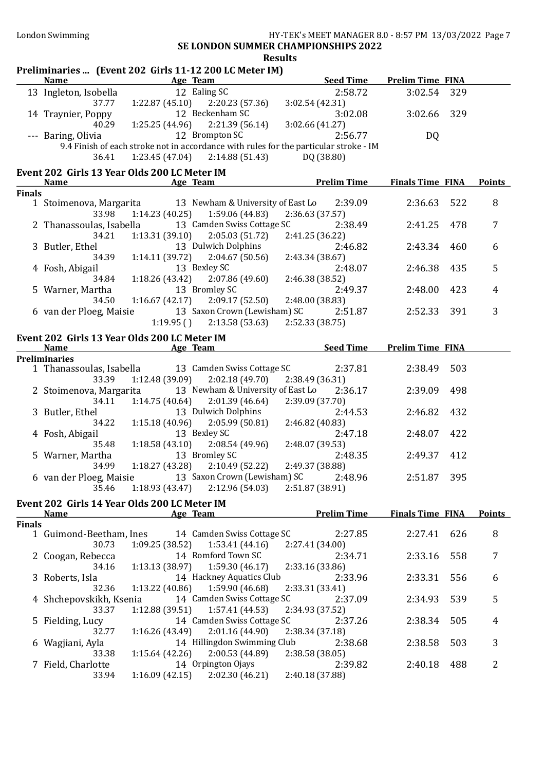# Results

| Preliminaries  (Event 202 Girls 11-12 200 LC Meter IM) |                                                             |                           |                                                     |                                                                                                  |                         |     |                |
|--------------------------------------------------------|-------------------------------------------------------------|---------------------------|-----------------------------------------------------|--------------------------------------------------------------------------------------------------|-------------------------|-----|----------------|
|                                                        | <b>Name</b>                                                 | Age Team                  |                                                     | <b>Seed Time</b>                                                                                 | <b>Prelim Time FINA</b> |     |                |
|                                                        | 13 Ingleton, Isobella                                       |                           | 12 Ealing SC                                        | 2:58.72                                                                                          | 3:02.54 329             |     |                |
|                                                        | 37.77                                                       |                           | $1:22.87(45.10)$ $2:20.23(57.36)$                   | 3:02.54(42.31)                                                                                   |                         |     |                |
|                                                        | 14 Traynier, Poppy                                          |                           | 12 Beckenham SC                                     | 3:02.08                                                                                          | 3:02.66 329             |     |                |
|                                                        | 40.29                                                       |                           | $1:25.25(44.96)$ $2:21.39(56.14)$<br>12 Brompton SC | 3:02.66(41.27)                                                                                   |                         |     |                |
|                                                        | --- Baring, Olivia                                          |                           |                                                     | 2:56.77<br>9.4 Finish of each stroke not in accordance with rules for the particular stroke - IM | DQ                      |     |                |
|                                                        | 36.41                                                       |                           | $1:23.45(47.04)$ $2:14.88(51.43)$                   | DQ (38.80)                                                                                       |                         |     |                |
|                                                        |                                                             |                           |                                                     |                                                                                                  |                         |     |                |
|                                                        | Event 202 Girls 13 Year Olds 200 LC Meter IM<br><b>Name</b> |                           |                                                     | <b>Example 2018</b> Age Team <b>Prelim Time</b>                                                  | <b>Finals Time FINA</b> |     | <b>Points</b>  |
| <b>Finals</b>                                          |                                                             |                           |                                                     |                                                                                                  |                         |     |                |
|                                                        | 1 Stoimenova, Margarita                                     |                           | 13 Newham & University of East Lo                   | 2:39.09                                                                                          | 2:36.63 522             |     | 8              |
|                                                        | 33.98                                                       | 1:14.23(40.25)            | 1:59.06 (44.83)                                     | 2:36.63 (37.57)                                                                                  |                         |     |                |
|                                                        | 2 Thanassoulas, Isabella                                    |                           | 13 Camden Swiss Cottage SC                          | 2:38.49                                                                                          | 2:41.25                 | 478 | 7              |
|                                                        | 34.21                                                       | 1:13.31(39.10)            | 2:05.03(51.72)                                      | 2:41.25 (36.22)                                                                                  |                         |     |                |
|                                                        | 3 Butler, Ethel                                             |                           | 13 Dulwich Dolphins                                 | 2:46.82                                                                                          | 2:43.34                 | 460 | 6              |
|                                                        | 34.39                                                       | 1:14.11(39.72)            | 2:04.67(50.56)                                      | 2:43.34 (38.67)                                                                                  |                         |     |                |
|                                                        | 4 Fosh, Abigail                                             |                           | 13 Bexley SC                                        | 2:48.07                                                                                          | 2:46.38                 | 435 | 5              |
|                                                        | 34.84                                                       | 1:18.26(43.42)            | 2:07.86(49.60)<br>13 Bromley SC                     | 2:46.38 (38.52)<br>2:49.37                                                                       | 2:48.00                 |     | $\overline{4}$ |
|                                                        | 5 Warner, Martha<br>34.50                                   | 1:16.67(42.17)            | 2:09.17(52.50)                                      | 2:48.00 (38.83)                                                                                  |                         | 423 |                |
|                                                        | 6 van der Ploeg, Maisie                                     |                           | 13 Saxon Crown (Lewisham) SC                        | 2:51.87                                                                                          | 2:52.33                 | 391 | 3              |
|                                                        |                                                             | 1:19.95()                 | 2:13.58(53.63)                                      | 2:52.33 (38.75)                                                                                  |                         |     |                |
|                                                        | Event 202 Girls 13 Year Olds 200 LC Meter IM                |                           |                                                     |                                                                                                  |                         |     |                |
|                                                        | <b>Name</b>                                                 | <b>Example 2</b> Age Team |                                                     | <b>Seed Time</b>                                                                                 | <b>Prelim Time FINA</b> |     |                |
|                                                        | <b>Preliminaries</b>                                        |                           |                                                     |                                                                                                  |                         |     |                |
|                                                        | 1 Thanassoulas, Isabella                                    |                           | 13 Camden Swiss Cottage SC                          | 2:37.81                                                                                          | 2:38.49                 | 503 |                |
|                                                        | 33.39                                                       | 1:12.48(39.09)            | 2:02.18(49.70)                                      | 2:38.49 (36.31)                                                                                  |                         |     |                |
|                                                        | 2 Stoimenova, Margarita                                     |                           | 13 Newham & University of East Lo                   | 2:36.17                                                                                          | 2:39.09                 | 498 |                |
|                                                        | 34.11                                                       | 1:14.75(40.64)            | 2:01.39(46.64)                                      | 2:39.09 (37.70)                                                                                  |                         |     |                |
|                                                        | 3 Butler, Ethel                                             |                           | 13 Dulwich Dolphins                                 | 2:44.53                                                                                          | 2:46.82                 | 432 |                |
|                                                        | 34.22                                                       | 1:15.18(40.96)            | 2:05.99(50.81)<br>13 Bexley SC                      | 2:46.82 (40.83)<br>2:47.18                                                                       | 2:48.07 422             |     |                |
|                                                        | 4 Fosh, Abigail<br>35.48                                    | 1:18.58(43.10)            | 2:08.54(49.96)                                      | 2:48.07 (39.53)                                                                                  |                         |     |                |
|                                                        | 5 Warner, Martha                                            |                           | 13 Bromley SC                                       | 2:48.35                                                                                          | 2:49.37                 | 412 |                |
|                                                        | 34.99                                                       |                           | $1:18.27(43.28)$ $2:10.49(52.22)$                   | 2:49.37 (38.88)                                                                                  |                         |     |                |
|                                                        | 6 van der Ploeg, Maisie                                     |                           | 13 Saxon Crown (Lewisham) SC                        | 2:48.96                                                                                          | 2:51.87 395             |     |                |
|                                                        | 35.46                                                       | 1:18.93(43.47)            | 2:12.96(54.03)                                      | 2:51.87 (38.91)                                                                                  |                         |     |                |
|                                                        | Event 202 Girls 14 Year Olds 200 LC Meter IM                |                           |                                                     |                                                                                                  |                         |     |                |
|                                                        | <u>Name</u>                                                 | Age Team                  |                                                     | <b>Prelim Time</b>                                                                               | <b>Finals Time FINA</b> |     | <b>Points</b>  |
| <b>Finals</b>                                          |                                                             |                           |                                                     |                                                                                                  |                         |     |                |
|                                                        | 1 Guimond-Beetham, Ines                                     |                           | 14 Camden Swiss Cottage SC                          | 2:27.85                                                                                          | 2:27.41                 | 626 | 8              |
|                                                        | 30.73                                                       | 1:09.25(38.52)            | 1:53.41(44.16)                                      | 2:27.41 (34.00)                                                                                  |                         |     |                |
|                                                        | 2 Coogan, Rebecca                                           |                           | 14 Romford Town SC                                  | 2:34.71                                                                                          | 2:33.16                 | 558 | 7              |
|                                                        | 34.16                                                       | 1:13.13(38.97)            | 1:59.30(46.17)<br>14 Hackney Aquatics Club          | 2:33.16 (33.86)<br>2:33.96                                                                       | 2:33.31                 | 556 |                |
|                                                        | 3 Roberts, Isla<br>32.36                                    | 1:13.22(40.86)            | 1:59.90 (46.68)                                     | 2:33.31 (33.41)                                                                                  |                         |     | 6              |
|                                                        | 4 Shchepovskikh, Ksenia                                     |                           | 14 Camden Swiss Cottage SC                          | 2:37.09                                                                                          | 2:34.93                 | 539 | 5              |
|                                                        | 33.37                                                       | 1:12.88(39.51)            | 1:57.41 (44.53)                                     | 2:34.93 (37.52)                                                                                  |                         |     |                |
|                                                        | 5 Fielding, Lucy                                            |                           | 14 Camden Swiss Cottage SC                          | 2:37.26                                                                                          | 2:38.34                 | 505 | 4              |
|                                                        | 32.77                                                       | 1:16.26(43.49)            | 2:01.16(44.90)                                      | 2:38.34 (37.18)                                                                                  |                         |     |                |
|                                                        | 6 Wagjiani, Ayla                                            |                           | 14 Hillingdon Swimming Club                         | 2:38.68                                                                                          | 2:38.58                 | 503 | 3              |
|                                                        | 33.38                                                       | 1:15.64(42.26)            | 2:00.53 (44.89)                                     | 2:38.58 (38.05)                                                                                  |                         |     |                |
|                                                        | 7 Field, Charlotte                                          |                           | 14 Orpington Ojays                                  | 2:39.82                                                                                          | 2:40.18                 | 488 | $\overline{2}$ |
|                                                        | 33.94                                                       | 1:16.09(42.15)            | 2:02.30 (46.21)                                     | 2:40.18 (37.88)                                                                                  |                         |     |                |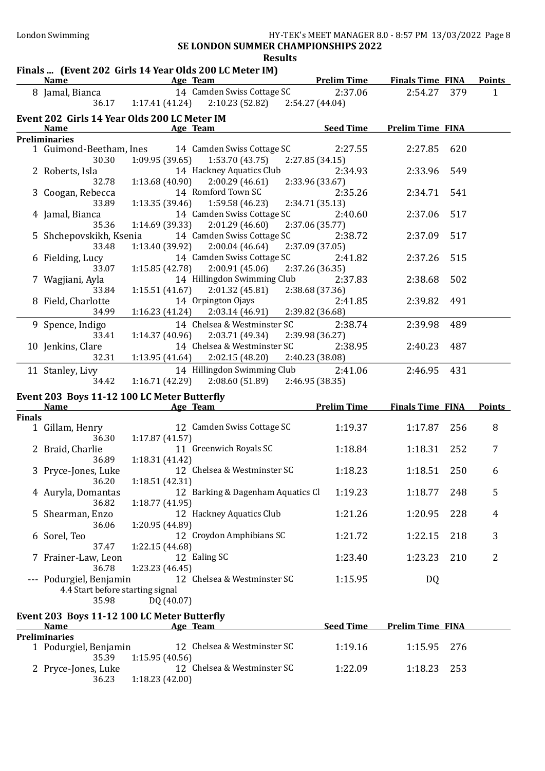## Finals ... (Event 202 Girls 14 Year Olds 200 LC Meter IM)

|               | <b>Name</b>                                  | <b>Example 2016</b> Age Team | THIAIS  TEVENT 202 GILLS IT TEAT ONG 200 EG METEL IMP      |                 |                  | <b>Example 1 Prelim Time Finals Time FINA</b> |     | <b>Points</b> |
|---------------|----------------------------------------------|------------------------------|------------------------------------------------------------|-----------------|------------------|-----------------------------------------------|-----|---------------|
|               |                                              |                              | 8 Jamal, Bianca 14 Camden Swiss Cottage SC                 |                 | 2:37.06          | 2:54.27 379                                   |     | $\mathbf{1}$  |
|               |                                              |                              | 36.17 1:17.41 (41.24) 2:10.23 (52.82) 2:54.27 (44.04)      |                 |                  |                                               |     |               |
|               | Event 202 Girls 14 Year Olds 200 LC Meter IM |                              |                                                            |                 |                  |                                               |     |               |
|               | Name                                         | <b>Example 2016</b> Age Team |                                                            |                 | <b>Seed Time</b> | <b>Prelim Time FINA</b>                       |     |               |
|               | <b>Preliminaries</b>                         |                              |                                                            |                 |                  |                                               |     |               |
|               |                                              |                              | 1 Guimond-Beetham, Ines 14 Camden Swiss Cottage SC 2:27.55 |                 |                  | 2:27.85                                       | 620 |               |
|               | 30.30                                        |                              | $1:09.95(39.65)$ $1:53.70(43.75)$                          | 2:27.85 (34.15) |                  |                                               |     |               |
|               | 2 Roberts, Isla                              |                              | 14 Hackney Aquatics Club                                   |                 | 2:34.93          | 2:33.96                                       | 549 |               |
|               | 32.78                                        |                              | $1:13.68(40.90)$ $2:00.29(46.61)$                          | 2:33.96 (33.67) |                  |                                               |     |               |
|               | 3 Coogan, Rebecca                            |                              | 14 Romford Town SC                                         |                 | 2:35.26          | 2:34.71                                       | 541 |               |
|               | 33.89                                        |                              | $1:13.35(39.46)$ $1:59.58(46.23)$                          | 2:34.71 (35.13) |                  |                                               |     |               |
|               | 4 Jamal, Bianca                              |                              | 14 Camden Swiss Cottage SC                                 |                 | 2:40.60          | 2:37.06                                       | 517 |               |
|               | 35.36                                        |                              | $1:14.69(39.33)$ $2:01.29(46.60)$                          | 2:37.06 (35.77) |                  |                                               |     |               |
|               | 5 Shchepovskikh, Ksenia                      |                              | 14 Camden Swiss Cottage SC                                 |                 | 2:38.72          | 2:37.09                                       | 517 |               |
|               | 33.48                                        |                              | $1:13.40(39.92)$ $2:00.04(46.64)$                          | 2:37.09 (37.05) |                  |                                               |     |               |
|               | 6 Fielding, Lucy                             |                              | 14 Camden Swiss Cottage SC                                 |                 | 2:41.82          | 2:37.26                                       | 515 |               |
|               | 33.07                                        |                              | $1:15.85(42.78)$ $2:00.91(45.06)$                          | 2:37.26 (36.35) |                  |                                               |     |               |
|               | 7 Wagjiani, Ayla                             |                              | 14 Hillingdon Swimming Club                                |                 | 2:37.83          | 2:38.68                                       | 502 |               |
|               | 33.84                                        |                              | $1:15.51(41.67)$ $2:01.32(45.81)$ $2:38.68(37.36)$         |                 |                  |                                               |     |               |
|               | 8 Field, Charlotte                           |                              | 14 Orpington Ojays                                         |                 | 2:41.85          | 2:39.82                                       | 491 |               |
|               | 34.99                                        |                              | $1:16.23(41.24)$ $2:03.14(46.91)$                          | 2:39.82 (36.68) |                  |                                               |     |               |
|               | 9 Spence, Indigo                             |                              | 14 Chelsea & Westminster SC                                |                 | 2:38.74          | 2:39.98                                       | 489 |               |
|               | 33.41                                        |                              | $1:14.37(40.96)$ $2:03.71(49.34)$                          | 2:39.98 (36.27) |                  |                                               |     |               |
|               | 10 Jenkins, Clare                            |                              | 14 Chelsea & Westminster SC                                |                 | 2:38.95          | 2:40.23                                       | 487 |               |
|               | 32.31                                        |                              | $1:13.95(41.64)$ $2:02.15(48.20)$                          | 2:40.23 (38.08) |                  |                                               |     |               |
|               | 11 Stanley, Livy                             |                              | 14 Hillingdon Swimming Club                                |                 | 2:41.06          | 2:46.95                                       | 431 |               |
|               | 34.42                                        |                              | $1:16.71(42.29)$ $2:08.60(51.89)$ $2:46.95(38.35)$         |                 |                  |                                               |     |               |
|               | Event 203 Boys 11-12 100 LC Meter Butterfly  |                              |                                                            |                 |                  |                                               |     |               |
|               | Name Age Team                                |                              |                                                            |                 |                  | <u>Frelim Time Finals Time FINA</u>           |     | <b>Points</b> |
| <b>Finals</b> |                                              |                              |                                                            |                 |                  |                                               |     |               |
|               | 1 Gillam, Henry                              |                              | 12 Camden Swiss Cottage SC                                 |                 | 1:19.37          | 1:17.87                                       | 256 | 8             |
|               | 36.30                                        | 1:17.87 (41.57)              |                                                            |                 |                  |                                               |     |               |
|               | 2 Braid, Charlie                             |                              | 11 Greenwich Royals SC                                     |                 | 1:18.84          | 1:18.31                                       | 252 | 7             |
|               | 36.89                                        | 1:18.31(41.42)               |                                                            |                 |                  |                                               |     |               |
|               | 3 Pryce-Jones, Luke                          |                              | 12 Chelsea & Westminster SC                                |                 | 1:18.23          | 1:18.51                                       | 250 | 6             |
|               | 36.20                                        | 1:18.51(42.31)               |                                                            |                 |                  |                                               |     |               |
|               | 4 Auryla, Domantas                           |                              | 12 Barking & Dagenham Aquatics Cl                          |                 | 1:19.23          | 1:18.77                                       | 248 | 5             |
|               | 36.82                                        | 1:18.77(41.95)               |                                                            |                 |                  |                                               |     |               |
|               | 5 Shearman, Enzo                             |                              | 12 Hackney Aquatics Club                                   |                 | 1:21.26          | 1:20.95                                       | 228 | 4             |
|               | 36.06                                        | 1:20.95 (44.89)              |                                                            |                 |                  |                                               |     |               |
|               | 6 Sorel, Teo                                 |                              | 12 Croydon Amphibians SC                                   |                 | 1:21.72          | 1:22.15                                       | 218 | 3             |
|               | 37.47                                        | 1:22.15 (44.68)              |                                                            |                 |                  |                                               |     |               |
|               | 7 Frainer-Law, Leon                          |                              | 12 Ealing SC                                               |                 | 1:23.40          | 1:23.23                                       | 210 | 2             |
|               | 36.78                                        | 1:23.23 (46.45)              |                                                            |                 |                  |                                               |     |               |
|               | --- Podurgiel, Benjamin                      |                              | 12 Chelsea & Westminster SC                                |                 | 1:15.95          | <b>DQ</b>                                     |     |               |
|               | 4.4 Start before starting signal             |                              |                                                            |                 |                  |                                               |     |               |
|               | 35.98                                        | DQ (40.07)                   |                                                            |                 |                  |                                               |     |               |
|               | Event 203 Boys 11-12 100 LC Meter Butterfly  |                              |                                                            |                 |                  |                                               |     |               |
|               | <b>Name</b>                                  |                              | Age Team                                                   |                 | <b>Seed Time</b> | <b>Prelim Time FINA</b>                       |     |               |

| <b>Name</b>           | <b>Age Ieam</b>             | seed lime | <b>Prelim Time FINA</b> |  |
|-----------------------|-----------------------------|-----------|-------------------------|--|
| <b>Preliminaries</b>  |                             |           |                         |  |
| 1 Podurgiel, Benjamin | 12 Chelsea & Westminster SC | 1:19.16   | 1:15.95 276             |  |
| 35.39                 | 1:15.95 (40.56)             |           |                         |  |
| 2 Pryce-Jones, Luke   | 12 Chelsea & Westminster SC | 1:22.09   | 1:18.23 253             |  |
| 36.23                 | 1:18.23 (42.00)             |           |                         |  |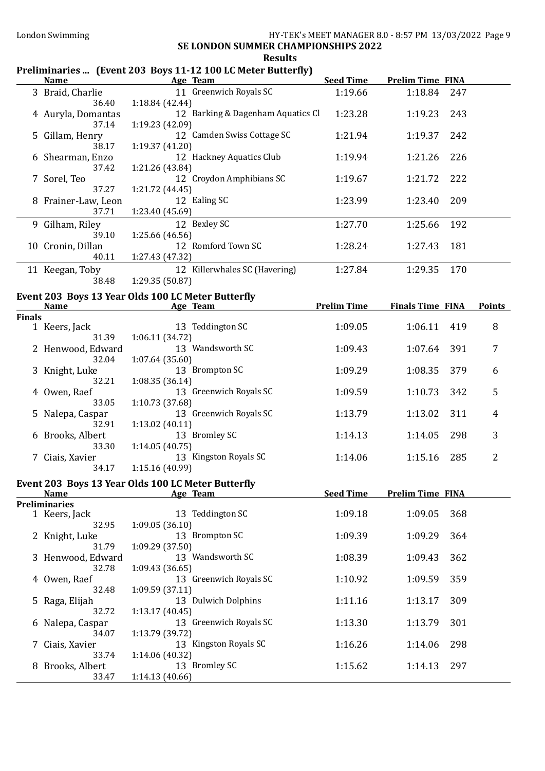## Preliminaries ... (Event 203 Boys 11-12 100 LC Meter Butterfly)

|               |                                                                                                                                                                                                                                                                                     |                 | Age Team                          | <b>Seed Time</b>   | <b>Prelim Time FINA</b> |     |                |
|---------------|-------------------------------------------------------------------------------------------------------------------------------------------------------------------------------------------------------------------------------------------------------------------------------------|-----------------|-----------------------------------|--------------------|-------------------------|-----|----------------|
|               | 3 Braid, Charlie<br>36.40                                                                                                                                                                                                                                                           | 1:18.84 (42.44) | 11 Greenwich Royals SC            | 1:19.66            | 1:18.84                 | 247 |                |
|               | 4 Auryla, Domantas<br>37.14                                                                                                                                                                                                                                                         | 1:19.23 (42.09) | 12 Barking & Dagenham Aquatics Cl | 1:23.28            | 1:19.23                 | 243 |                |
|               | 5 Gillam, Henry<br>38.17                                                                                                                                                                                                                                                            | 1:19.37(41.20)  | 12 Camden Swiss Cottage SC        | 1:21.94            | 1:19.37                 | 242 |                |
|               | 6 Shearman, Enzo<br>37.42                                                                                                                                                                                                                                                           | 1:21.26 (43.84) | 12 Hackney Aquatics Club          | 1:19.94            | 1:21.26                 | 226 |                |
|               | 7 Sorel, Teo<br>37.27                                                                                                                                                                                                                                                               | 1:21.72 (44.45) | 12 Croydon Amphibians SC          | 1:19.67            | 1:21.72                 | 222 |                |
|               | 8 Frainer-Law, Leon<br>37.71                                                                                                                                                                                                                                                        | 1:23.40 (45.69) | 12 Ealing SC                      | 1:23.99            | 1:23.40                 | 209 |                |
|               | 9 Gilham, Riley<br>39.10                                                                                                                                                                                                                                                            | 1:25.66 (46.56) | 12 Bexley SC                      | 1:27.70            | 1:25.66                 | 192 |                |
|               | 10 Cronin, Dillan<br>40.11                                                                                                                                                                                                                                                          | 1:27.43 (47.32) | 12 Romford Town SC                | 1:28.24            | 1:27.43                 | 181 |                |
|               | 11 Keegan, Toby<br>38.48                                                                                                                                                                                                                                                            | 1:29.35 (50.87) | 12 Killerwhales SC (Havering)     | 1:27.84            | 1:29.35                 | 170 |                |
|               |                                                                                                                                                                                                                                                                                     |                 |                                   |                    |                         |     |                |
|               | Event 203 Boys 13 Year Olds 100 LC Meter Butterfly<br>Name and the same state of the state of the state of the state of the state of the state of the state of the state of the state of the state of the state of the state of the state of the state of the state of the state of |                 | Age Team                          | <b>Prelim Time</b> | <b>Finals Time FINA</b> |     | <b>Points</b>  |
| <b>Finals</b> |                                                                                                                                                                                                                                                                                     |                 |                                   |                    |                         |     |                |
|               | 1 Keers, Jack<br>31.39                                                                                                                                                                                                                                                              | 1:06.11(34.72)  | 13 Teddington SC                  | 1:09.05            | 1:06.11                 | 419 | 8              |
|               | 2 Henwood, Edward<br>32.04                                                                                                                                                                                                                                                          | 1:07.64 (35.60) | 13 Wandsworth SC                  | 1:09.43            | 1:07.64                 | 391 | 7              |
|               | 3 Knight, Luke<br>32.21                                                                                                                                                                                                                                                             | 1:08.35(36.14)  | 13 Brompton SC                    | 1:09.29            | 1:08.35                 | 379 | 6              |
|               | 4 Owen, Raef<br>33.05                                                                                                                                                                                                                                                               | 1:10.73 (37.68) | 13 Greenwich Royals SC            | 1:09.59            | 1:10.73                 | 342 | 5              |
|               | 5 Nalepa, Caspar<br>32.91                                                                                                                                                                                                                                                           | 1:13.02 (40.11) | 13 Greenwich Royals SC            | 1:13.79            | 1:13.02                 | 311 | $\overline{4}$ |
|               | 6 Brooks, Albert<br>33.30                                                                                                                                                                                                                                                           | 1:14.05(40.75)  | 13 Bromley SC                     | 1:14.13            | 1:14.05                 | 298 | 3              |
|               | 7 Ciais, Xavier<br>34.17                                                                                                                                                                                                                                                            | 1:15.16 (40.99) | 13 Kingston Royals SC             | 1:14.06            | 1:15.16                 | 285 | 2              |
|               | Event 203 Boys 13 Year Olds 100 LC Meter Butterfly                                                                                                                                                                                                                                  |                 |                                   |                    |                         |     |                |
|               | <b>Name</b>                                                                                                                                                                                                                                                                         |                 | Age Team                          | <b>Seed Time</b>   | <b>Prelim Time FINA</b> |     |                |
|               | <b>Preliminaries</b>                                                                                                                                                                                                                                                                |                 |                                   |                    |                         |     |                |
|               | 1 Keers, Jack<br>32.95                                                                                                                                                                                                                                                              | 1:09.05(36.10)  | 13 Teddington SC                  | 1:09.18            | 1:09.05                 | 368 |                |
|               | Knight, Luke<br>31.79                                                                                                                                                                                                                                                               | 1:09.29 (37.50) | 13 Brompton SC                    | 1:09.39            | 1:09.29                 | 364 |                |
|               | 3 Henwood, Edward<br>32.78                                                                                                                                                                                                                                                          | 1:09.43(36.65)  | 13 Wandsworth SC                  | 1:08.39            | 1:09.43                 | 362 |                |
|               | 4 Owen, Raef<br>32.48                                                                                                                                                                                                                                                               | 1:09.59 (37.11) | 13 Greenwich Royals SC            | 1:10.92            | 1:09.59                 | 359 |                |
|               | 5 Raga, Elijah<br>32.72                                                                                                                                                                                                                                                             | 1:13.17(40.45)  | 13 Dulwich Dolphins               | 1:11.16            | 1:13.17                 | 309 |                |
|               | 6 Nalepa, Caspar<br>34.07                                                                                                                                                                                                                                                           | 1:13.79 (39.72) | 13 Greenwich Royals SC            | 1:13.30            | 1:13.79                 | 301 |                |
|               | 7 Ciais, Xavier<br>33.74                                                                                                                                                                                                                                                            | 1:14.06 (40.32) | 13 Kingston Royals SC             | 1:16.26            | 1:14.06                 | 298 |                |
|               | 8 Brooks, Albert<br>33.47                                                                                                                                                                                                                                                           | 1:14.13 (40.66) | 13 Bromley SC                     | 1:15.62            | 1:14.13                 | 297 |                |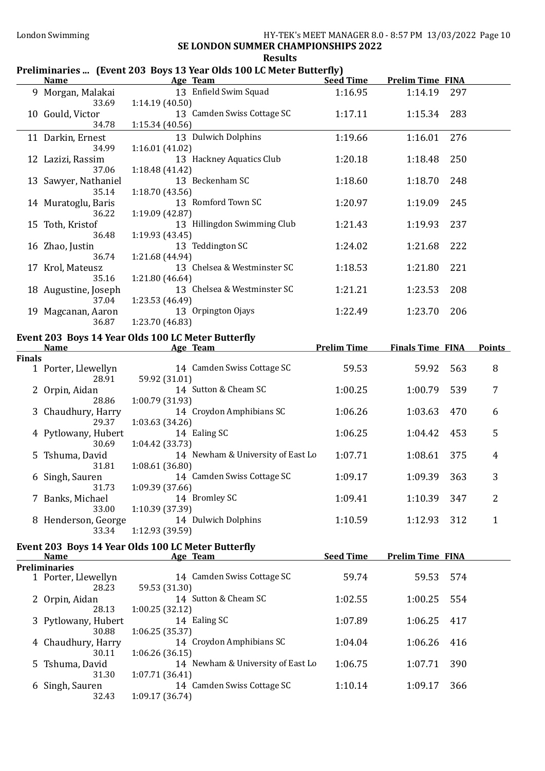# Preliminaries ... (Event 203 Boys 13 Year Olds 100 LC Meter Butterfly)

|               | <b>Name</b>                                          | <b>Example 2016</b> Age Team<br><u>and a strong control of the strong strong</u> | <b>Seed Time</b>   | <b>Prelim Time FINA</b> |     |               |
|---------------|------------------------------------------------------|----------------------------------------------------------------------------------|--------------------|-------------------------|-----|---------------|
|               | 33.69                                                | 9 Morgan, Malakai 13 Enfield Swim Squad<br>1:14.19 (40.50)                       | 1:16.95            | 1:14.19                 | 297 |               |
|               | 10 Gould, Victor<br>34.78                            | 13 Camden Swiss Cottage SC<br>1:15.34 (40.56)                                    | 1:17.11            | 1:15.34                 | 283 |               |
|               | 11 Darkin, Ernest<br>34.99                           | 13 Dulwich Dolphins<br>1:16.01(41.02)                                            | 1:19.66            | 1:16.01                 | 276 |               |
|               | 12 Lazizi, Rassim<br>37.06                           | 13 Hackney Aquatics Club<br>1:18.48 (41.42)                                      | 1:20.18            | 1:18.48                 | 250 |               |
|               | 13 Sawyer, Nathaniel<br>35.14                        | 13 Beckenham SC<br>1:18.70(43.56)                                                | 1:18.60            | 1:18.70                 | 248 |               |
|               | 14 Muratoglu, Baris<br>36.22                         | 13 Romford Town SC<br>1:19.09 (42.87)                                            | 1:20.97            | 1:19.09                 | 245 |               |
|               | 15 Toth, Kristof<br>36.48                            | 13 Hillingdon Swimming Club<br>1:19.93(43.45)                                    | 1:21.43            | 1:19.93                 | 237 |               |
|               | 16 Zhao, Justin<br>36.74                             | 13 Teddington SC<br>1:21.68 (44.94)                                              | 1:24.02            | 1:21.68                 | 222 |               |
|               | 17 Krol, Mateusz<br>35.16                            | 13 Chelsea & Westminster SC<br>1:21.80 (46.64)                                   | 1:18.53            | 1:21.80                 | 221 |               |
|               | 18 Augustine, Joseph<br>37.04                        | 13 Chelsea & Westminster SC<br>1:23.53 (46.49)                                   | 1:21.21            | 1:23.53                 | 208 |               |
|               | 19 Magcanan, Aaron<br>36.87                          | 13 Orpington Ojays<br>1:23.70(46.83)                                             | 1:22.49            | 1:23.70                 | 206 |               |
|               |                                                      | Event 203 Boys 14 Year Olds 100 LC Meter Butterfly                               |                    |                         |     |               |
|               |                                                      | Name Age Team                                                                    | <b>Prelim Time</b> | <b>Finals Time FINA</b> |     | <b>Points</b> |
| <b>Finals</b> | 19 Porter, Llewellyn 14 (28.91 59.92 (31.01)         | 14 Camden Swiss Cottage SC                                                       | 59.53              | 59.92                   | 563 | 8             |
|               | 2 Orpin, Aidan<br>28.86                              | 14 Sutton & Cheam SC<br>1:00.79 (31.93)                                          | 1:00.25            | 1:00.79                 | 539 | 7             |
|               | 3 Chaudhury, Harry<br>29.37                          | 14 Croydon Amphibians SC<br>1:03.63(34.26)                                       | 1:06.26            | 1:03.63                 | 470 | 6             |
|               | 4 Pytlowany, Hubert<br>30.69                         | 14 Ealing SC<br>1:04.42(33.73)                                                   | 1:06.25            | 1:04.42                 | 453 | 5             |
|               | 5 Tshuma, David<br>31.81                             | 14 Newham & University of East Lo<br>1:08.61(36.80)                              | 1:07.71            | 1:08.61                 | 375 | 4             |
|               | 6 Singh, Sauren<br>31.73                             | 14 Camden Swiss Cottage SC<br>1:09.39(37.66)                                     | 1:09.17            | 1:09.39                 | 363 | 3             |
|               | 7 Banks, Michael<br>33.00                            | 14 Bromley SC<br>1:10.39 (37.39)                                                 | 1:09.41            | 1:10.39                 | 347 | 2             |
|               | 8 Henderson, George<br>33.34                         | 14 Dulwich Dolphins<br>1:12.93 (39.59)                                           | 1:10.59            | 1:12.93                 | 312 | 1             |
|               |                                                      | Event 203 Boys 14 Year Olds 100 LC Meter Butterfly                               |                    |                         |     |               |
|               | <b>Name</b>                                          | Age Team                                                                         | <b>Seed Time</b>   | <b>Prelim Time FINA</b> |     |               |
|               | <b>Preliminaries</b><br>1 Porter, Llewellyn<br>28.23 | 14 Camden Swiss Cottage SC<br>59.53 (31.30)                                      | 59.74              | 59.53                   | 574 |               |
|               | 2 Orpin, Aidan<br>28.13                              | 14 Sutton & Cheam SC<br>1:00.25 (32.12)                                          | 1:02.55            | 1:00.25                 | 554 |               |
|               | 3 Pytlowany, Hubert<br>30.88                         | 14 Ealing SC<br>1:06.25(35.37)                                                   | 1:07.89            | 1:06.25                 | 417 |               |
|               | 4 Chaudhury, Harry<br>30.11                          | 14 Croydon Amphibians SC<br>1:06.26(36.15)                                       | 1:04.04            | 1:06.26                 | 416 |               |
|               | 5 Tshuma, David<br>31.30                             | 14 Newham & University of East Lo<br>1:07.71 (36.41)                             | 1:06.75            | 1:07.71                 | 390 |               |
|               | 6 Singh, Sauren<br>32.43                             | 14 Camden Swiss Cottage SC<br>1:09.17 (36.74)                                    | 1:10.14            | 1:09.17                 | 366 |               |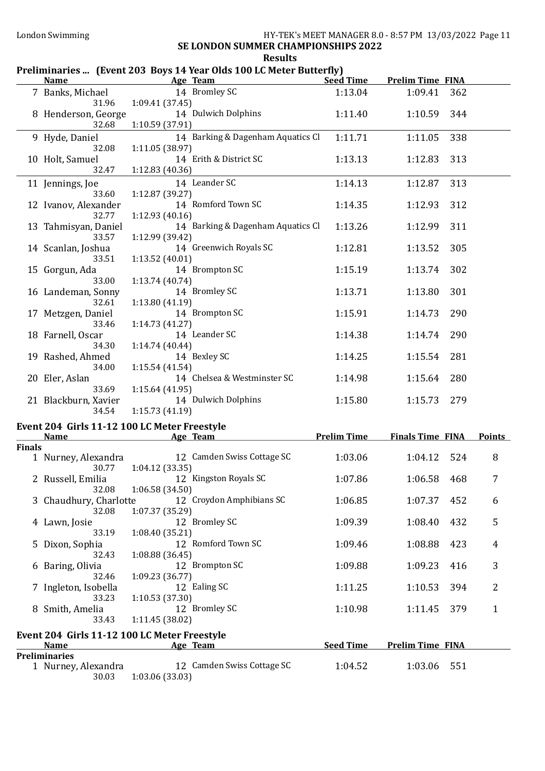## London Swimming **HY-TEK's MEET MANAGER 8.0 - 8:57 PM 13/03/2022** Page 11 SE LONDON SUMMER CHAMPIONSHIPS 2022

## Results

# Preliminaries ... (Event 203 Boys 14 Year Olds 100 LC Meter Butterfly)

|               |                                                                  | Name Age Team                                                           |                    | Seed Time Prelim Time FINA |                     |  |
|---------------|------------------------------------------------------------------|-------------------------------------------------------------------------|--------------------|----------------------------|---------------------|--|
|               | 31.96                                                            | 7 Banks, Michael 14 Bromley SC<br>1:09.41(37.45)                        | 1:13.04            | 1:09.41                    | 362                 |  |
|               | 8 Henderson, George<br>32.68                                     | 14 Dulwich Dolphins<br>1:10.59(37.91)                                   | 1:11.40            | 1:10.59                    | 344                 |  |
|               | 9 Hyde, Daniel<br>32.08                                          | 14 Barking & Dagenham Aquatics Cl<br>1:11.05 (38.97)                    | 1:11.71            | 1:11.05                    | 338                 |  |
|               | 10 Holt, Samuel<br>32.47                                         | 14 Erith & District SC<br>1:12.83 (40.36)                               | 1:13.13            | 1:12.83                    | 313                 |  |
|               | 11 Jennings, Joe<br>33.60                                        | 14 Leander SC<br>1:12.87 (39.27)                                        | 1:14.13            | 1:12.87                    | 313                 |  |
|               | 12 Ivanov, Alexander                                             | 14 Romford Town SC                                                      | 1:14.35            | 1:12.93                    | 312                 |  |
|               | 32.77<br>13 Tahmisyan, Daniel<br>33.57                           | 1:12.93 (40.16)<br>14 Barking & Dagenham Aquatics Cl<br>1:12.99 (39.42) | 1:13.26            | 1:12.99                    | 311                 |  |
|               | 14 Scanlan, Joshua<br>33.51                                      | 14 Greenwich Royals SC<br>1:13.52 (40.01)                               | 1:12.81            | 1:13.52                    | 305                 |  |
|               | 15 Gorgun, Ada<br>33.00                                          | 14 Brompton SC<br>1:13.74(40.74)                                        | 1:15.19            | 1:13.74                    | 302                 |  |
|               | 16 Landeman, Sonny<br>32.61                                      | 14 Bromley SC<br>1:13.80 (41.19)                                        | 1:13.71            | 1:13.80                    | 301                 |  |
|               | 17 Metzgen, Daniel<br>33.46                                      | 14 Brompton SC<br>1:14.73 (41.27)                                       | 1:15.91            | 1:14.73                    | 290                 |  |
|               | 18 Farnell, Oscar<br>34.30                                       | 14 Leander SC<br>1:14.74(40.44)                                         | 1:14.38            | 1:14.74                    | 290                 |  |
|               | 19 Rashed, Ahmed<br>34.00                                        | 14 Bexley SC<br>1:15.54(41.54)                                          | 1:14.25            | 1:15.54                    | 281                 |  |
|               | 20 Eler, Aslan                                                   | 14 Chelsea & Westminster SC                                             | 1:14.98            | 1:15.64                    | 280                 |  |
|               | 33.69<br>21 Blackburn, Xavier<br>34.54                           | 1:15.64(41.95)<br>14 Dulwich Dolphins<br>1:15.73(41.19)                 | 1:15.80            | 1:15.73 279                |                     |  |
|               |                                                                  | Event 204 Girls 11-12 100 LC Meter Freestyle                            |                    |                            |                     |  |
|               | <b>Name</b><br><u> 1989 - Johann Barbara, martxa alemaniar a</u> | Age Team 2008                                                           | <b>Prelim Time</b> | <b>Finals Time FINA</b>    | <b>Points</b>       |  |
| <b>Finals</b> | 1 Nurney, Alexandra<br>30.77                                     | 12 Camden Swiss Cottage SC                                              | 1:03.06            | 1:04.12                    | 8<br>524            |  |
|               | 2 Russell, Emilia<br>32.08                                       | 1:04.12 (33.35)<br>12 Kingston Royals SC<br>1:06.58(34.50)              | 1:07.86            | 1:06.58                    | 7<br>468            |  |
|               | 3 Chaudhury, Charlotte<br>32.08                                  | 12 Croydon Amphibians SC<br>1:07.37 (35.29)                             | 1:06.85            | 1:07.37                    | 452<br>6            |  |
|               | 4 Lawn, Josie                                                    | 12 Bromley SC                                                           | 1:09.39            | 1:08.40                    | 5<br>432            |  |
|               | 33.19<br>5 Dixon, Sophia<br>32.43                                | 1:08.40 (35.21)<br>12 Romford Town SC<br>1:08.88(36.45)                 | 1:09.46            | 1:08.88                    | 423<br>4            |  |
|               | 6 Baring, Olivia                                                 | 12 Brompton SC                                                          | 1:09.88            | 1:09.23                    | 3<br>416            |  |
|               | 32.46<br>7 Ingleton, Isobella                                    | 1:09.23(36.77)<br>12 Ealing SC                                          | 1:11.25            | 1:10.53                    | 394<br>2            |  |
|               | 33.23<br>8 Smith, Amelia<br>33.43                                | 1:10.53(37.30)<br>12 Bromley SC<br>1:11.45 (38.02)                      | 1:10.98            | 1:11.45                    | 379<br>$\mathbf{1}$ |  |
|               |                                                                  |                                                                         |                    |                            |                     |  |
|               | <b>Name</b>                                                      | Event 204 Girls 11-12 100 LC Meter Freestyle<br>Age Team                | <b>Seed Time</b>   | <b>Prelim Time FINA</b>    |                     |  |
|               | <b>Preliminaries</b>                                             |                                                                         |                    |                            |                     |  |
|               | 1 Nurney, Alexandra<br>30.03                                     | 12 Camden Swiss Cottage SC<br>1:03.06(33.03)                            | 1:04.52            | 1:03.06                    | 551                 |  |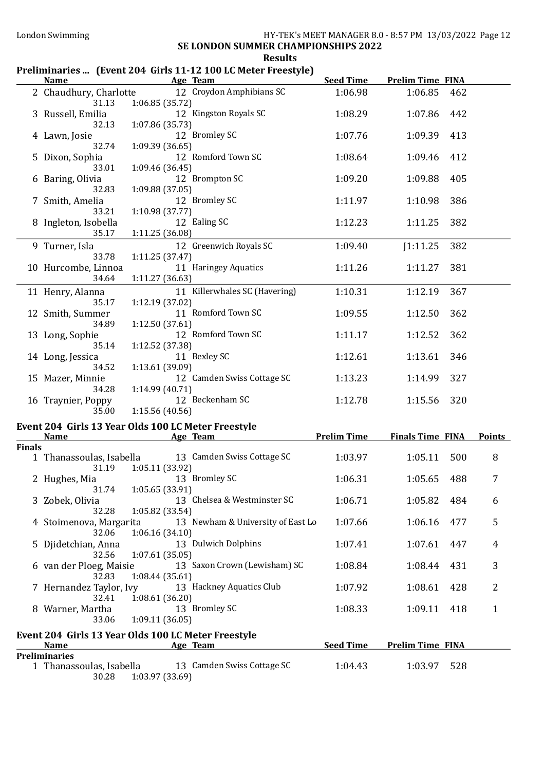# Results

# Preliminaries ... (Event 204 Girls 11-12 100 LC Meter Freestyle)

|               | <b>Name</b>                            | Age Team                                                          | <b>Seed Time</b>   | <b>Prelim Time FINA</b> |                     |  |
|---------------|----------------------------------------|-------------------------------------------------------------------|--------------------|-------------------------|---------------------|--|
|               | 31.13                                  | 2 Chaudhury, Charlotte 12 Croydon Amphibians SC<br>1:06.85(35.72) | 1:06.98            | 1:06.85                 | 462                 |  |
|               | 3 Russell, Emilia<br>32.13             | 12 Kingston Royals SC<br>1:07.86 (35.73)                          | 1:08.29            | 1:07.86                 | 442                 |  |
|               | 4 Lawn, Josie<br>32.74                 | 12 Bromley SC<br>1:09.39 (36.65)                                  | 1:07.76            | 1:09.39                 | 413                 |  |
|               | 5 Dixon, Sophia<br>33.01               | 12 Romford Town SC                                                | 1:08.64            | 1:09.46                 | 412                 |  |
|               | 6 Baring, Olivia                       | 1:09.46(36.45)<br>12 Brompton SC                                  | 1:09.20            | 1:09.88                 | 405                 |  |
|               | 32.83<br>7 Smith, Amelia               | 1:09.88 (37.05)<br>12 Bromley SC                                  | 1:11.97            | 1:10.98                 | 386                 |  |
|               | 33.21<br>8 Ingleton, Isobella<br>35.17 | 1:10.98 (37.77)<br>12 Ealing SC<br>1:11.25 (36.08)                | 1:12.23            | 1:11.25                 | 382                 |  |
|               | 9 Turner, Isla<br>33.78                | 12 Greenwich Royals SC<br>1:11.25(37.47)                          | 1:09.40            | J1:11.25                | 382                 |  |
|               | 10 Hurcombe, Linnoa<br>34.64           | 11 Haringey Aquatics<br>1:11.27 (36.63)                           | 1:11.26            | 1:11.27                 | 381                 |  |
|               | 11 Henry, Alanna<br>35.17              | 11 Killerwhales SC (Havering)<br>1:12.19 (37.02)                  | 1:10.31            | 1:12.19                 | 367                 |  |
|               | 12 Smith, Summer<br>34.89              | 11 Romford Town SC                                                | 1:09.55            | 1:12.50                 | 362                 |  |
|               | 13 Long, Sophie<br>35.14               | 1:12.50 (37.61)<br>12 Romford Town SC                             | 1:11.17            | 1:12.52                 | 362                 |  |
|               | 14 Long, Jessica<br>34.52              | 1:12.52 (37.38)<br>11 Bexley SC                                   | 1:12.61            | 1:13.61                 | 346                 |  |
|               | 15 Mazer, Minnie                       | 1:13.61 (39.09)<br>12 Camden Swiss Cottage SC                     | 1:13.23            | 1:14.99                 | 327                 |  |
|               | 34.28<br>16 Traynier, Poppy<br>35.00   | 1:14.99(40.71)<br>12 Beckenham SC<br>1:15.56(40.56)               | 1:12.78            | 1:15.56                 | 320                 |  |
|               |                                        | Event 204 Girls 13 Year Olds 100 LC Meter Freestyle               |                    |                         |                     |  |
|               | <u>Name</u>                            | <b>Example 2 Age Team</b>                                         | <b>Prelim Time</b> | <b>Finals Time FINA</b> | <b>Points</b>       |  |
| <b>Finals</b> |                                        |                                                                   |                    |                         |                     |  |
|               | 1 Thanassoulas, Isabella<br>31.19      | 13 Camden Swiss Cottage SC<br>1:05.11 (33.92)                     | 1:03.97            | 1:05.11                 | 500<br>8            |  |
|               | 2 Hughes, Mia<br>31.74                 | 13 Bromley SC<br>1:05.65 (33.91)                                  | 1:06.31            | 1:05.65                 | 7<br>488            |  |
|               | 3 Zobek, Olivia<br>32.28               | 13 Chelsea & Westminster SC<br>1:05.82 (33.54)                    | 1:06.71            | 1:05.82                 | 484<br>6            |  |
|               | 4 Stoimenova, Margarita<br>32.06       | 13 Newham & University of East Lo<br>1:06.16(34.10)               | 1:07.66            | 1:06.16                 | 5<br>477            |  |
|               | 5 Djidetchian, Anna<br>32.56           | 13 Dulwich Dolphins<br>1:07.61(35.05)                             | 1:07.41            | 1:07.61                 | 447<br>4            |  |
|               | 6 van der Ploeg, Maisie<br>32.83       | 13 Saxon Crown (Lewisham) SC<br>1:08.44(35.61)                    | 1:08.84            | 1:08.44                 | 3<br>431            |  |
|               | 7 Hernandez Taylor, Ivy<br>32.41       | 13 Hackney Aquatics Club<br>1:08.61(36.20)                        | 1:07.92            | 1:08.61                 | 2<br>428            |  |
|               | 8 Warner, Martha<br>33.06              | 13 Bromley SC<br>1:09.11(36.05)                                   | 1:08.33            | 1:09.11                 | $\mathbf{1}$<br>418 |  |
|               |                                        | Event 204 Girls 13 Year Olds 100 LC Meter Freestyle               |                    |                         |                     |  |
|               | <b>Name</b>                            | Age Team                                                          | <b>Seed Time</b>   | <b>Prelim Time FINA</b> |                     |  |
|               | <b>Preliminaries</b>                   |                                                                   |                    |                         |                     |  |
|               | 1 Thanassoulas, Isabella<br>30.28      | 13 Camden Swiss Cottage SC<br>1:03.97 (33.69)                     | 1:04.43            | 1:03.97                 | 528                 |  |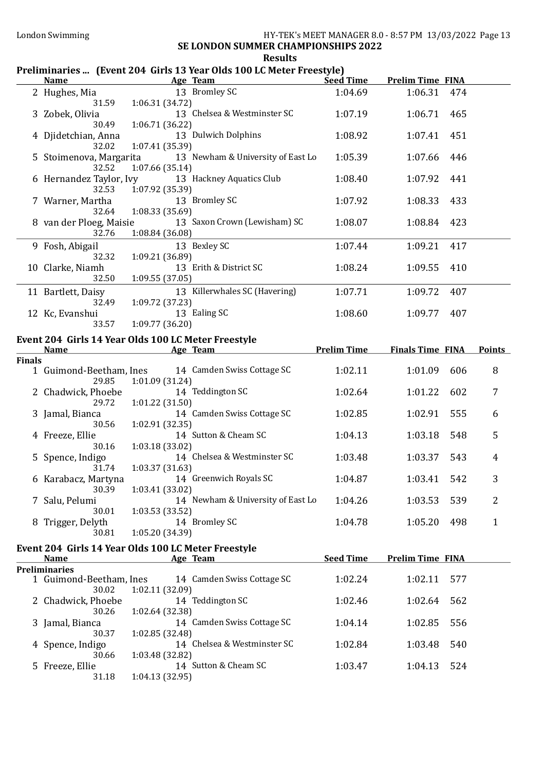| Preliminaries  (Event 204 Girls 13 Year Olds 100 LC Meter Freestyle) |  |  |  |  |
|----------------------------------------------------------------------|--|--|--|--|
|----------------------------------------------------------------------|--|--|--|--|

|               | <b>Name</b>                       | Age Team                                                        | <b>Seed Time</b>   | <b>Prelim Time FINA</b> |     |               |
|---------------|-----------------------------------|-----------------------------------------------------------------|--------------------|-------------------------|-----|---------------|
|               | 2 Hughes, Mia<br>31.59            | 13 Bromley SC<br>1:06.31 (34.72)                                | 1:04.69            | 1:06.31                 | 474 |               |
|               | 3 Zobek, Olivia<br>30.49          | 13 Chelsea & Westminster SC<br>1:06.71 (36.22)                  | 1:07.19            | 1:06.71                 | 465 |               |
|               | 4 Djidetchian, Anna<br>32.02      | 13 Dulwich Dolphins<br>1:07.41 (35.39)                          | 1:08.92            | 1:07.41                 | 451 |               |
|               | 5 Stoimenova, Margarita<br>32.52  | 13 Newham & University of East Lo<br>1:07.66(35.14)             | 1:05.39            | 1:07.66                 | 446 |               |
|               | 6 Hernandez Taylor, Ivy<br>32.53  | 13 Hackney Aquatics Club<br>1:07.92 (35.39)                     | 1:08.40            | 1:07.92                 | 441 |               |
|               | 7 Warner, Martha<br>32.64         | 13 Bromley SC<br>1:08.33 (35.69)                                | 1:07.92            | 1:08.33                 | 433 |               |
|               | 8 van der Ploeg, Maisie<br>32.76  | 13 Saxon Crown (Lewisham) SC<br>1:08.84 (36.08)                 | 1:08.07            | 1:08.84                 | 423 |               |
|               | 9 Fosh, Abigail<br>32.32          | 13 Bexley SC<br>1:09.21 (36.89)                                 | 1:07.44            | 1:09.21                 | 417 |               |
|               | 10 Clarke, Niamh<br>32.50         | 13 Erith & District SC<br>1:09.55(37.05)                        | 1:08.24            | 1:09.55                 | 410 |               |
|               | 11 Bartlett, Daisy                | 13 Killerwhales SC (Havering)                                   | 1:07.71            | 1:09.72                 | 407 |               |
|               | 32.49<br>12 Kc, Evanshui<br>33.57 | 1:09.72 (37.23)<br>13 Ealing SC<br>1:09.77 (36.20)              | 1:08.60            | 1:09.77                 | 407 |               |
|               |                                   | Event 204 Girls 14 Year Olds 100 LC Meter Freestyle             |                    |                         |     |               |
|               | <b>Name</b>                       | <b>Example 2 Age Team</b>                                       | <b>Prelim Time</b> | <b>Finals Time FINA</b> |     | <b>Points</b> |
| <b>Finals</b> |                                   |                                                                 |                    |                         |     |               |
|               | 1 Guimond-Beetham, Ines<br>29.85  | 14 Camden Swiss Cottage SC<br>1:01.09(31.24)                    | 1:02.11            | 1:01.09                 | 606 | 8             |
|               | 2 Chadwick, Phoebe<br>29.72       | 14 Teddington SC<br>1:01.22 (31.50)                             | 1:02.64            | 1:01.22                 | 602 | 7             |
|               | 3 Jamal, Bianca<br>30.56          | 14 Camden Swiss Cottage SC<br>1:02.91 (32.35)                   | 1:02.85            | 1:02.91                 | 555 | 6             |
|               | 4 Freeze, Ellie<br>30.16          | 14 Sutton & Cheam SC<br>1:03.18 (33.02)                         | 1:04.13            | 1:03.18                 | 548 | 5             |
|               | 5 Spence, Indigo<br>31.74         | 14 Chelsea & Westminster SC<br>1:03.37(31.63)                   | 1:03.48            | 1:03.37                 | 543 | 4             |
|               | 6 Karabacz, Martyna               | 14 Greenwich Royals SC<br>30.39 1:03.41 (33.02)                 | 1:04.87            | 1:03.41                 | 542 | 3             |
|               | 7 Salu, Pelumi<br>30.01           | 14 Newham & University of East Lo<br>1:03.53 (33.52)            | 1:04.26            | 1:03.53                 | 539 | 2             |
|               | 8 Trigger, Delyth<br>30.81        | 14 Bromley SC<br>1:05.20 (34.39)                                | 1:04.78            | 1:05.20                 | 498 | $\mathbf{1}$  |
|               |                                   |                                                                 |                    |                         |     |               |
|               | <b>Name</b>                       | Event 204 Girls 14 Year Olds 100 LC Meter Freestyle<br>Age Team | <b>Seed Time</b>   | <b>Prelim Time FINA</b> |     |               |
|               | <b>Preliminaries</b>              |                                                                 |                    |                         |     |               |
|               | 1 Guimond-Beetham, Ines<br>30.02  | 14 Camden Swiss Cottage SC<br>1:02.11 (32.09)                   | 1:02.24            | 1:02.11                 | 577 |               |
|               | 2 Chadwick, Phoebe<br>30.26       | 14 Teddington SC<br>1:02.64 (32.38)                             | 1:02.46            | 1:02.64                 | 562 |               |
|               | 3 Jamal, Bianca<br>30.37          | 14 Camden Swiss Cottage SC<br>1:02.85 (32.48)                   | 1:04.14            | 1:02.85                 | 556 |               |
|               | 4 Spence, Indigo<br>30.66         | 14 Chelsea & Westminster SC<br>1:03.48 (32.82)                  | 1:02.84            | 1:03.48                 | 540 |               |
|               | 5 Freeze, Ellie<br>31.18          | 14 Sutton & Cheam SC<br>1:04.13 (32.95)                         | 1:03.47            | 1:04.13                 | 524 |               |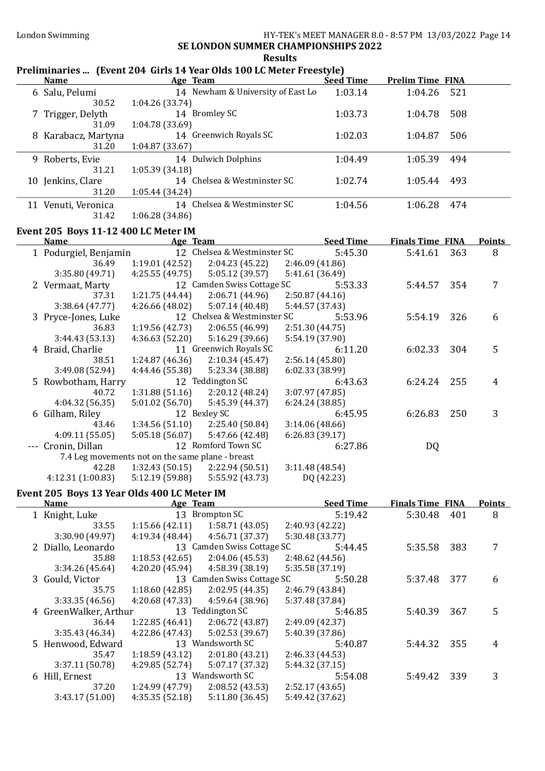## Results

## Preliminaries ... (Event 204 Girls 14 Year Olds 100 LC Meter Freestyle)

| <b>Name</b>         | Age Team                          | <b>Seed Time</b> | <b>Prelim Time FINA</b> |
|---------------------|-----------------------------------|------------------|-------------------------|
| 6 Salu, Pelumi      | 14 Newham & University of East Lo | 1:03.14          | 1:04.26<br>- 521        |
| 30.52               | 1:04.26(33.74)                    |                  |                         |
| 7 Trigger, Delyth   | 14 Bromley SC                     | 1:03.73          | 508<br>1:04.78          |
| 31.09               | 1:04.78(33.69)                    |                  |                         |
| 8 Karabacz, Martyna | 14 Greenwich Royals SC            | 1:02.03          | 506<br>1:04.87          |
| 31.20               | 1:04.87(33.67)                    |                  |                         |
| 9 Roberts, Evie     | 14 Dulwich Dolphins               | 1:04.49          | 1:05.39<br>494          |
| 31.21               | 1:05.39(34.18)                    |                  |                         |
| 10 Jenkins, Clare   | 14 Chelsea & Westminster SC       | 1:02.74          | 1:05.44<br>493          |
| 31.20               | 1:05.44 (34.24)                   |                  |                         |
| 11 Venuti, Veronica | 14 Chelsea & Westminster SC       | 1:04.56          | 474<br>1:06.28          |
| 31.42               | 1:06.28(34.86)                    |                  |                         |

## Event 205 Boys 11-12 400 LC Meter IM

| Age Team<br><b>Name</b> |                       | <b>Seed Time</b>                                 |                             | <b>Finals Time FINA</b> |         | <b>Points</b> |     |   |
|-------------------------|-----------------------|--------------------------------------------------|-----------------------------|-------------------------|---------|---------------|-----|---|
|                         | 1 Podurgiel, Benjamin |                                                  | 12 Chelsea & Westminster SC |                         | 5:45.30 | 5:41.61       | 363 | 8 |
|                         | 36.49                 | 1:19.01(42.52)                                   | 2:04.23(45.22)              | 2:46.09(41.86)          |         |               |     |   |
|                         | 3:35.80 (49.71)       | 4:25.55(49.75)                                   | 5:05.12 (39.57)             | 5:41.61 (36.49)         |         |               |     |   |
|                         | 2 Vermaat, Marty      |                                                  | 12 Camden Swiss Cottage SC  |                         | 5:53.33 | 5:44.57       | 354 |   |
|                         | 37.31                 | 1:21.75(44.44)                                   | 2:06.71(44.96)              | 2:50.87(44.16)          |         |               |     |   |
|                         | 3:38.64(47.77)        | 4:26.66 (48.02)                                  | 5:07.14(40.48)              | 5:44.57 (37.43)         |         |               |     |   |
|                         | 3 Pryce-Jones, Luke   |                                                  | 12 Chelsea & Westminster SC |                         | 5:53.96 | 5:54.19       | 326 | 6 |
|                         | 36.83                 | 1:19.56(42.73)                                   | 2:06.55(46.99)              | 2:51.30 (44.75)         |         |               |     |   |
|                         | 3:44.43(53.13)        | 4:36.63(52.20)                                   | 5:16.29 (39.66)             | 5:54.19 (37.90)         |         |               |     |   |
|                         | 4 Braid, Charlie      |                                                  | 11 Greenwich Royals SC      |                         | 6:11.20 | 6:02.33       | 304 | 5 |
|                         | 38.51                 | 1:24.87(46.36)                                   | 2:10.34(45.47)              | 2:56.14(45.80)          |         |               |     |   |
|                         | 3:49.08 (52.94)       | 4:44.46 (55.38)                                  | 5:23.34 (38.88)             | 6:02.33(38.99)          |         |               |     |   |
|                         | 5 Rowbotham, Harry    |                                                  | 12 Teddington SC            |                         | 6:43.63 | 6:24.24       | 255 | 4 |
|                         | 40.72                 | 1:31.88(51.16)                                   | 2:20.12(48.24)              | 3:07.97 (47.85)         |         |               |     |   |
|                         | 4:04.32 (56.35)       | 5:01.02(56.70)                                   | 5:45.39 (44.37)             | 6:24.24(38.85)          |         |               |     |   |
|                         | 6 Gilham, Riley       |                                                  | 12 Bexley SC                |                         | 6:45.95 | 6:26.83       | 250 | 3 |
|                         | 43.46                 | 1:34.56(51.10)                                   | 2:25.40(50.84)              | 3:14.06(48.66)          |         |               |     |   |
|                         | 4:09.11(55.05)        | 5:05.18(56.07)                                   | 5:47.66 (42.48)             | 6:26.83(39.17)          |         |               |     |   |
|                         | Cronin, Dillan        |                                                  | 12 Romford Town SC          |                         | 6:27.86 | DQ            |     |   |
|                         |                       | 7.4 Leg movements not on the same plane - breast |                             |                         |         |               |     |   |
|                         | 42.28                 | 1:32.43(50.15)                                   | 2:22.94 (50.51)             | 3:11.48(48.54)          |         |               |     |   |

# 4:12.31 (1:00.83) 5:12.19 (59.88) 5:55.92 (43.73) DQ (42.23)

## Event 205 Boys 13 Year Olds 400 LC Meter IM

| <b>Name</b>           | Age Team        |                            | <b>Seed Time</b> | <b>Finals Time FINA</b> |     | <b>Points</b> |
|-----------------------|-----------------|----------------------------|------------------|-------------------------|-----|---------------|
| 1 Knight, Luke        |                 | 13 Brompton SC             | 5:19.42          | 5:30.48                 | 401 | 8             |
| 33.55                 | 1:15.66(42.11)  | 1:58.71(43.05)             | 2:40.93 (42.22)  |                         |     |               |
| 3:30.90(49.97)        | 4:19.34(48.44)  | 4:56.71 (37.37)            | 5:30.48 (33.77)  |                         |     |               |
| 2 Diallo, Leonardo    |                 | 13 Camden Swiss Cottage SC | 5:44.45          | 5:35.58                 | 383 |               |
| 35.88                 | 1:18.53(42.65)  | 2:04.06(45.53)             | 2:48.62 (44.56)  |                         |     |               |
| 3:34.26(45.64)        | 4:20.20(45.94)  | 4:58.39 (38.19)            | 5:35.58 (37.19)  |                         |     |               |
| 3 Gould, Victor       |                 | 13 Camden Swiss Cottage SC | 5:50.28          | 5:37.48                 | 377 | 6             |
| 35.75                 | 1:18.60(42.85)  | 2:02.95(44.35)             | 2:46.79 (43.84)  |                         |     |               |
| 3:33.35(46.56)        | 4:20.68(47.33)  | 4:59.64 (38.96)            | 5:37.48 (37.84)  |                         |     |               |
| 4 GreenWalker, Arthur |                 | 13 Teddington SC           | 5:46.85          | 5:40.39                 | 367 | 5             |
| 36.44                 | 1:22.85(46.41)  | 2:06.72(43.87)             | 2:49.09 (42.37)  |                         |     |               |
| 3:35.43(46.34)        | 4:22.86(47.43)  | 5:02.53 (39.67)            | 5:40.39 (37.86)  |                         |     |               |
| 5 Henwood, Edward     |                 | 13 Wandsworth SC           | 5:40.87          | 5:44.32                 | 355 | 4             |
| 35.47                 | 1:18.59(43.12)  | 2:01.80(43.21)             | 2:46.33 (44.53)  |                         |     |               |
| 3:37.11(50.78)        | 4:29.85 (52.74) | 5:07.17 (37.32)            | 5:44.32 (37.15)  |                         |     |               |
| 6 Hill, Ernest        |                 | 13 Wandsworth SC           | 5:54.08          | 5:49.42                 | 339 | 3             |
| 37.20                 | 1:24.99(47.79)  | 2:08.52(43.53)             | 2:52.17(43.65)   |                         |     |               |
| 3:43.17(51.00)        | 4:35.35(52.18)  | 5:11.80(36.45)             | 5:49.42 (37.62)  |                         |     |               |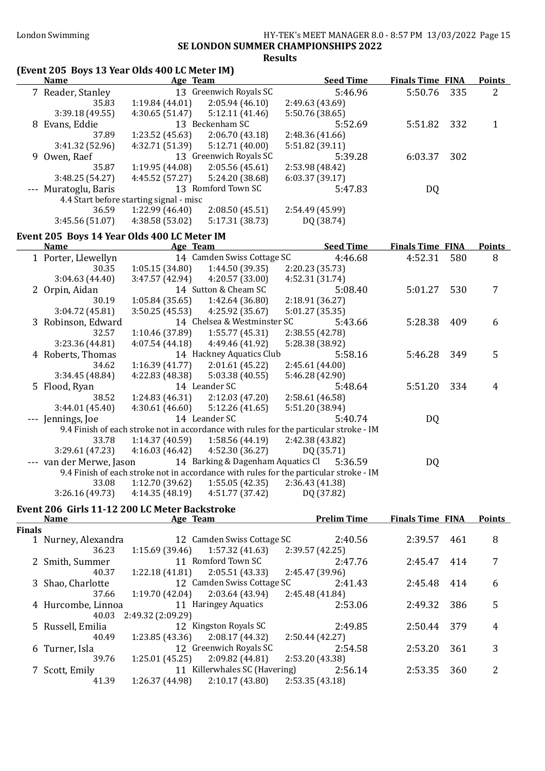#### London Swimming HY-TEK's MEET MANAGER 8.0 - 8:57 PM 13/03/2022 Page 15 SE LONDON SUMMER CHAMPIONSHIPS 2022 Results

#### (Event 205 Boys 13 Year Olds 400 LC Meter IM) Name Age Team Seed Time Finals Time FINA Points 7 Reader, Stanley 13 Greenwich Royals SC 5:46.96 5:50.76 335 2 35.83 1:19.84 (44.01) 2:05.94 (46.10) 2:49.63 (43.69) 3:39.18 (49.55) 4:30.65 (51.47) 5:12.11 (41.46) 5:50.76 (38.65) 8 Evans, Eddie 13 Beckenham SC 5:52.69 5:51.82 332 1<br>37.89 1:23.52 (45.63) 2:06.70 (43.18) 2:48.36 (41.66) 37.89 1:23.52 (45.63) 2:06.70 (43.18) 2:48.36 (41.66) 3:41.32 (52.96) 4:32.71 (51.39) 5:12.71 (40.00) 5:51.82 (39.11) 9 Owen, Raef 13 Greenwich Royals SC 5:39.28 6:03.37 302 35.87 1:19.95 (44.08) 2:05.56 (45.61) 3:48.25 (54.27) 4:45.52 (57.27) 5:24.20 (38.68) 6:03.37 (39.17) --- Muratoglu, Baris 13 Romford Town SC 5:47.83 DQ 4.4 Start before starting signal - misc 36.59 1:22.99 (46.40) 2:08.50 (45.51) 2:54.49 (45.99) 3:45.56 (51.07) 4:38.58 (53.02) 5:17.31 (38.73) DQ (38.74) Event 205 Boys 14 Year Olds 400 LC Meter IM Name Team Age Team Seed Time Finals Time FINA Points 1 Porter, Llewellyn 14 Camden Swiss Cottage SC 4:46.68 4:52.31 580 8 30.35 1:05.15 (34.80) 1:44.50 (39.35) 2:20.23 (35.73) 3:04.63 (44.40) 3:47.57 (42.94) 4:20.57 (33.00) 4:52.31 (31.74) 2 Orpin, Aidan 14 Sutton & Cheam SC 5:08.40 5:01.27 530 7 30.19 1:05.84 (35.65) 1:42.64 (36.80) 2:18.91 (36.27) 3:04.72 (45.81) 3:50.25 (45.53) 4:25.92 (35.67) 5:01.27 (35.35) 3 Robinson, Edward 14 Chelsea & Westminster SC 5:43.66 5:28.38 409 6 32.57 1:10.46 (37.89) 1:55.77 (45.31) 2:38.55 (42.78) 3:23.36 (44.81) 4:07.54 (44.18) 4:49.46 (41.92) 5:28.38 (38.92) 4 Roberts, Thomas 14 Hackney Aquatics Club 5:58.16 5:46.28 349 5<br>34.62 1:16.39 (41.77) 2:01.61 (45.22) 2:45.61 (44.00)  $34.62 \qquad 1:16.39 \,(41.77) \qquad 2:01.61 \,(45.22)$ 3:34.45 (48.84) 4:22.83 (48.38) 5:03.38 (40.55) 5:46.28 (42.90) 5 Flood, Ryan 14 Leander SC 5:48.64 5:51.20 334 4<br>38.52 1:24.83 (46.31) 2:12.03 (47.20) 2:58.61 (46.58) 38.52 1:24.83 (46.31) 2:12.03 (47.20) 2:58.61 (46.58) 3:44.01 (45.40) 4:30.61 (46.60) 5:12.26 (41.65) 5:51.20 (38.94) --- Jennings, Joe 14 Leander SC 5:40.74 DQ 9.4 Finish of each stroke not in accordance with rules for the particular stroke - IM 33.78 1:14.37 (40.59) 1:58.56 (44.19) 2:42.38 (43.82) 3:29.61 (47.23) 4:16.03 (46.42) 4:52.30 (36.27) DQ (35.71) --- van der Merwe, Jason 14 Barking & Dagenham Aquatics Cl 5:36.59 DQ 9.4 Finish of each stroke not in accordance with rules for the particular stroke - IM 33.08 1:12.70 (39.62) 1:55.05 (42.35) 2:36.43 (41.38) 3:26.16 (49.73) 4:14.35 (48.19) 4:51.77 (37.42) DQ (37.82) Event 206 Girls 11-12 200 LC Meter Backstroke Name **Age Team** Age Team Prelim Time Finals Time FINA Points Finals 1 Nurney, Alexandra 12 Camden Swiss Cottage SC 2:40.56 2:39.57 461 8<br>36.23 1:15.69 (39.46) 1:57.32 (41.63) 2:39.57 (42.25) 36.23 1:15.69 (39.46) 1:57.32 (41.63) 2:39.57 (42.25) 2 Smith, Summer 11 Romford Town SC 2:47.76 2:45.47 414 7 40.37 1:22.18 (41.81) 2:05.51 (43.33) 2:45.47 (39.96) 3 Shao, Charlotte 12 Camden Swiss Cottage SC 2:41.43 2:45.48 414 6 37.66 1:19.70 (42.04) 2:03.64 (43.94) 2:45.48 (41.84) 4 Hurcombe, Linnoa 11 Haringey Aquatics 2:53.06 2:49.32 386 5

40.03 2:49.32 (2:09.29) 5 Russell, Emilia 12 Kingston Royals SC 2:49.85 2:50.44 379 4 40.49 1:23.85 (43.36) 2:08.17 (44.32) 2:50.44 (42.27) 6 Turner, Isla 12 Greenwich Royals SC 2:54.58 2:53.20 361 3<br>39.76 1:25.01 (45.25) 2:09.82 (44.81) 2:53.20 (43.38) 1:25.01 (45.25) 7 Scott, Emily 11 Killerwhales SC (Havering) 2:56.14 2:53.35 360 2 41.39 1:26.37 (44.98) 2:10.17 (43.80) 2:53.35 (43.18)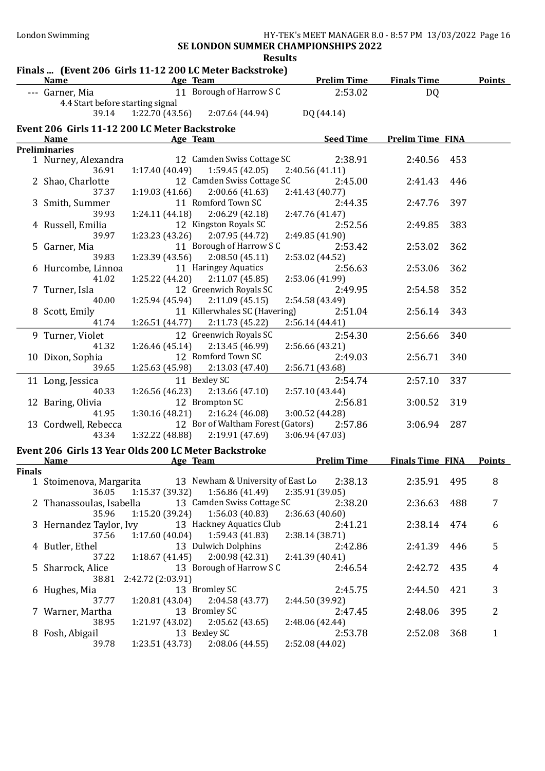SE LONDON SUMMER CHAMPIONSHIPS 2022 Results<br>troke)

|        |                                                      |                              | nesults<br>Finals  (Event 206 Girls 11-12 200 LC Meter Backstroke) |                    |                                |     |                |
|--------|------------------------------------------------------|------------------------------|--------------------------------------------------------------------|--------------------|--------------------------------|-----|----------------|
|        | <b>Name</b>                                          | <b>Example 2018</b> Age Team |                                                                    |                    | <b>Prelim Time Finals Time</b> |     | <b>Points</b>  |
|        | --- Garner, Mia                                      |                              | 11 Borough of Harrow S C                                           | 2:53.02            | DQ                             |     |                |
|        | 4.4 Start before starting signal                     |                              |                                                                    |                    |                                |     |                |
|        | 39.14                                                |                              | $1:22.70(43.56)$ $2:07.64(44.94)$                                  | DQ (44.14)         |                                |     |                |
|        | Event 206 Girls 11-12 200 LC Meter Backstroke        |                              |                                                                    |                    |                                |     |                |
|        | <b>Name</b>                                          |                              | Age Team                                                           | <b>Seed Time</b>   | <b>Prelim Time FINA</b>        |     |                |
|        | <b>Preliminaries</b>                                 |                              |                                                                    |                    |                                |     |                |
|        | 1 Nurney, Alexandra                                  |                              | 12 Camden Swiss Cottage SC                                         | 2:38.91            | 2:40.56                        | 453 |                |
|        | 36.91                                                | 1:17.40(40.49)               | 1:59.45 (42.05)                                                    | 2:40.56 (41.11)    |                                |     |                |
|        | 2 Shao, Charlotte                                    |                              | 12 Camden Swiss Cottage SC                                         | 2:45.00            | 2:41.43                        | 446 |                |
|        | 37.37                                                | 1:19.03(41.66)               | 2:00.66(41.63)                                                     | 2:41.43 (40.77)    |                                |     |                |
|        | 3 Smith, Summer                                      |                              | 11 Romford Town SC                                                 | 2:44.35            | 2:47.76                        | 397 |                |
|        | 39.93                                                |                              | $1:24.11(44.18)$ $2:06.29(42.18)$                                  | 2:47.76 (41.47)    |                                |     |                |
|        | 4 Russell, Emilia                                    |                              | 12 Kingston Royals SC                                              | 2:52.56            | 2:49.85                        | 383 |                |
|        | 39.97                                                |                              | $1:23.23(43.26)$ $2:07.95(44.72)$                                  | 2:49.85 (41.90)    |                                |     |                |
|        | 5 Garner, Mia                                        |                              | 11 Borough of Harrow S C                                           | 2:53.42            | 2:53.02                        | 362 |                |
|        | 39.83                                                |                              | $1:23.39(43.56)$ $2:08.50(45.11)$                                  | 2:53.02 (44.52)    |                                |     |                |
|        | 6 Hurcombe, Linnoa                                   |                              | 11 Haringey Aquatics                                               | 2:56.63            | 2:53.06                        | 362 |                |
|        | 41.02                                                |                              | $1:25.22$ (44.20) $2:11.07$ (45.85)                                | 2:53.06 (41.99)    |                                |     |                |
|        | 7 Turner, Isla                                       |                              | 12 Greenwich Royals SC                                             | 2:49.95            | 2:54.58                        | 352 |                |
|        | 40.00                                                |                              | $1:25.94(45.94)$ $2:11.09(45.15)$                                  | 2:54.58 (43.49)    |                                |     |                |
|        | 8 Scott, Emily                                       |                              | 11 Killerwhales SC (Havering)                                      | 2:51.04            | 2:56.14                        | 343 |                |
|        | 41.74                                                |                              | 1:26.51 (44.77) 2:11.73 (45.22)                                    | 2:56.14(44.41)     |                                |     |                |
|        | 9 Turner, Violet                                     |                              | 12 Greenwich Royals SC                                             | 2:54.30            | 2:56.66                        | 340 |                |
|        | 41.32                                                | 1:26.46(45.14)               | 2:13.45 (46.99)                                                    | 2:56.66 (43.21)    |                                |     |                |
|        | 10 Dixon, Sophia                                     |                              | 12 Romford Town SC                                                 | 2:49.03            | 2:56.71                        | 340 |                |
|        | 39.65                                                | 1:25.63 (45.98)              | 2:13.03 (47.40)                                                    | 2:56.71 (43.68)    |                                |     |                |
|        | 11 Long, Jessica                                     |                              | 11 Bexley SC                                                       | 2:54.74            | 2:57.10                        | 337 |                |
|        | 40.33                                                |                              | $1:26.56(46.23)$ $2:13.66(47.10)$                                  | 2:57.10 (43.44)    |                                |     |                |
|        | 12 Baring, Olivia                                    |                              | 12 Brompton SC                                                     | 2:56.81            | 3:00.52                        | 319 |                |
|        | 41.95                                                |                              | $1:30.16(48.21)$ $2:16.24(46.08)$                                  | 3:00.52 (44.28)    |                                |     |                |
|        | 13 Cordwell, Rebecca                                 |                              | 12 Bor of Waltham Forest (Gators)                                  | 2:57.86            | 3:06.94                        | 287 |                |
|        | 43.34                                                |                              | $1:32.22$ (48.88) $2:19.91$ (47.69)                                | 3:06.94 (47.03)    |                                |     |                |
|        |                                                      |                              |                                                                    |                    |                                |     |                |
|        | Event 206 Girls 13 Year Olds 200 LC Meter Backstroke |                              |                                                                    |                    |                                |     |                |
|        | <b>Name</b>                                          |                              | Age Team                                                           | <b>Prelim Time</b> | <b>Finals Time FINA</b>        |     | <b>Points</b>  |
| Finals |                                                      |                              | 13 Newham & University of East Lo                                  | 2:38.13            | 2:35.91                        | 495 | 8              |
|        | 1 Stoimenova, Margarita<br>36.05                     | 1:15.37(39.32)               | 1:56.86 (41.49)                                                    | 2:35.91 (39.05)    |                                |     |                |
|        |                                                      |                              | 13 Camden Swiss Cottage SC                                         | 2:38.20            | 2:36.63                        | 488 | 7              |
|        | 2 Thanassoulas, Isabella<br>35.96                    | 1:15.20 (39.24)              |                                                                    |                    |                                |     |                |
|        |                                                      |                              | 1:56.03 (40.83)<br>13 Hackney Aquatics Club                        | 2:36.63(40.60)     |                                |     |                |
|        | 3 Hernandez Taylor, Ivy                              |                              |                                                                    | 2:41.21            | 2:38.14                        | 474 | 6              |
|        | 37.56                                                | 1:17.60(40.04)               | 1:59.43 (41.83)                                                    | 2:38.14 (38.71)    |                                |     |                |
|        | 4 Butler, Ethel                                      |                              | 13 Dulwich Dolphins                                                | 2:42.86            | 2:41.39                        | 446 | 5              |
|        | 37.22                                                | 1:18.67(41.45)               | 2:00.98(42.31)                                                     | 2:41.39 (40.41)    |                                |     |                |
|        | 5 Sharrock, Alice                                    |                              | 13 Borough of Harrow S C                                           | 2:46.54            | 2:42.72                        | 435 | $\overline{4}$ |
|        | 38.81                                                | 2:42.72 (2:03.91)            |                                                                    |                    |                                |     |                |
|        | 6 Hughes, Mia                                        |                              | 13 Bromley SC                                                      | 2:45.75            | 2:44.50                        | 421 | 3              |
|        | 37.77                                                | 1:20.81(43.04)               | 2:04.58 (43.77)                                                    | 2:44.50 (39.92)    |                                |     |                |
|        | 7 Warner, Martha                                     |                              | 13 Bromley SC                                                      | 2:47.45            | 2:48.06                        | 395 | $\overline{2}$ |
|        | 38.95                                                | 1:21.97 (43.02)              | 2:05.62(43.65)                                                     | 2:48.06 (42.44)    |                                |     |                |
|        | 8 Fosh, Abigail                                      |                              | 13 Bexley SC                                                       | 2:53.78            | 2:52.08                        | 368 | $\mathbf{1}$   |
|        | 39.78                                                | 1:23.51(43.73)               | 2:08.06(44.55)                                                     | 2:52.08 (44.02)    |                                |     |                |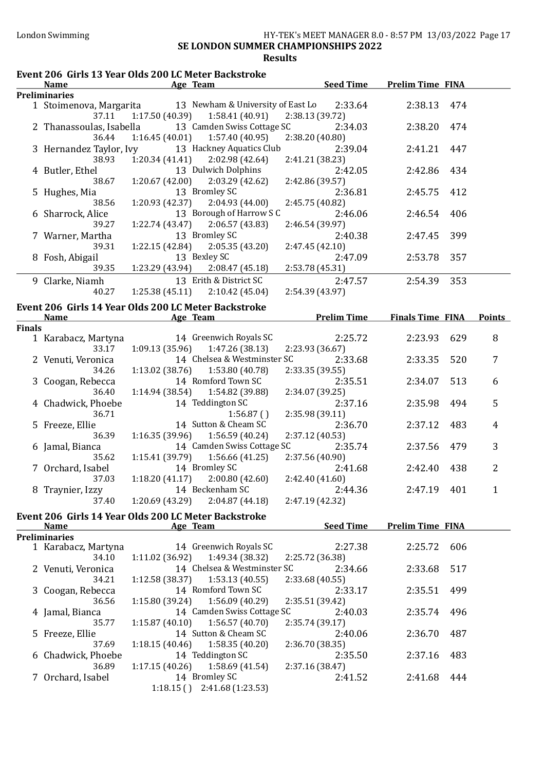#### London Swimming HY-TEK's MEET MANAGER 8.0 - 8:57 PM 13/03/2022 Page 17 SE LONDON SUMMER CHAMPIONSHIPS 2022 Results

#### Event 206 Girls 13 Year Olds 200 LC Meter Backstroke Name Age Team Age Team Seed Time Prelim Time FINA **Preliminaries**<br>1 Stoimenova, Margarita 13 Newham & University of East Lo 2:33.64 2:38.13 474 37.11 1:17.50 (40.39) 1:58.41 (40.91) 2:38.13 (39.72) 2 Thanassoulas, Isabella 13 Camden Swiss Cottage SC 2:34.03 2:38.20 474 36.44 1:16.45 (40.01) 1:57.40 (40.95) 2:38.20 (40.80) 3 Hernandez Taylor, Ivy 13 Hackney Aquatics Club 2:39.04 2:41.21 447 38.93 1:20.34 (41.41) 2:02.98 (42.64) 2:41.21 (38.23) 4 Butler, Ethel 13 Dulwich Dolphins 2:42.05 2:42.86 434 38.67 1:20.67 (42.00) 2:03.29 (42.62) 2:42.86 (39.57) 5 Hughes, Mia 13 Bromley SC 2:36.81 2:45.75 412 38.56 1:20.93 (42.37) 2:04.93 (44.00) 2:45.75 (40.82) 6 Sharrock, Alice 13 Borough of Harrow S C 2:46.06 2:46.54 406 39.27 1:22.74 (43.47) 2:06.57 (43.83) 2:46.54 (39.97) 7 Warner, Martha 13 Bromley SC 2:40.38 2:47.45 399 39.31 1:22.15 (42.84) 2:05.35 (43.20) 2:47.45 (42.10) 8 Fosh, Abigail 13 Bexley SC 2:47.09 2:53.78 357 39.35 1:23.29 (43.94) 2:08.47 (45.18) 2:53.78 (45.31) 9 Clarke, Niamh 13 Erith & District SC 2:47.57 2:54.39 353 40.27 1:25.38 (45.11) 2:10.42 (45.04) 2:54.39 (43.97) Event 206 Girls 14 Year Olds 200 LC Meter Backstroke Name Age Team Prelim Time Finals Time FINA Points Finals 1 Karabacz, Martyna 14 Greenwich Royals SC 2:25.72 2:23.93 629 8 33.17 1:09.13 (35.96) 1:47.26 (38.13) 2:23.93 (36.67) 2 Venuti, Veronica 14 Chelsea & Westminster SC 2:33.68 2:33.35 520 7 34.26 1:13.02 (38.76) 1:53.80 (40.78) 2:33.35 (39.55) 3 Coogan, Rebecca 14 Romford Town SC 2:35.51 2:34.07 513 6 36.40 1:14.94 (38.54) 1:54.82 (39.88) 2:34.07 (39.25) 4 Chadwick, Phoebe 14 Teddington SC 2:37.16 2:35.98 494 5 36.71 1:56.87 ( ) 2:35.98 (39.11) 5 Freeze, Ellie 14 Sutton & Cheam SC 2:36.70 2:37.12 483 4 36.39 1:16.35 (39.96) 1:56.59 (40.24) 2:37.12 (40.53) 6 Jamal, Bianca 14 Camden Swiss Cottage SC 2:35.74 2:37.56 479 3 35.62 1:15.41 (39.79) 1:56.66 (41.25) 2:37.56 (40.90) 7 Orchard, Isabel 14 Bromley SC 2:41.68 2:42.40 438 2 37.03 1:18.20 (41.17) 2:00.80 (42.60) 2:42.40 (41.60) 8 Traynier, Izzy 14 Beckenham SC 2:44.36 2:47.19 401 1 37.40 1:20.69 (43.29) 2:04.87 (44.18) 2:47.19 (42.32) Event 206 Girls 14 Year Olds 200 LC Meter Backstroke Name Age Team Seed Time Prelim Time FINA Preliminaries 1 Karabacz, Martyna 14 Greenwich Royals SC 2:27.38 2:25.72 606 34.10 1:11.02 (36.92) 1:49.34 (38.32) 2:25.72 (36.38) 2 Venuti, Veronica 14 Chelsea & Westminster SC 2:34.66 2:33.68 517<br>34.21 1:12.58 (38.37) 1:53.13 (40.55) 2:33.68 (40.55) 34.21 1:12.58 (38.37) 1:53.13 (40.55) 2:33.68 (40.55) 3 Coogan, Rebecca 14 Romford Town SC 2:33.17 2:35.51 499 36.56 1:15.80 (39.24) 1:56.09 (40.29) 2:35.51 (39.42) 4 Jamal, Bianca 14 Camden Swiss Cottage SC 2:40.03 2:35.74 496 35.77 1:15.87 (40.10) 1:56.57 (40.70) 2:35.74 (39.17) 5 Freeze, Ellie 14 Sutton & Cheam SC 2:40.06 2:36.70 487 37.69 1:18.15 (40.46) 1:58.35 (40.20) 2:36.70 (38.35) 6 Chadwick, Phoebe 14 Teddington SC 2:35.50 2:37.16 483 36.89 1:17.15 (40.26) 1:58.69 (41.54) 2:37.16 (38.47) 7 Orchard, Isabel 14 Bromley SC 2:41.52 2:41.68 444 1:18.15 ( ) 2:41.68 (1:23.53)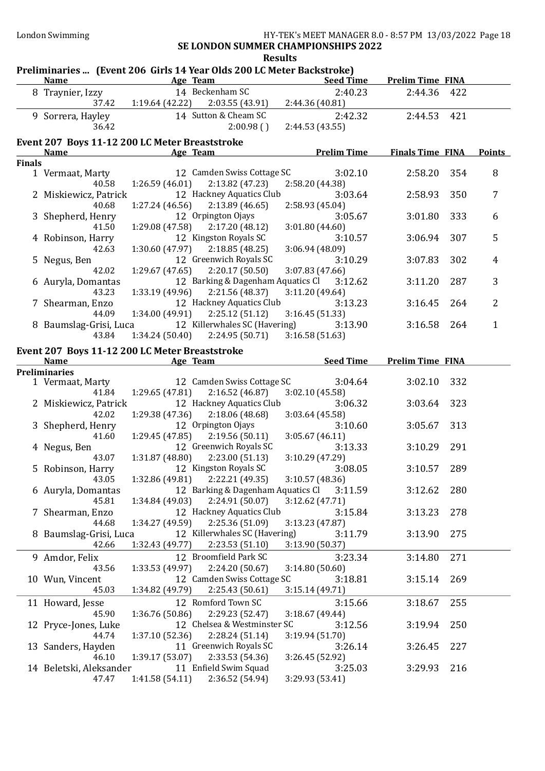# SE LONDON SUMMER CHAMPIONSHIPS 2022 Results<br>ar Olds 200 LC Motor Backstroko)

|               | Preliminaries  (Event 206 Girls 14 Year Olds 200 LC Meter Backstroke) |                              |                                                                                | <b>Seed Time</b>                          | <b>Prelim Time FINA</b> |     |                |
|---------------|-----------------------------------------------------------------------|------------------------------|--------------------------------------------------------------------------------|-------------------------------------------|-------------------------|-----|----------------|
|               | <b>Name</b>                                                           | <b>Example 2016</b> Age Team |                                                                                |                                           |                         |     |                |
|               | 8 Traynier, Izzy                                                      |                              | 14 Beckenham SC<br>37.42   1:19.64 (42.22)   2:03.55 (43.91)   2:44.36 (40.81) | 2:40.23                                   | 2:44.36                 | 422 |                |
|               |                                                                       |                              |                                                                                |                                           |                         |     |                |
|               | 9 Sorrera, Hayley                                                     |                              | 14 Sutton & Cheam SC                                                           | 2:42.32                                   | 2:44.53                 | 421 |                |
|               | 36.42                                                                 |                              | 2:00.98()                                                                      | 2:44.53 (43.55)                           |                         |     |                |
|               | Event 207 Boys 11-12 200 LC Meter Breaststroke                        |                              |                                                                                |                                           |                         |     |                |
|               | Name                                                                  | Age Team                     |                                                                                | <b>Prelim Time</b>                        | <b>Finals Time FINA</b> |     | <b>Points</b>  |
| <b>Finals</b> |                                                                       |                              |                                                                                |                                           |                         |     |                |
|               | 1 Vermaat, Marty                                                      |                              | 12 Camden Swiss Cottage SC                                                     | 3:02.10                                   | 2:58.20                 | 354 | 8              |
|               | 40.58                                                                 | 1:26.59(46.01)               | 2:13.82 (47.23)                                                                | 2:58.20 (44.38)                           |                         |     |                |
|               | 2 Miskiewicz, Patrick                                                 |                              | 12 Hackney Aquatics Club                                                       | 3:03.64                                   | 2:58.93                 | 350 | 7              |
|               | 40.68                                                                 | 1:27.24(46.56)               | 2:13.89(46.65)                                                                 | 2:58.93 (45.04)                           |                         |     |                |
|               | 3 Shepherd, Henry                                                     |                              | 12 Orpington Ojays                                                             | 3:05.67                                   | 3:01.80                 | 333 | 6              |
|               | 41.50                                                                 | 1:29.08(47.58)               | 2:17.20(48.12)                                                                 | 3:01.80(44.60)                            |                         |     |                |
|               | 4 Robinson, Harry                                                     |                              | 12 Kingston Royals SC                                                          | 3:10.57                                   | 3:06.94                 | 307 | 5              |
|               | 42.63                                                                 | 1:30.60(47.97)               | 2:18.85(48.25)                                                                 | 3:06.94 (48.09)                           |                         |     |                |
|               | 5 Negus, Ben                                                          |                              | 12 Greenwich Royals SC                                                         | 3:10.29                                   | 3:07.83                 | 302 | 4              |
|               | 42.02                                                                 | 1:29.67 (47.65)              | 2:20.17(50.50)                                                                 | 3:07.83 (47.66)                           |                         |     |                |
|               | 6 Auryla, Domantas                                                    |                              |                                                                                | 12 Barking & Dagenham Aquatics Cl 3:12.62 | 3:11.20                 | 287 | 3              |
|               | 43.23                                                                 | 1:33.19 (49.96)              | 2:21.56 (48.37)                                                                | 3:11.20(49.64)                            |                         |     |                |
|               | 7 Shearman, Enzo                                                      |                              | 12 Hackney Aquatics Club                                                       | 3:13.23                                   | 3:16.45                 | 264 | $\overline{2}$ |
|               | 44.09                                                                 |                              | $1:34.00(49.91)$ $2:25.12(51.12)$                                              | 3:16.45 (51.33)                           |                         |     |                |
|               | 8 Baumslag-Grisi, Luca                                                |                              | 12 Killerwhales SC (Havering)                                                  | 3:13.90                                   | 3:16.58                 | 264 | $\mathbf{1}$   |
|               | 43.84                                                                 | 1:34.24(50.40)               | 2:24.95 (50.71)                                                                | 3:16.58(51.63)                            |                         |     |                |
|               | Event 207 Boys 11-12 200 LC Meter Breaststroke                        |                              |                                                                                |                                           |                         |     |                |
|               | Name                                                                  | <b>Example 2016</b> Age Team |                                                                                | <b>Seed Time</b>                          | <b>Prelim Time FINA</b> |     |                |
|               | <b>Preliminaries</b>                                                  |                              |                                                                                |                                           |                         |     |                |
|               | 1 Vermaat, Marty                                                      |                              | 12 Camden Swiss Cottage SC                                                     | 3:04.64                                   | 3:02.10                 | 332 |                |
|               | 41.84                                                                 | 1:29.65(47.81)               | 2:16.52(46.87)                                                                 | 3:02.10(45.58)                            |                         |     |                |
|               | 2 Miskiewicz, Patrick                                                 |                              | 12 Hackney Aquatics Club                                                       | 3:06.32                                   | 3:03.64                 | 323 |                |
|               | 42.02                                                                 | 1:29.38(47.36)               | 2:18.06(48.68)                                                                 | 3:03.64 (45.58)                           |                         |     |                |
|               | 3 Shepherd, Henry                                                     |                              | 12 Orpington Ojays                                                             | 3:10.60                                   | 3:05.67                 | 313 |                |
|               | 41.60                                                                 | 1:29.45(47.85)               | 2:19.56(50.11)<br>12 Greenwich Royals SC                                       | 3:05.67(46.11)                            |                         |     |                |
|               | 4 Negus, Ben                                                          |                              |                                                                                | 3:13.33                                   | 3:10.29                 | 291 |                |
|               | 43.07                                                                 | 1:31.87 (48.80)              | 2:23.00 (51.13)<br>12 Kingston Royals SC                                       | 3:10.29 (47.29)                           |                         |     |                |
|               | 5 Robinson, Harry<br>43.05                                            | 1:32.86 (49.81)              | 2:22.21 (49.35)                                                                | 3:08.05<br>3:10.57(48.36)                 | 3:10.57                 | 289 |                |
|               | 6 Auryla, Domantas                                                    |                              | 12 Barking & Dagenham Aquatics Cl                                              | 3:11.59                                   | 3:12.62                 | 280 |                |
|               | 45.81                                                                 | 1:34.84 (49.03)              | 2:24.91 (50.07)                                                                | 3:12.62 (47.71)                           |                         |     |                |
|               | 7 Shearman, Enzo                                                      |                              | 12 Hackney Aquatics Club                                                       | 3:15.84                                   | 3:13.23                 | 278 |                |
|               | 44.68                                                                 | 1:34.27 (49.59)              | 2:25.36 (51.09)                                                                | 3:13.23 (47.87)                           |                         |     |                |
|               | 8 Baumslag-Grisi, Luca                                                |                              | 12 Killerwhales SC (Havering)                                                  | 3:11.79                                   | 3:13.90                 | 275 |                |
|               | 42.66                                                                 | 1:32.43 (49.77)              | 2:23.53 (51.10)                                                                | 3:13.90 (50.37)                           |                         |     |                |
|               | 9 Amdor, Felix                                                        |                              | 12 Broomfield Park SC                                                          | 3:23.34                                   | 3:14.80                 | 271 |                |
|               | 43.56                                                                 | 1:33.53 (49.97)              | 2:24.20 (50.67)                                                                | 3:14.80(50.60)                            |                         |     |                |
|               | 10 Wun, Vincent                                                       |                              | 12 Camden Swiss Cottage SC                                                     | 3:18.81                                   | 3:15.14                 | 269 |                |
|               | 45.03                                                                 | 1:34.82 (49.79)              | 2:25.43 (50.61)                                                                | 3:15.14(49.71)                            |                         |     |                |
|               | 11 Howard, Jesse                                                      |                              | 12 Romford Town SC                                                             | 3:15.66                                   | 3:18.67                 | 255 |                |
|               | 45.90                                                                 | 1:36.76 (50.86)              | 2:29.23 (52.47)                                                                | 3:18.67 (49.44)                           |                         |     |                |
|               | 12 Pryce-Jones, Luke                                                  |                              | 12 Chelsea & Westminster SC                                                    | 3:12.56                                   | 3:19.94                 | 250 |                |
|               | 44.74                                                                 | 1:37.10 (52.36)              | 2:28.24(51.14)                                                                 | 3:19.94 (51.70)                           |                         |     |                |
|               | 13 Sanders, Hayden                                                    |                              | 11 Greenwich Royals SC                                                         | 3:26.14                                   | 3:26.45                 | 227 |                |
|               | 46.10                                                                 | 1:39.17 (53.07)              | 2:33.53 (54.36)                                                                | 3:26.45 (52.92)                           |                         |     |                |
|               | 14 Beletski, Aleksander                                               |                              | 11 Enfield Swim Squad                                                          | 3:25.03                                   | 3:29.93                 | 216 |                |
|               | 47.47                                                                 | 1:41.58(54.11)               | 2:36.52 (54.94)                                                                | 3:29.93 (53.41)                           |                         |     |                |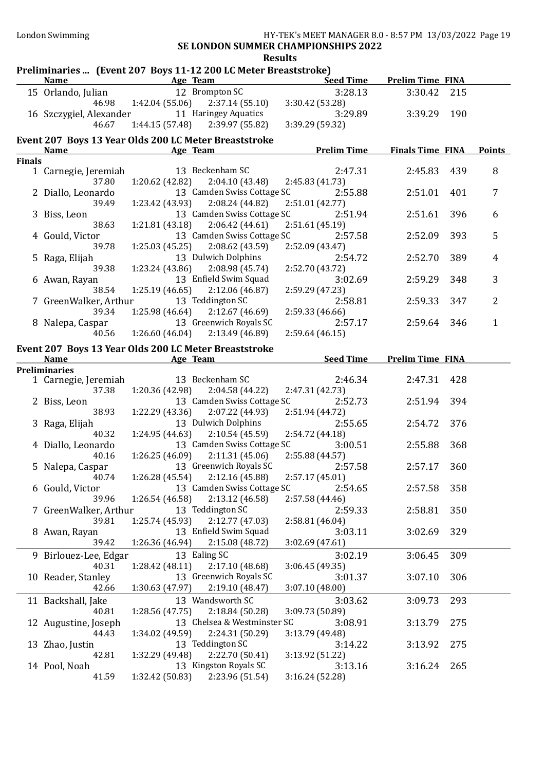London Swimming **HY-TEK's MEET MANAGER 8.0 - 8:57 PM 13/03/2022** Page 19

### SE LONDON SUMMER CHAMPIONSHIPS 2022 Results

|               | <b>Name</b>                    | Preliminaries  (Event 207 Boys 11-12 200 LC Meter Breaststroke)<br><b>Example 2</b> Age Team | Seed Time                  | <b>Prelim Time FINA</b> |     |                |
|---------------|--------------------------------|----------------------------------------------------------------------------------------------|----------------------------|-------------------------|-----|----------------|
|               |                                | 12 Brompton SC                                                                               |                            |                         |     |                |
|               | 15 Orlando, Julian             |                                                                                              | 3:28.13                    | 3:30.42                 | 215 |                |
|               | 46.98                          | 1:42.04(55.06)<br>2:37.14 (55.10)                                                            | 3:30.42 (53.28)            |                         |     |                |
|               | 16 Szczygiel, Alexander        | 11 Haringey Aquatics                                                                         | 3:29.89                    | 3:39.29 190             |     |                |
|               | 46.67                          | 2:39.97 (55.82)<br>1:44.15(57.48)                                                            | 3:39.29 (59.32)            |                         |     |                |
|               |                                | Event 207 Boys 13 Year Olds 200 LC Meter Breaststroke                                        |                            |                         |     |                |
|               | <b>Name</b>                    | Age Team                                                                                     | <b>Prelim Time</b>         | Finals Time FINA        |     | <u>Points</u>  |
| <b>Finals</b> |                                |                                                                                              |                            |                         |     |                |
|               | 1 Carnegie, Jeremiah           | 13 Beckenham SC                                                                              | 2:47.31                    | 2:45.83                 | 439 | 8              |
|               | 37.80                          | 2:04.10(43.48)<br>1:20.62 (42.82)                                                            | 2:45.83(41.73)             |                         |     |                |
|               | 2 Diallo, Leonardo             | 13 Camden Swiss Cottage SC                                                                   | 2:55.88                    | 2:51.01                 | 401 | 7              |
|               | 39.49                          | 2:08.24(44.82)<br>1:23.42 (43.93)                                                            | 2:51.01 (42.77)            |                         |     |                |
|               | 3 Biss, Leon                   | 13 Camden Swiss Cottage SC                                                                   | 2:51.94                    | 2:51.61                 | 396 | 6              |
|               | 38.63                          | 1:21.81(43.18)<br>2:06.42(44.61)                                                             | 2:51.61(45.19)             |                         |     |                |
|               | 4 Gould, Victor                | 13 Camden Swiss Cottage SC                                                                   | 2:57.58                    | 2:52.09                 | 393 | 5              |
|               | 39.78                          | 1:25.03(45.25)<br>2:08.62(43.59)                                                             | 2:52.09 (43.47)            |                         |     |                |
|               | 5 Raga, Elijah                 | 13 Dulwich Dolphins                                                                          | 2:54.72                    | 2:52.70                 | 389 | 4              |
|               | 39.38                          | 1:23.24(43.86)<br>2:08.98(45.74)                                                             | 2:52.70 (43.72)            |                         |     |                |
|               | 6 Awan, Rayan                  | 13 Enfield Swim Squad                                                                        | 3:02.69                    | 2:59.29                 | 348 | 3              |
|               | 38.54                          | 1:25.19(46.65)<br>2:12.06(46.87)                                                             | 2:59.29 (47.23)            |                         |     |                |
|               | 7 GreenWalker, Arthur          | 13 Teddington SC                                                                             | 2:58.81                    | 2:59.33                 | 347 | $\overline{2}$ |
|               | 39.34                          | 2:12.67(46.69)<br>1:25.98(46.64)                                                             | 2:59.33 (46.66)            |                         |     |                |
|               | 8 Nalepa, Caspar               | 13 Greenwich Royals SC                                                                       | 2:57.17                    | 2:59.64                 | 346 | $\mathbf{1}$   |
|               | 40.56                          | 2:13.49 (46.89)<br>1:26.60(46.04)                                                            | 2:59.64(46.15)             |                         |     |                |
|               |                                | Event 207 Boys 13 Year Olds 200 LC Meter Breaststroke                                        |                            |                         |     |                |
|               | <b>Name</b>                    | Age Team                                                                                     | <b>Seed Time</b>           | <b>Prelim Time FINA</b> |     |                |
|               | <b>Preliminaries</b>           |                                                                                              |                            |                         |     |                |
|               | 1 Carnegie, Jeremiah           | 13 Beckenham SC                                                                              | 2:46.34                    | 2:47.31                 | 428 |                |
|               | 37.38                          | 1:20.36 (42.98)<br>2:04.58(44.22)                                                            | 2:47.31 (42.73)            |                         |     |                |
|               | 2 Biss, Leon                   | 13 Camden Swiss Cottage SC                                                                   | 2:52.73                    | 2:51.94                 | 394 |                |
|               | 38.93                          | 1:22.29(43.36)<br>2:07.22(44.93)<br>13 Dulwich Dolphins                                      | 2:51.94 (44.72)            |                         |     |                |
|               | 3 Raga, Elijah<br>40.32        | 1:24.95(44.63)<br>2:10.54(45.59)                                                             | 2:55.65                    | 2:54.72                 | 376 |                |
|               |                                | 13 Camden Swiss Cottage SC                                                                   | 2:54.72 (44.18)<br>3:00.51 | 2:55.88                 | 368 |                |
|               | 4 Diallo, Leonardo<br>40.16    | 1:26.25(46.09)<br>2:11.31(45.06)                                                             | 2:55.88 (44.57)            |                         |     |                |
|               | 5 Nalepa, Caspar               | 13 Greenwich Royals SC                                                                       | 2:57.58                    | 2:57.17                 | 360 |                |
|               | 40.74                          | $1:26.28(45.54)$ $2:12.16(45.88)$                                                            | 2:57.17(45.01)             |                         |     |                |
|               | 6 Gould, Victor                | 13 Camden Swiss Cottage SC                                                                   | 2:54.65                    | 2:57.58                 | 358 |                |
|               | 39.96                          | 1:26.54(46.58)<br>2:13.12(46.58)                                                             | 2:57.58(44.46)             |                         |     |                |
|               | 7 GreenWalker, Arthur          | 13 Teddington SC                                                                             | 2:59.33                    | 2:58.81                 | 350 |                |
|               | 39.81                          | 2:12.77 (47.03)<br>1:25.74 (45.93)                                                           | 2:58.81 (46.04)            |                         |     |                |
|               | 8 Awan, Rayan                  | 13 Enfield Swim Squad                                                                        | 3:03.11                    | 3:02.69                 | 329 |                |
|               | 39.42                          | 1:26.36 (46.94)<br>2:15.08 (48.72)                                                           | 3:02.69(47.61)             |                         |     |                |
|               |                                | 13 Ealing SC                                                                                 | 3:02.19                    | 3:06.45                 | 309 |                |
|               | 9 Birlouez-Lee, Edgar<br>40.31 | 2:17.10(48.68)<br>1:28.42 (48.11)                                                            | 3:06.45 (49.35)            |                         |     |                |
|               | 10 Reader, Stanley             | 13 Greenwich Royals SC                                                                       | 3:01.37                    | 3:07.10                 | 306 |                |
|               | 42.66                          | 1:30.63 (47.97)<br>2:19.10(48.47)                                                            | 3:07.10(48.00)             |                         |     |                |
|               |                                |                                                                                              |                            |                         |     |                |
|               | 11 Backshall, Jake             | 13 Wandsworth SC                                                                             | 3:03.62                    | 3:09.73                 | 293 |                |
|               | 40.81                          | 1:28.56(47.75)<br>2:18.84(50.28)                                                             | 3:09.73 (50.89)            |                         |     |                |
|               | 12 Augustine, Joseph           | 13 Chelsea & Westminster SC                                                                  | 3:08.91                    | 3:13.79                 | 275 |                |
|               | 44.43                          | 1:34.02 (49.59)<br>2:24.31 (50.29)<br>13 Teddington SC                                       | 3:13.79 (49.48)            |                         |     |                |
|               | 13 Zhao, Justin<br>42.81       |                                                                                              | 3:14.22                    | 3:13.92                 | 275 |                |
|               |                                | 1:32.29 (49.48)<br>2:22.70 (50.41)<br>13 Kingston Royals SC                                  | 3:13.92 (51.22)            |                         |     |                |
|               | 14 Pool, Noah<br>41.59         | 2:23.96 (51.54)<br>1:32.42(50.83)                                                            | 3:13.16<br>3:16.24 (52.28) | 3:16.24                 | 265 |                |
|               |                                |                                                                                              |                            |                         |     |                |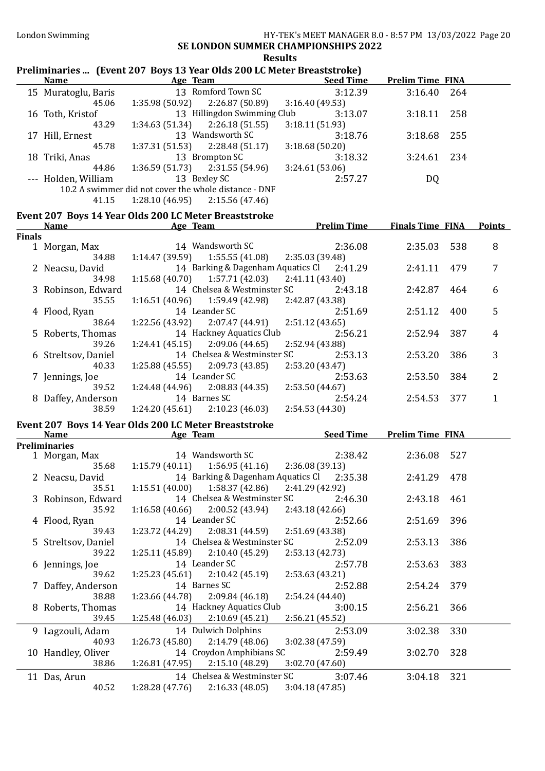## London Swimming HY-TEK's MEET MANAGER 8.0 - 8:57 PM 13/03/2022 Page 20

#### SE LONDON SUMMER CHAMPIONSHIPS 2022 Results

## Preliminaries ... (Event 207 Boys 13 Year Olds 200 LC Meter Breaststroke)

| <b>Name</b>                                           | Age Team                          |                             | <b>Seed Time</b> | <b>Prelim Time FINA</b> |     |
|-------------------------------------------------------|-----------------------------------|-----------------------------|------------------|-------------------------|-----|
| 15 Muratoglu, Baris                                   |                                   | 13 Romford Town SC          | 3:12.39          | 3:16.40                 | 264 |
| 45.06                                                 | 1:35.98(50.92)                    | 2:26.87 (50.89)             | 3:16.40(49.53)   |                         |     |
| 16 Toth, Kristof                                      |                                   | 13 Hillingdon Swimming Club | 3:13.07          | 3:18.11                 | 258 |
| 43.29                                                 | 1:34.63(51.34)                    | 2:26.18 (51.55)             | 3:18.11(51.93)   |                         |     |
| 17 Hill, Ernest                                       |                                   | 13 Wandsworth SC            | 3:18.76          | 3:18.68                 | 255 |
| 45.78                                                 | 1:37.31(51.53)                    | 2:28.48 (51.17)             | 3:18.68(50.20)   |                         |     |
| 18 Triki, Anas                                        |                                   | 13 Brompton SC              | 3:18.32          | 3:24.61                 | 234 |
| 44.86                                                 | $1:36.59(51.73)$ $2:31.55(54.96)$ |                             | 3:24.61(53.06)   |                         |     |
| --- Holden, William                                   |                                   | 13 Bexley SC                | 2:57.27          | DQ                      |     |
| 10.2 A swimmer did not cover the whole distance - DNF |                                   |                             |                  |                         |     |
| 41.15                                                 | 1:28.10(46.95)                    | 2:15.56 (47.46)             |                  |                         |     |

#### Event 207 Boys 14 Year Olds 200 LC Meter Breaststroke

|               | Name                | Age Team                          |                                           |                 | <b>Prelim Time</b> | <b>Finals Time FINA</b> |     | <b>Points</b> |
|---------------|---------------------|-----------------------------------|-------------------------------------------|-----------------|--------------------|-------------------------|-----|---------------|
| <b>Finals</b> |                     |                                   |                                           |                 |                    |                         |     |               |
|               | 1 Morgan, Max       |                                   | 14 Wandsworth SC                          |                 | 2:36.08            | 2:35.03                 | 538 | 8             |
|               | 34.88               |                                   | $1:14.47(39.59)$ $1:55.55(41.08)$         | 2:35.03 (39.48) |                    |                         |     |               |
|               | 2 Neacsu, David     |                                   | 14 Barking & Dagenham Aquatics Cl 2:41.29 |                 |                    | 2:41.11                 | 479 | 7             |
|               | 34.98               | $1:15.68(40.70)$ $1:57.71(42.03)$ |                                           | 2:41.11(43.40)  |                    |                         |     |               |
|               | 3 Robinson, Edward  |                                   | 14 Chelsea & Westminster SC               |                 | 2:43.18            | 2:42.87                 | 464 | 6             |
|               | 35.55               |                                   | $1:16.51(40.96)$ $1:59.49(42.98)$         | 2:42.87 (43.38) |                    |                         |     |               |
|               | 4 Flood, Ryan       |                                   | 14 Leander SC                             |                 | 2:51.69            | 2:51.12                 | 400 | 5             |
|               | 38.64               |                                   | $1:22.56(43.92)$ $2:07.47(44.91)$         | 2:51.12 (43.65) |                    |                         |     |               |
|               | 5 Roberts, Thomas   |                                   | 14 Hackney Aquatics Club                  |                 | 2:56.21            | 2:52.94                 | 387 | 4             |
|               | 39.26               | $1:24.41(45.15)$ $2:09.06(44.65)$ |                                           | 2:52.94 (43.88) |                    |                         |     |               |
|               | 6 Streltsov, Daniel |                                   | 14 Chelsea & Westminster SC               |                 | 2:53.13            | 2:53.20                 | 386 | 3             |
|               | 40.33               | $1:25.88(45.55)$ $2:09.73(43.85)$ |                                           | 2:53.20(43.47)  |                    |                         |     |               |
|               | 7 Jennings, Joe     |                                   | 14 Leander SC                             |                 | 2:53.63            | 2:53.50                 | 384 | 2             |
|               | 39.52               |                                   | $1:24.48(44.96)$ $2:08.83(44.35)$         | 2:53.50 (44.67) |                    |                         |     |               |
|               | 8 Daffey, Anderson  |                                   | 14 Barnes SC                              |                 | 2:54.24            | 2:54.53                 | 377 |               |
|               | 38.59               | $1:24.20(45.61)$ $2:10.23(46.03)$ |                                           | 2:54.53 (44.30) |                    |                         |     |               |

#### Event 207 Boys 14 Year Olds 200 LC Meter Breaststroke

| Name                                        | Age Team                                                                                                                                           | <b>Seed Time</b>                     | <b>Prelim Time FINA</b> |            |
|---------------------------------------------|----------------------------------------------------------------------------------------------------------------------------------------------------|--------------------------------------|-------------------------|------------|
| <b>Preliminaries</b>                        |                                                                                                                                                    |                                      |                         |            |
| 1 Morgan, Max                               | 14 Wandsworth SC                                                                                                                                   | 2:38.42                              | 2:36.08 527             |            |
| 35.68                                       | $1:15.79(40.11)$ $1:56.95(41.16)$ $2:36.08(39.13)$                                                                                                 |                                      |                         |            |
| 2 Neacsu, David                             | 14 Barking & Dagenham Aquatics Cl 2:35.38                                                                                                          |                                      | 2:41.29 478             |            |
| 35.51                                       | $1:15.51(40.00)$ $1:58.37(42.86)$                                                                                                                  | 2:41.29 (42.92)                      |                         |            |
| 3 Robinson, Edward                          | 14 Chelsea & Westminster SC                                                                                                                        | 2:46.30                              | 2:43.18 461             |            |
| 35.92                                       | $1:16.58(40.66)$ $2:00.52(43.94)$                                                                                                                  | 2:43.18 (42.66)                      |                         |            |
| 4 Flood, Ryan                               | 14 Leander SC                                                                                                                                      | 2:52.66                              | 2:51.69                 | 396        |
| 39.43                                       | $1:23.72$ (44.29) $2:08.31$ (44.59) $2:51.69$ (43.38)                                                                                              |                                      |                         |            |
| 5 Streltsov, Daniel                         | 14 Chelsea & Westminster SC                                                                                                                        | 2:52.09                              | 2:53.13                 | 386        |
| 39.22                                       | $1:25.11(45.89)$ $2:10.40(45.29)$                                                                                                                  | 2:53.13(42.73)                       |                         |            |
| 6 Jennings, Joe                             | 14 Leander SC                                                                                                                                      | 2:57.78                              | 2:53.63                 | 383        |
| 39.62                                       | $1:25.23(45.61)$ $2:10.42(45.19)$                                                                                                                  | 2:53.63(43.21)                       |                         |            |
| 7 Daffey, Anderson                          | 14 Barnes SC                                                                                                                                       | 2:52.88                              | 2:54.24                 | 379        |
| 38.88                                       | $1:23.66(44.78)$ $2:09.84(46.18)$                                                                                                                  | 2:54.24 (44.40)                      |                         |            |
| 8 Roberts, Thomas                           | 14 Hackney Aquatics Club                                                                                                                           | 3:00.15                              | 2:56.21                 | 366        |
| 39.45                                       | $1:25.48(46.03)$ $2:10.69(45.21)$                                                                                                                  | 2:56.21(45.52)                       |                         |            |
| 9 Lagzouli, Adam                            | 14 Dulwich Dolphins                                                                                                                                | 2:53.09                              | 3:02.38                 | 330        |
| 40.93                                       | $1:26.73(45.80)$ $2:14.79(48.06)$                                                                                                                  | 3:02.38(47.59)                       |                         |            |
|                                             |                                                                                                                                                    |                                      |                         |            |
| 38.86                                       |                                                                                                                                                    |                                      |                         |            |
|                                             |                                                                                                                                                    |                                      |                         |            |
|                                             |                                                                                                                                                    |                                      |                         |            |
| 10 Handley, Oliver<br>11 Das, Arun<br>40.52 | 14 Croydon Amphibians SC<br>$1:26.81(47.95)$ $2:15.10(48.29)$ $3:02.70(47.60)$<br>14 Chelsea & Westminster SC<br>$1:28.28(47.76)$ $2:16.33(48.05)$ | 2:59.49<br>3:07.46<br>3:04.18(47.85) | 3:02.70<br>3:04.18      | 328<br>321 |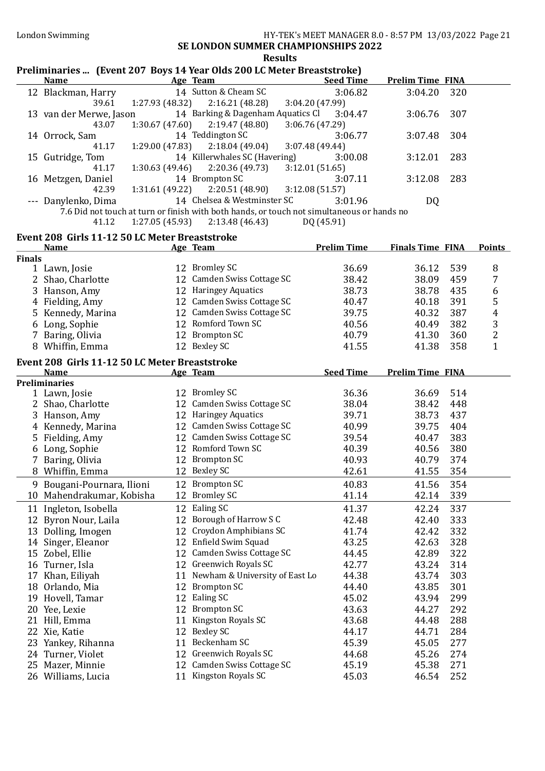|               |                                                |                 | Preliminaries  (Event 207 Boys 14 Year Olds 200 LC Meter Breaststroke) |                                                                                            |                         |     |                |
|---------------|------------------------------------------------|-----------------|------------------------------------------------------------------------|--------------------------------------------------------------------------------------------|-------------------------|-----|----------------|
|               | <b>Name</b>                                    |                 | Age Team                                                               | <b>Seed Time</b>                                                                           | <b>Prelim Time FINA</b> |     |                |
|               | 12 Blackman, Harry                             |                 | 14 Sutton & Cheam SC                                                   | 3:06.82                                                                                    | 3:04.20                 | 320 |                |
|               | 39.61                                          | 1:27.93 (48.32) | 2:16.21(48.28)                                                         | 3:04.20 (47.99)                                                                            |                         |     |                |
|               | 13 van der Merwe, Jason                        |                 | 14 Barking & Dagenham Aquatics Cl                                      | 3:04.47                                                                                    | 3:06.76                 | 307 |                |
|               | 43.07                                          | 1:30.67(47.60)  | 2:19.47 (48.80)                                                        | 3:06.76 (47.29)                                                                            |                         |     |                |
|               | 14 Orrock, Sam                                 |                 | 14 Teddington SC                                                       | 3:06.77                                                                                    | 3:07.48                 | 304 |                |
|               | 41.17                                          | 1:29.00(47.83)  | 2:18.04(49.04)                                                         | 3:07.48 (49.44)                                                                            |                         |     |                |
|               | 15 Gutridge, Tom                               |                 | 14 Killerwhales SC (Havering)                                          | 3:00.08                                                                                    | 3:12.01                 | 283 |                |
|               | 41.17                                          | 1:30.63(49.46)  | 2:20.36 (49.73)                                                        | 3:12.01 (51.65)                                                                            |                         |     |                |
|               | 16 Metzgen, Daniel                             |                 | 14 Brompton SC                                                         | 3:07.11                                                                                    | 3:12.08                 | 283 |                |
|               | 42.39                                          | 1:31.61(49.22)  | 2:20.51 (48.90)<br>14 Chelsea & Westminster SC                         | 3:12.08(51.57)<br>3:01.96                                                                  |                         |     |                |
|               | --- Danylenko, Dima                            |                 |                                                                        | 7.6 Did not touch at turn or finish with both hands, or touch not simultaneous or hands no | DQ.                     |     |                |
|               | 41.12                                          | 1:27.05(45.93)  | 2:13.48(46.43)                                                         | DQ (45.91)                                                                                 |                         |     |                |
|               |                                                |                 |                                                                        |                                                                                            |                         |     |                |
|               | Event 208 Girls 11-12 50 LC Meter Breaststroke |                 |                                                                        |                                                                                            |                         |     |                |
| <b>Finals</b> | <b>Name</b>                                    |                 | Age Team                                                               | <b>Prelim Time</b>                                                                         | <b>Finals Time FINA</b> |     | <b>Points</b>  |
|               | 1 Lawn, Josie                                  |                 | 12 Bromley SC                                                          | 36.69                                                                                      | 36.12                   | 539 | 8              |
|               | 2 Shao, Charlotte                              |                 | 12 Camden Swiss Cottage SC                                             | 38.42                                                                                      | 38.09                   | 459 | 7              |
|               | 3 Hanson, Amy                                  |                 | 12 Haringey Aquatics                                                   | 38.73                                                                                      | 38.78                   | 435 | 6              |
|               | 4 Fielding, Amy                                |                 | 12 Camden Swiss Cottage SC                                             | 40.47                                                                                      | 40.18                   | 391 | 5              |
|               | 5 Kennedy, Marina                              |                 | 12 Camden Swiss Cottage SC                                             | 39.75                                                                                      | 40.32                   | 387 | $\overline{4}$ |
|               | 6 Long, Sophie                                 |                 | 12 Romford Town SC                                                     | 40.56                                                                                      | 40.49                   | 382 | 3              |
|               | 7 Baring, Olivia                               |                 | 12 Brompton SC                                                         | 40.79                                                                                      | 41.30                   | 360 | $\overline{c}$ |
|               | 8 Whiffin, Emma                                |                 | 12 Bexley SC                                                           | 41.55                                                                                      | 41.38                   | 358 | $\mathbf{1}$   |
|               |                                                |                 |                                                                        |                                                                                            |                         |     |                |
|               | Event 208 Girls 11-12 50 LC Meter Breaststroke |                 |                                                                        |                                                                                            |                         |     |                |
|               | <b>Name</b><br><b>Preliminaries</b>            |                 | Age Team                                                               | <b>Seed Time</b>                                                                           | <b>Prelim Time FINA</b> |     |                |
|               | 1 Lawn, Josie                                  |                 | 12 Bromley SC                                                          | 36.36                                                                                      | 36.69                   | 514 |                |
|               | 2 Shao, Charlotte                              |                 | 12 Camden Swiss Cottage SC                                             | 38.04                                                                                      | 38.42                   | 448 |                |
|               | 3 Hanson, Amy                                  |                 | 12 Haringey Aquatics                                                   | 39.71                                                                                      | 38.73                   | 437 |                |
|               | 4 Kennedy, Marina                              |                 | 12 Camden Swiss Cottage SC                                             | 40.99                                                                                      | 39.75                   | 404 |                |
|               | 5 Fielding, Amy                                |                 | 12 Camden Swiss Cottage SC                                             | 39.54                                                                                      | 40.47                   | 383 |                |
|               | 6 Long, Sophie                                 |                 | 12 Romford Town SC                                                     | 40.39                                                                                      | 40.56                   | 380 |                |
|               | 7 Baring, Olivia                               |                 | 12 Brompton SC                                                         | 40.93                                                                                      | 40.79                   | 374 |                |
|               | 8 Whiffin, Emma                                |                 | 12 Bexley SC                                                           | 42.61                                                                                      | 41.55                   | 354 |                |
|               |                                                |                 |                                                                        |                                                                                            |                         |     |                |
|               | 9 Bougani-Pournara, Ilioni                     |                 | 12 Brompton SC<br><b>Bromley SC</b>                                    | 40.83                                                                                      | 41.56                   | 354 |                |
|               | 10 Mahendrakumar, Kobisha                      | 12              |                                                                        | 41.14                                                                                      | 42.14                   | 339 |                |
| 11            | Ingleton, Isobella                             | 12              | Ealing SC                                                              | 41.37                                                                                      | 42.24                   | 337 |                |
|               | 12 Byron Nour, Laila                           | 12              | Borough of Harrow S C                                                  | 42.48                                                                                      | 42.40                   | 333 |                |
|               | 13 Dolling, Imogen                             | 12              | Croydon Amphibians SC                                                  | 41.74                                                                                      | 42.42                   | 332 |                |
|               | 14 Singer, Eleanor                             | 12              | Enfield Swim Squad                                                     | 43.25                                                                                      | 42.63                   | 328 |                |
|               | 15 Zobel, Ellie                                | 12              | Camden Swiss Cottage SC                                                | 44.45                                                                                      | 42.89                   | 322 |                |
|               | 16 Turner, Isla                                |                 | 12 Greenwich Royals SC                                                 | 42.77                                                                                      | 43.24                   | 314 |                |
|               | 17 Khan, Eiliyah                               |                 | 11 Newham & University of East Lo                                      | 44.38                                                                                      | 43.74                   | 303 |                |
|               | 18 Orlando, Mia                                | 12              | <b>Brompton SC</b>                                                     | 44.40                                                                                      | 43.85                   | 301 |                |
|               | 19 Hovell, Tamar                               |                 | 12 Ealing SC                                                           | 45.02                                                                                      | 43.94                   | 299 |                |
|               | 20 Yee, Lexie                                  | 12              | <b>Brompton SC</b>                                                     | 43.63                                                                                      | 44.27                   | 292 |                |
|               | 21 Hill, Emma                                  | 11              | Kingston Royals SC                                                     | 43.68                                                                                      | 44.48                   | 288 |                |
|               | 22 Xie, Katie                                  | 12              | <b>Bexley SC</b>                                                       | 44.17                                                                                      | 44.71                   | 284 |                |
|               | 23 Yankey, Rihanna                             | 11              | Beckenham SC                                                           | 45.39                                                                                      | 45.05                   | 277 |                |
|               | 24 Turner, Violet                              |                 | 12 Greenwich Royals SC                                                 | 44.68                                                                                      | 45.26                   | 274 |                |
|               | 25 Mazer, Minnie                               | 12              | Camden Swiss Cottage SC                                                | 45.19                                                                                      | 45.38                   | 271 |                |
|               | 26 Williams, Lucia                             |                 | 11 Kingston Royals SC                                                  | 45.03                                                                                      | 46.54                   | 252 |                |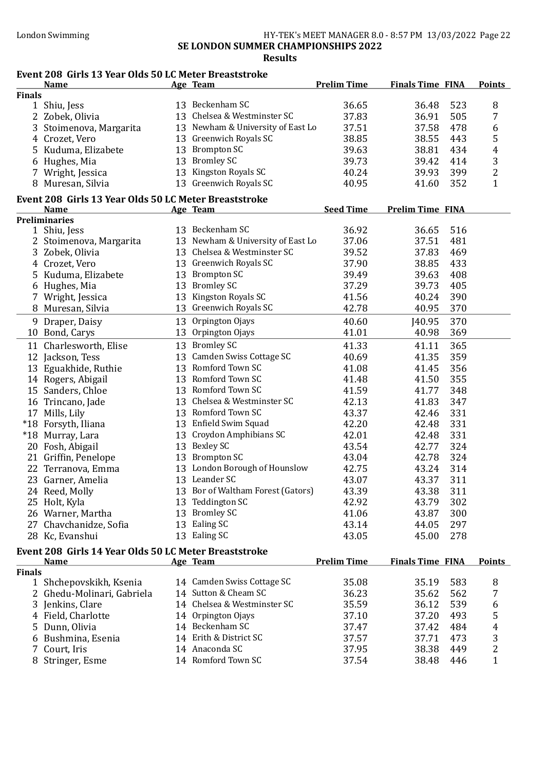### London Swimming HY-TEK's MEET MANAGER 8.0 - 8:57 PM 13/03/2022 Page 22 SE LONDON SUMMER CHAMPIONSHIPS 2022 Results

## Event 208 Girls 13 Year Olds 50 LC Meter Breaststroke

|               | <b>Name</b>                                           | Age Team                          | <b>Prelim Time</b> | <b>Finals Time FINA</b> | <b>Points</b>  |
|---------------|-------------------------------------------------------|-----------------------------------|--------------------|-------------------------|----------------|
| <b>Finals</b> |                                                       |                                   |                    |                         |                |
|               | 1 Shiu, Jess                                          | 13 Beckenham SC                   | 36.65              | 36.48<br>523            | 8              |
|               | 2 Zobek, Olivia                                       | 13 Chelsea & Westminster SC       | 37.83              | 36.91<br>505            | 7              |
| 3             | Stoimenova, Margarita                                 | 13 Newham & University of East Lo | 37.51              | 37.58<br>478            | 6              |
|               | 4 Crozet, Vero                                        | 13 Greenwich Royals SC            | 38.85              | 443<br>38.55            | 5              |
| 5.            | Kuduma, Elizabete                                     | 13 Brompton SC                    | 39.63              | 434<br>38.81            | $\overline{4}$ |
|               | 6 Hughes, Mia                                         | 13 Bromley SC                     | 39.73              | 39.42<br>414            | 3              |
| 7             | Wright, Jessica                                       | 13 Kingston Royals SC             | 40.24              | 39.93<br>399            | $\overline{2}$ |
|               | 8 Muresan, Silvia                                     | 13 Greenwich Royals SC            | 40.95              | 352<br>41.60            | $\mathbf{1}$   |
|               |                                                       |                                   |                    |                         |                |
|               | Event 208 Girls 13 Year Olds 50 LC Meter Breaststroke |                                   |                    |                         |                |
|               | <b>Name</b><br><b>Preliminaries</b>                   | Age Team                          | <b>Seed Time</b>   | <b>Prelim Time FINA</b> |                |
|               | 1 Shiu, Jess                                          | 13 Beckenham SC                   | 36.92              | 36.65<br>516            |                |
|               | 2 Stoimenova, Margarita                               | 13 Newham & University of East Lo | 37.06              | 481<br>37.51            |                |
|               | 3 Zobek, Olivia                                       | 13 Chelsea & Westminster SC       | 39.52              | 37.83<br>469            |                |
|               |                                                       | 13 Greenwich Royals SC            |                    |                         |                |
|               | 4 Crozet, Vero                                        |                                   | 37.90              | 38.85<br>433            |                |
|               | 5 Kuduma, Elizabete                                   | 13 Brompton SC                    | 39.49              | 39.63<br>408            |                |
|               | 6 Hughes, Mia                                         | 13 Bromley SC                     | 37.29              | 39.73<br>405            |                |
|               | 7 Wright, Jessica                                     | 13 Kingston Royals SC             | 41.56              | 390<br>40.24            |                |
|               | 8 Muresan, Silvia                                     | 13 Greenwich Royals SC            | 42.78              | 370<br>40.95            |                |
|               | 9 Draper, Daisy                                       | 13 Orpington Ojays                | 40.60              | 370<br><b>J40.95</b>    |                |
|               | 10 Bond, Carys                                        | 13 Orpington Ojays                | 41.01              | 369<br>40.98            |                |
|               | 11 Charlesworth, Elise                                | 13 Bromley SC                     | 41.33              | 365<br>41.11            |                |
|               | 12 Jackson, Tess                                      | 13 Camden Swiss Cottage SC        | 40.69              | 359<br>41.35            |                |
|               | 13 Eguakhide, Ruthie                                  | 13 Romford Town SC                | 41.08              | 356<br>41.45            |                |
|               | 14 Rogers, Abigail                                    | 13 Romford Town SC                | 41.48              | 355<br>41.50            |                |
|               | 15 Sanders, Chloe                                     | 13 Romford Town SC                | 41.59              | 41.77<br>348            |                |
|               | 16 Trincano, Jade                                     | 13 Chelsea & Westminster SC       | 42.13              | 41.83<br>347            |                |
|               | 17 Mills, Lily                                        | 13 Romford Town SC                | 43.37              | 331<br>42.46            |                |
|               | *18 Forsyth, Iliana                                   | 13 Enfield Swim Squad             | 42.20              | 331<br>42.48            |                |
|               | *18 Murray, Lara                                      | 13 Croydon Amphibians SC          | 42.01              | 331<br>42.48            |                |
|               | 20 Fosh, Abigail                                      | 13 Bexley SC                      | 43.54              | 42.77<br>324            |                |
|               | 21 Griffin, Penelope                                  | 13 Brompton SC                    | 43.04              | 324<br>42.78            |                |
|               | 22 Terranova, Emma                                    | 13 London Borough of Hounslow     | 42.75              | 314<br>43.24            |                |
|               | 23 Garner, Amelia                                     | 13 Leander SC                     | 43.07              | 311<br>43.37            |                |
|               | 24 Reed, Molly                                        | 13 Bor of Waltham Forest (Gators) | 43.39              | 43.38<br>311            |                |
|               | 25 Holt, Kyla                                         | 13 Teddington SC                  | 42.92              | 43.79<br>302            |                |
|               |                                                       | 13 Bromley SC                     | 41.06              | 43.87<br>300            |                |
|               | 26 Warner, Martha                                     | 13 Ealing SC                      |                    | 297                     |                |
|               | 27 Chavchanidze, Sofia                                |                                   | 43.14              | 44.05                   |                |
|               | 28 Kc, Evanshui                                       | 13 Ealing SC                      | 43.05              | 278<br>45.00            |                |
|               | Event 208 Girls 14 Year Olds 50 LC Meter Breaststroke |                                   |                    |                         |                |
|               | <b>Name</b>                                           | Age Team                          | <b>Prelim Time</b> | <b>Finals Time FINA</b> | <b>Points</b>  |
| <b>Finals</b> |                                                       |                                   |                    |                         |                |
|               | 1 Shchepovskikh, Ksenia                               | 14 Camden Swiss Cottage SC        | 35.08              | 35.19<br>583            | 8              |
|               | 2 Ghedu-Molinari, Gabriela                            | 14 Sutton & Cheam SC              | 36.23              | 35.62<br>562            | 7              |
|               | 3 Jenkins, Clare                                      | 14 Chelsea & Westminster SC       | 35.59              | 539<br>36.12            | 6              |
|               | 4 Field, Charlotte                                    | 14 Orpington Ojays                | 37.10              | 37.20<br>493            | 5              |
|               | 5 Dunn, Olivia                                        | 14 Beckenham SC                   | 37.47              | 37.42<br>484            | 4              |
|               | Bushmina, Esenia                                      | 14 Erith & District SC            | 37.57              | 37.71<br>473            | 3              |
|               | 7 Court, Iris                                         | 14 Anaconda SC                    | 37.95              | 38.38<br>449            | 2              |
|               | 8 Stringer, Esme                                      | 14 Romford Town SC                | 37.54              | 38.48<br>446            | $\mathbf{1}$   |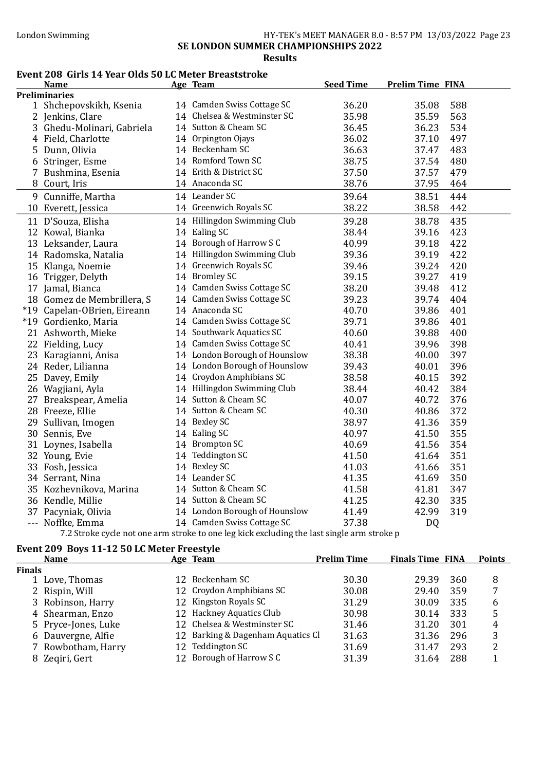#### London Swimming HY-TEK's MEET MANAGER 8.0 - 8:57 PM 13/03/2022 Page 23 SE LONDON SUMMER CHAMPIONSHIPS 2022 Results

### Event 208 Girls 14 Year Olds 50 LC Meter Breaststroke

|   | <b>Name</b>                 | Age Team                      | <b>Seed Time</b> | <b>Prelim Time FINA</b> |  |
|---|-----------------------------|-------------------------------|------------------|-------------------------|--|
|   | <b>Preliminaries</b>        |                               |                  |                         |  |
|   | 1 Shchepovskikh, Ksenia     | 14 Camden Swiss Cottage SC    | 36.20            | 35.08<br>588            |  |
|   | 2 Jenkins, Clare            | 14 Chelsea & Westminster SC   | 35.98            | 35.59<br>563            |  |
|   | 3 Ghedu-Molinari, Gabriela  | 14 Sutton & Cheam SC          | 36.45            | 534<br>36.23            |  |
|   | 4 Field, Charlotte          | 14 Orpington Ojays            | 36.02            | 497<br>37.10            |  |
| 5 | Dunn, Olivia                | 14 Beckenham SC               | 36.63            | 37.47<br>483            |  |
|   | 6 Stringer, Esme            | 14 Romford Town SC            | 38.75            | 480<br>37.54            |  |
|   | Bushmina, Esenia            | 14 Erith & District SC        | 37.50            | 37.57<br>479            |  |
| 8 | Court, Iris                 | 14 Anaconda SC                | 38.76            | 37.95<br>464            |  |
|   | 9 Cunniffe, Martha          | 14 Leander SC                 | 39.64            | 38.51<br>444            |  |
|   | 10 Everett, Jessica         | 14 Greenwich Royals SC        | 38.22            | 442<br>38.58            |  |
|   | 11 D'Souza, Elisha          | 14 Hillingdon Swimming Club   | 39.28            | 435<br>38.78            |  |
|   | 12 Kowal, Bianka            | 14 Ealing SC                  | 38.44            | 423<br>39.16            |  |
|   | 13 Leksander, Laura         | 14 Borough of Harrow S C      | 40.99            | 422<br>39.18            |  |
|   | 14 Radomska, Natalia        | 14 Hillingdon Swimming Club   | 39.36            | 422<br>39.19            |  |
|   | 15 Klanga, Noemie           | 14 Greenwich Royals SC        | 39.46            | 39.24<br>420            |  |
|   | 16 Trigger, Delyth          | 14 Bromley SC                 | 39.15            | 39.27<br>419            |  |
|   | 17 Jamal, Bianca            | 14 Camden Swiss Cottage SC    | 38.20            | 412<br>39.48            |  |
|   | 18 Gomez de Membrillera, S  | 14 Camden Swiss Cottage SC    | 39.23            | 39.74<br>404            |  |
|   | *19 Capelan-OBrien, Eireann | 14 Anaconda SC                | 40.70            | 39.86<br>401            |  |
|   | *19 Gordienko, Maria        | 14 Camden Swiss Cottage SC    | 39.71            | 401<br>39.86            |  |
|   | 21 Ashworth, Mieke          | 14 Southwark Aquatics SC      | 40.60            | 39.88<br>400            |  |
|   | 22 Fielding, Lucy           | 14 Camden Swiss Cottage SC    | 40.41            | 398<br>39.96            |  |
|   | 23 Karagianni, Anisa        | 14 London Borough of Hounslow | 38.38            | 397<br>40.00            |  |
|   | 24 Reder, Lilianna          | 14 London Borough of Hounslow | 39.43            | 396<br>40.01            |  |
|   | 25 Davey, Emily             | 14 Croydon Amphibians SC      | 38.58            | 392<br>40.15            |  |
|   | 26 Wagjiani, Ayla           | 14 Hillingdon Swimming Club   | 38.44            | 384<br>40.42            |  |
|   | 27 Breakspear, Amelia       | 14 Sutton & Cheam SC          | 40.07            | 40.72<br>376            |  |
|   | 28 Freeze, Ellie            | 14 Sutton & Cheam SC          | 40.30            | 372<br>40.86            |  |
|   | 29 Sullivan, Imogen         | 14 Bexley SC                  | 38.97            | 359<br>41.36            |  |
|   | 30 Sennis, Eve              | 14 Ealing SC                  | 40.97            | 355<br>41.50            |  |
|   | 31 Loynes, Isabella         | 14 Brompton SC                | 40.69            | 354<br>41.56            |  |
|   | 32 Young, Evie              | 14 Teddington SC              | 41.50            | 351<br>41.64            |  |
|   | 33 Fosh, Jessica            | 14 Bexley SC                  | 41.03            | 351<br>41.66            |  |
|   | 34 Serrant, Nina            | 14 Leander SC                 | 41.35            | 350<br>41.69            |  |
|   | 35 Kozhevnikova, Marina     | 14 Sutton & Cheam SC          | 41.58            | 347<br>41.81            |  |
|   | 36 Kendle, Millie           | 14 Sutton & Cheam SC          | 41.25            | 335<br>42.30            |  |
|   | 37 Pacyniak, Olivia         | 14 London Borough of Hounslow | 41.49            | 319<br>42.99            |  |
|   | --- Noffke, Emma            | 14 Camden Swiss Cottage SC    | 37.38            | DQ                      |  |

7.2 Stroke cycle not one arm stroke to one leg kick excluding the last single arm stroke p

# Event 209 Boys 11-12 50 LC Meter Freestyle

| <b>Name</b>         |              | <b>Prelim Time</b>                                                                                                                                                              |                                   |      | <b>Points</b>           |
|---------------------|--------------|---------------------------------------------------------------------------------------------------------------------------------------------------------------------------------|-----------------------------------|------|-------------------------|
| <b>Finals</b>       |              |                                                                                                                                                                                 |                                   |      |                         |
| 1 Love, Thomas      | Beckenham SC | 30.30                                                                                                                                                                           | 29.39                             | 360  | 8                       |
| 2 Rispin, Will      |              | 30.08                                                                                                                                                                           | 29.40                             | 359  | 7                       |
| 3 Robinson, Harry   |              | 31.29                                                                                                                                                                           | 30.09                             | 335  | 6                       |
| 4 Shearman, Enzo    |              | 30.98                                                                                                                                                                           | 30.14                             | 333  | 5                       |
| 5 Pryce-Jones, Luke |              | 31.46                                                                                                                                                                           | 31.20                             | 301  | 4                       |
| 6 Dauvergne, Alfie  |              | 31.63                                                                                                                                                                           | 31.36                             | -296 | 3                       |
| 7 Rowbotham, Harry  |              | 31.69                                                                                                                                                                           | 31.47                             | 293  |                         |
| 8 Zegiri, Gert      |              | 31.39                                                                                                                                                                           | 31.64                             | 288  |                         |
|                     |              | Age Team<br>12.<br>12 Croydon Amphibians SC<br>12 Kingston Royals SC<br>12 Hackney Aquatics Club<br>12 Chelsea & Westminster SC<br>12 Teddington SC<br>12 Borough of Harrow S C | 12 Barking & Dagenham Aquatics Cl |      | <b>Finals Time FINA</b> |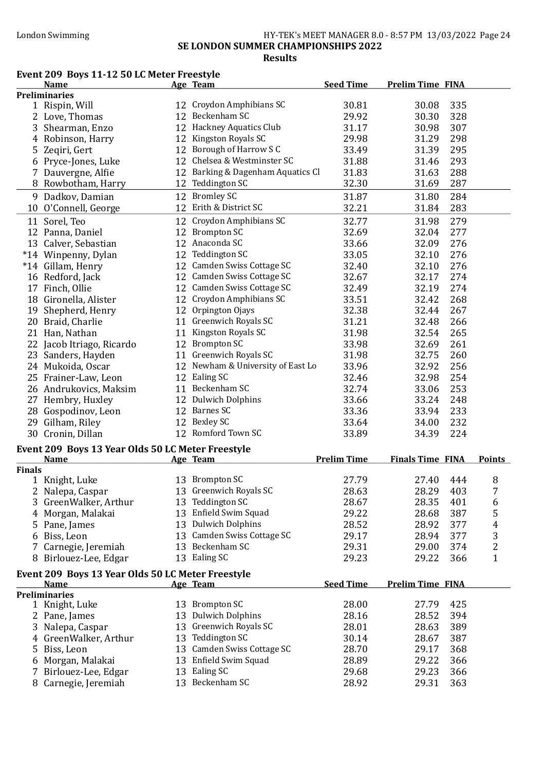#### London Swimming HY-TEK's MEET MANAGER 8.0 - 8:57 PM 13/03/2022 Page 24 SE LONDON SUMMER CHAMPIONSHIPS 2022 Results

# Event 209 Boys 11-12 50 LC Meter Freestyle

|               | <b>Name</b>                                       | Age Team                          | <b>Seed Time</b>   | <b>Prelim Time FINA</b> |                |
|---------------|---------------------------------------------------|-----------------------------------|--------------------|-------------------------|----------------|
|               | <b>Preliminaries</b>                              |                                   |                    |                         |                |
|               | 1 Rispin, Will                                    | 12 Croydon Amphibians SC          | 30.81              | 335<br>30.08            |                |
|               | 2 Love, Thomas                                    | 12 Beckenham SC                   | 29.92              | 30.30<br>328            |                |
|               | 3 Shearman, Enzo                                  | 12 Hackney Aquatics Club          | 31.17              | 30.98<br>307            |                |
|               | 4 Robinson, Harry                                 | 12 Kingston Royals SC             | 29.98              | 31.29<br>298            |                |
|               | 5 Zeqiri, Gert                                    | 12 Borough of Harrow S C          | 33.49              | 295<br>31.39            |                |
|               | 6 Pryce-Jones, Luke                               | 12 Chelsea & Westminster SC       | 31.88              | 293<br>31.46            |                |
|               | 7 Dauvergne, Alfie                                | 12 Barking & Dagenham Aquatics Cl | 31.83              | 288<br>31.63            |                |
|               | 8 Rowbotham, Harry                                | 12 Teddington SC                  | 32.30              | 31.69<br>287            |                |
|               |                                                   |                                   |                    |                         |                |
|               | 9 Dadkov, Damian                                  | 12 Bromley SC                     | 31.87              | 31.80<br>284            |                |
|               | 10 O'Connell, George                              | 12 Erith & District SC            | 32.21              | 283<br>31.84            |                |
|               | 11 Sorel, Teo                                     | 12 Croydon Amphibians SC          | 32.77              | 279<br>31.98            |                |
|               | 12 Panna, Daniel                                  | 12 Brompton SC                    | 32.69              | 277<br>32.04            |                |
|               | 13 Calver, Sebastian                              | 12 Anaconda SC                    | 33.66              | 276<br>32.09            |                |
|               | *14 Winpenny, Dylan                               | 12 Teddington SC                  | 33.05              | 276<br>32.10            |                |
|               | *14 Gillam, Henry                                 | 12 Camden Swiss Cottage SC        | 32.40              | 276<br>32.10            |                |
|               | 16 Redford, Jack                                  | 12 Camden Swiss Cottage SC        | 32.67              | 32.17<br>274            |                |
|               | 17 Finch, Ollie                                   | 12 Camden Swiss Cottage SC        | 32.49              | 274<br>32.19            |                |
|               | 18 Gironella, Alister                             | 12 Croydon Amphibians SC          | 33.51              | 32.42<br>268            |                |
|               | 19 Shepherd, Henry                                | 12 Orpington Ojays                | 32.38              | 267<br>32.44            |                |
|               | 20 Braid, Charlie                                 | 11 Greenwich Royals SC            | 31.21              | 266<br>32.48            |                |
|               | 21 Han, Nathan                                    | 11 Kingston Royals SC             | 31.98              | 32.54<br>265            |                |
|               | 22 Jacob Itriago, Ricardo                         | 12 Brompton SC                    | 33.98              | 32.69<br>261            |                |
|               |                                                   | 11 Greenwich Royals SC            | 31.98              | 32.75<br>260            |                |
|               | 23 Sanders, Hayden                                |                                   |                    |                         |                |
|               | 24 Mukoida, Oscar                                 | 12 Newham & University of East Lo | 33.96              | 32.92<br>256            |                |
|               | 25 Frainer-Law, Leon                              | 12 Ealing SC                      | 32.46              | 32.98<br>254            |                |
|               | 26 Andrukovics, Maksim                            | 11 Beckenham SC                   | 32.74              | 33.06<br>253            |                |
|               | 27 Hembry, Huxley                                 | 12 Dulwich Dolphins               | 33.66              | 33.24<br>248            |                |
|               | 28 Gospodinov, Leon                               | 12 Barnes SC                      | 33.36              | 33.94<br>233            |                |
|               | 29 Gilham, Riley                                  | 12 Bexley SC                      | 33.64              | 232<br>34.00            |                |
|               | 30 Cronin, Dillan                                 | 12 Romford Town SC                | 33.89              | 224<br>34.39            |                |
|               | Event 209 Boys 13 Year Olds 50 LC Meter Freestyle |                                   |                    |                         |                |
|               | <b>Name</b>                                       | <b>Age Team</b>                   | <b>Prelim Time</b> | <b>Finals Time FINA</b> | <b>Points</b>  |
| <b>Finals</b> |                                                   |                                   |                    |                         |                |
|               | 1 Knight, Luke                                    | 13 Brompton SC                    | 27.79              | 27.40<br>444            | 8              |
|               | 2 Nalepa, Caspar                                  | 13 Greenwich Royals SC            | 28.63              | 28.29<br>403            | 7              |
|               | 3 GreenWalker, Arthur                             | 13 Teddington SC                  | 28.67              | 28.35<br>401            | 6              |
|               | 4 Morgan, Malakai                                 | 13 Enfield Swim Squad             | 29.22              | 387<br>28.68            | 5              |
|               | 5 Pane, James                                     | 13 Dulwich Dolphins               | 28.52              | 28.92<br>377            | 4              |
| 6             | Biss, Leon                                        | 13 Camden Swiss Cottage SC        | 29.17              | 377<br>28.94            | 3              |
| 7             | Carnegie, Jeremiah                                | 13 Beckenham SC                   | 29.31              | 374<br>29.00            | $\overline{2}$ |
|               | 8 Birlouez-Lee, Edgar                             | 13 Ealing SC                      | 29.23              | 29.22<br>366            | $\mathbf{1}$   |
|               |                                                   |                                   |                    |                         |                |
|               | Event 209 Boys 13 Year Olds 50 LC Meter Freestyle |                                   |                    |                         |                |
|               | <b>Name</b>                                       | Age Team                          | <b>Seed Time</b>   | <b>Prelim Time FINA</b> |                |
|               | <b>Preliminaries</b>                              | 13 Brompton SC                    |                    |                         |                |
|               | 1 Knight, Luke                                    |                                   | 28.00              | 27.79<br>425            |                |
|               | 2 Pane, James                                     | 13 Dulwich Dolphins               | 28.16              | 28.52<br>394            |                |
|               | 3 Nalepa, Caspar                                  | 13 Greenwich Royals SC            | 28.01              | 28.63<br>389            |                |
|               | 4 GreenWalker, Arthur                             | 13 Teddington SC                  | 30.14              | 28.67<br>387            |                |
| 5.            | Biss, Leon                                        | 13 Camden Swiss Cottage SC        | 28.70              | 29.17<br>368            |                |
|               | 6 Morgan, Malakai                                 | 13 Enfield Swim Squad             | 28.89              | 29.22<br>366            |                |
| 7             | Birlouez-Lee, Edgar                               | 13 Ealing SC                      | 29.68              | 29.23<br>366            |                |
|               | 8 Carnegie, Jeremiah                              | 13 Beckenham SC                   | 28.92              | 29.31<br>363            |                |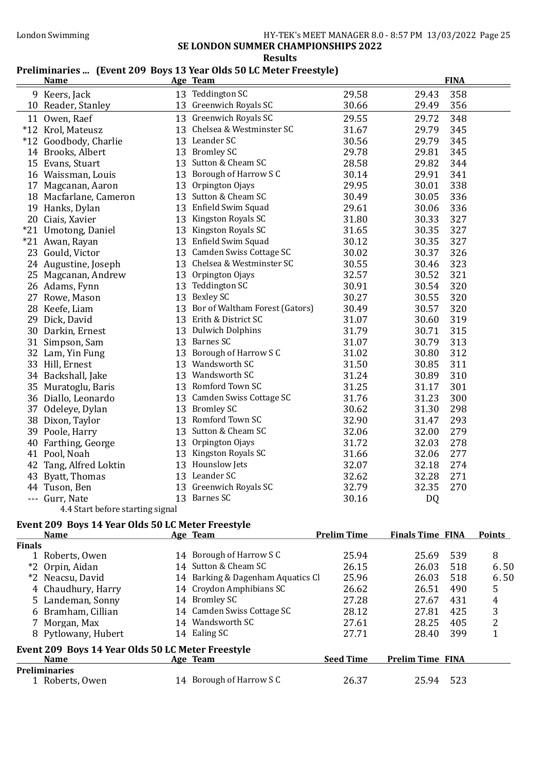## London Swimming HY-TEK's MEET MANAGER 8.0 - 8:57 PM 13/03/2022 Page 25

SE LONDON SUMMER CHAMPIONSHIPS 2022

#### Results

## Preliminaries ... (Event 209 Boys 13 Year Olds 50 LC Meter Freestyle)

|    | <b>Name</b>                      |    | Age Team                          |       |           | <b>FINA</b> |
|----|----------------------------------|----|-----------------------------------|-------|-----------|-------------|
|    | 9 Keers, Jack                    |    | 13 Teddington SC                  | 29.58 | 29.43     | 358         |
|    | 10 Reader, Stanley               |    | 13 Greenwich Royals SC            | 30.66 | 29.49     | 356         |
|    | 11 Owen, Raef                    |    | 13 Greenwich Royals SC            | 29.55 | 29.72     | 348         |
|    | *12 Krol, Mateusz                |    | 13 Chelsea & Westminster SC       | 31.67 | 29.79     | 345         |
|    | *12 Goodbody, Charlie            |    | 13 Leander SC                     | 30.56 | 29.79     | 345         |
|    | 14 Brooks, Albert                |    | 13 Bromley SC                     | 29.78 | 29.81     | 345         |
|    | 15 Evans, Stuart                 |    | 13 Sutton & Cheam SC              | 28.58 | 29.82     | 344         |
|    | 16 Waissman, Louis               | 13 | Borough of Harrow S C             | 30.14 | 29.91     | 341         |
|    | 17 Magcanan, Aaron               | 13 | Orpington Ojays                   | 29.95 | 30.01     | 338         |
|    | 18 Macfarlane, Cameron           |    | 13 Sutton & Cheam SC              | 30.49 | 30.05     | 336         |
|    | 19 Hanks, Dylan                  |    | 13 Enfield Swim Squad             | 29.61 | 30.06     | 336         |
|    | 20 Ciais, Xavier                 |    | 13 Kingston Royals SC             | 31.80 | 30.33     | 327         |
|    | *21 Umotong, Daniel              | 13 | Kingston Royals SC                | 31.65 | 30.35     | 327         |
|    | *21 Awan, Rayan                  |    | 13 Enfield Swim Squad             | 30.12 | 30.35     | 327         |
|    | 23 Gould, Victor                 |    | 13 Camden Swiss Cottage SC        | 30.02 | 30.37     | 326         |
|    | 24 Augustine, Joseph             |    | 13 Chelsea & Westminster SC       | 30.55 | 30.46     | 323         |
|    | 25 Magcanan, Andrew              |    | 13 Orpington Ojays                | 32.57 | 30.52     | 321         |
|    | 26 Adams, Fynn                   | 13 | <b>Teddington SC</b>              | 30.91 | 30.54     | 320         |
|    | 27 Rowe, Mason                   |    | 13 Bexley SC                      | 30.27 | 30.55     | 320         |
|    | 28 Keefe, Liam                   |    | 13 Bor of Waltham Forest (Gators) | 30.49 | 30.57     | 320         |
|    | 29 Dick, David                   |    | 13 Erith & District SC            | 31.07 | 30.60     | 319         |
|    | 30 Darkin, Ernest                |    | 13 Dulwich Dolphins               | 31.79 | 30.71     | 315         |
|    | 31 Simpson, Sam                  |    | 13 Barnes SC                      | 31.07 | 30.79     | 313         |
|    | 32 Lam, Yin Fung                 |    | 13 Borough of Harrow S C          | 31.02 | 30.80     | 312         |
|    | 33 Hill, Ernest                  | 13 | Wandsworth SC                     | 31.50 | 30.85     | 311         |
|    | 34 Backshall, Jake               |    | 13 Wandsworth SC                  | 31.24 | 30.89     | 310         |
|    | 35 Muratoglu, Baris              |    | 13 Romford Town SC                | 31.25 | 31.17     | 301         |
|    | 36 Diallo, Leonardo              |    | 13 Camden Swiss Cottage SC        | 31.76 | 31.23     | 300         |
|    | 37 Odeleye, Dylan                |    | 13 Bromley SC                     | 30.62 | 31.30     | 298         |
|    | 38 Dixon, Taylor                 | 13 | Romford Town SC                   | 32.90 | 31.47     | 293         |
|    | 39 Poole, Harry                  |    | 13 Sutton & Cheam SC              | 32.06 | 32.00     | 279         |
| 40 | Farthing, George                 | 13 | Orpington Ojays                   | 31.72 | 32.03     | 278         |
|    | 41 Pool, Noah                    | 13 | Kingston Royals SC                | 31.66 | 32.06     | 277         |
|    | 42 Tang, Alfred Loktin           |    | 13 Hounslow Jets                  | 32.07 | 32.18     | 274         |
| 43 | Byatt, Thomas                    |    | 13 Leander SC                     | 32.62 | 32.28     | 271         |
|    | 44 Tuson, Ben                    | 13 | Greenwich Royals SC               | 32.79 | 32.35     | 270         |
|    | --- Gurr, Nate                   |    | 13 Barnes SC                      | 30.16 | <b>DQ</b> |             |
|    | 4.4 Start before starting signal |    |                                   |       |           |             |

#### Event 209 Boys 14 Year Olds 50 LC Meter Freestyle

|               | <b>Name</b>                                       | Age Team                          | <b>Prelim Time</b> | <b>Finals Time FINA</b> |     | <b>Points</b> |
|---------------|---------------------------------------------------|-----------------------------------|--------------------|-------------------------|-----|---------------|
| <b>Finals</b> |                                                   |                                   |                    |                         |     |               |
| 1             | Roberts, Owen                                     | 14 Borough of Harrow S C          | 25.94              | 25.69                   | 539 | 8             |
|               | *2 Orpin, Aidan                                   | 14 Sutton & Cheam SC              | 26.15              | 26.03                   | 518 | 6.50          |
|               | *2 Neacsu, David                                  | 14 Barking & Dagenham Aquatics Cl | 25.96              | 26.03                   | 518 | 6.50          |
|               | 4 Chaudhury, Harry                                | 14 Croydon Amphibians SC          | 26.62              | 26.51                   | 490 | 5             |
|               | 5 Landeman, Sonny                                 | 14 Bromley SC                     | 27.28              | 27.67                   | 431 | 4             |
|               | 6 Bramham, Cillian                                | 14 Camden Swiss Cottage SC        | 28.12              | 27.81                   | 425 | 3             |
|               | 7 Morgan, Max                                     | 14 Wandsworth SC                  | 27.61              | 28.25                   | 405 | 2             |
|               | 8 Pytlowany, Hubert                               | 14 Ealing SC                      | 27.71              | 28.40                   | 399 |               |
|               | Event 209 Boys 14 Year Olds 50 LC Meter Freestyle |                                   |                    |                         |     |               |
|               | <b>Name</b>                                       | Age Team                          | <b>Seed Time</b>   | <b>Prelim Time FINA</b> |     |               |
|               | <b>Preliminaries</b>                              |                                   |                    |                         |     |               |
|               | 1 Roberts, Owen                                   | Borough of Harrow S C             | 26.37              | 25.94                   | 523 |               |